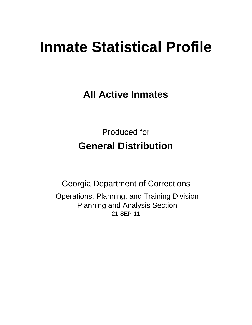# **Inmate Statistical Profile**

**All Active Inmates**

Produced for **General Distribution**

21-SEP-11 Georgia Department of Corrections Operations, Planning, and Training Division Planning and Analysis Section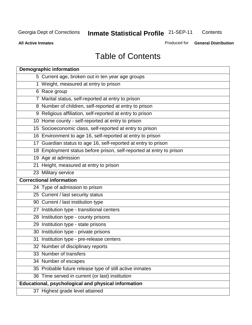**Contents** 

**All Active Inmates**

Produced for **General Distribution**

## Table of Contents

| <b>Demographic information</b>                                       |
|----------------------------------------------------------------------|
| 5 Current age, broken out in ten year age groups                     |
| 1 Weight, measured at entry to prison                                |
| 6 Race group                                                         |
| 7 Marital status, self-reported at entry to prison                   |
| 8 Number of children, self-reported at entry to prison               |
| 9 Religious affiliation, self-reported at entry to prison            |
| 10 Home county - self-reported at entry to prison                    |
| 15 Socioeconomic class, self-reported at entry to prison             |
| 16 Environment to age 16, self-reported at entry to prison           |
| 17 Guardian status to age 16, self-reported at entry to prison       |
| 18 Employment status before prison, self-reported at entry to prison |
| 19 Age at admission                                                  |
| 21 Height, measured at entry to prison                               |
| 23 Military service                                                  |
| <b>Correctional information</b>                                      |
| 24 Type of admission to prison                                       |
| 25 Current / last security status                                    |
| 90 Current / last institution type                                   |
| 27 Institution type - transitional centers                           |
| 28 Institution type - county prisons                                 |
| 29 Institution type - state prisons                                  |
| 30 Institution type - private prisons                                |
| 31 Institution type - pre-release centers                            |
| 32 Number of disciplinary reports                                    |
| 33 Number of transfers                                               |
| 34 Number of escapes                                                 |
| 35 Probable future release type of still active inmates              |
| 36 Time served in current (or last) institution                      |
| Educational, psychological and physical information                  |
| 37 Highest grade level attained                                      |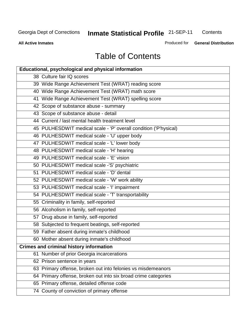**Contents** 

**All Active Inmates**

Produced for **General Distribution**

## Table of Contents

| <b>Educational, psychological and physical information</b>       |
|------------------------------------------------------------------|
| 38 Culture fair IQ scores                                        |
| 39 Wide Range Achievement Test (WRAT) reading score              |
| 40 Wide Range Achievement Test (WRAT) math score                 |
| 41 Wide Range Achievement Test (WRAT) spelling score             |
| 42 Scope of substance abuse - summary                            |
| 43 Scope of substance abuse - detail                             |
| 44 Current / last mental health treatment level                  |
| 45 PULHESDWIT medical scale - 'P' overall condition ('P'hysical) |
| 46 PULHESDWIT medical scale - 'U' upper body                     |
| 47 PULHESDWIT medical scale - 'L' lower body                     |
| 48 PULHESDWIT medical scale - 'H' hearing                        |
| 49 PULHESDWIT medical scale - 'E' vision                         |
| 50 PULHESDWIT medical scale -'S' psychiatric                     |
| 51 PULHESDWIT medical scale - 'D' dental                         |
| 52 PULHESDWIT medical scale - 'W' work ability                   |
| 53 PULHESDWIT medical scale - 'I' impairment                     |
| 54 PULHESDWIT medical scale - 'T' transportability               |
| 55 Criminality in family, self-reported                          |
| 56 Alcoholism in family, self-reported                           |
| 57 Drug abuse in family, self-reported                           |
| 58 Subjected to frequent beatings, self-reported                 |
| 59 Father absent during inmate's childhood                       |
| 60 Mother absent during inmate's childhood                       |
| <b>Crimes and criminal history information</b>                   |
| 61 Number of prior Georgia incarcerations                        |
| 62 Prison sentence in years                                      |
| 63 Primary offense, broken out into felonies vs misdemeanors     |
| 64 Primary offense, broken out into six broad crime categories   |
| 65 Primary offense, detailed offense code                        |
| 74 County of conviction of primary offense                       |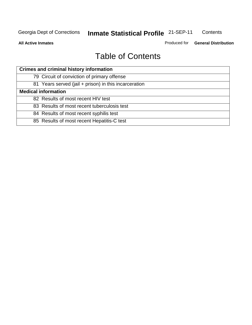**All Active Inmates**

Produced for **General Distribution**

## Table of Contents

| <b>Crimes and criminal history information</b>        |  |  |  |  |
|-------------------------------------------------------|--|--|--|--|
| 79 Circuit of conviction of primary offense           |  |  |  |  |
| 81 Years served (jail + prison) in this incarceration |  |  |  |  |
| <b>Medical information</b>                            |  |  |  |  |
| 82 Results of most recent HIV test                    |  |  |  |  |
| 83 Results of most recent tuberculosis test           |  |  |  |  |
| 84 Results of most recent syphilis test               |  |  |  |  |
| 85 Results of most recent Hepatitis-C test            |  |  |  |  |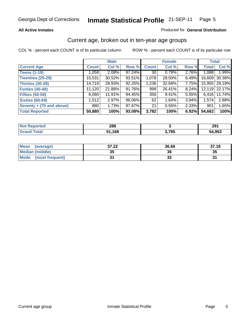#### **All Active Inmates**

#### Produced for **General Distribution**

#### Current age, broken out in ten-year age groups

|                          |              | <b>Male</b> |        |              | <b>Female</b> |          | <b>Total</b> |                 |
|--------------------------|--------------|-------------|--------|--------------|---------------|----------|--------------|-----------------|
| <b>Current Age</b>       | <b>Count</b> | Col %       | Row %  | <b>Count</b> | Col %         | Row %    | <b>Total</b> | Col %           |
| <b>Teens (1-19)</b>      | 1,058        | $2.08\%$    | 97.24% | 30           | 0.79%         | 2.76%    | 1,088        | 1.99%           |
| <b>Twenties (20-29)</b>  | 15,531       | 30.52%      | 93.51% | 1,078        | 28.50%        | $6.49\%$ | 16,609       | 30.38%          |
| <b>Thirties (30-39)</b>  | 14,719       | 28.93%      | 92.25% | 1,236        | 32.68%        | 7.75%    |              | 15,955   29.19% |
| <b>Forties (40-49)</b>   | 11,120       | 21.86%      | 91.76% | 999          | 26.41%        | $8.24\%$ |              | 12,119 22.17%   |
| <b>Fifties (50-59)</b>   | 6,060        | 11.91%      | 94.45% | 356          | 9.41%         | $5.55\%$ | 6,416        | 11.74%          |
| <b>Sixties (60-69)</b>   | 1,512        | $2.97\%$    | 96.06% | 62           | 1.64%         | $3.94\%$ | 1,574        | 2.88%           |
| Seventy + (70 and above) | 880          | 1.73%       | 97.67% | 21           | 0.56%         | 2.33%    | 901          | 1.65%           |
| <b>Total Reported</b>    | 50,880       | 100%        | 93.08% | 3,782        | 100%          | 6.92%    | 54,662       | 100%            |

| and an anti-<br>тео<br>NG | ററ<br>∠໐໐ |     | 291    |
|---------------------------|-----------|-----|--------|
| $\sim$ 100                | ,168      | 70E | 54,953 |

| <b>Mean</b><br>(average)       | 37.22     | 36.66                      | 37.18 |
|--------------------------------|-----------|----------------------------|-------|
| Median (middle)                | 25<br>JJ. | 36                         | 35    |
| <b>Mode</b><br>(most frequent) |           | $\ddot{\phantom{0}}$<br>◡▴ | o,    |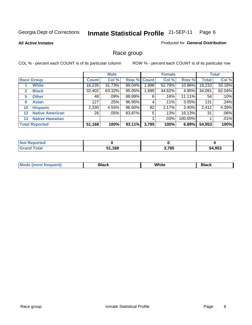#### **All Active Inmates**

#### Produced for **General Distribution**

## Race group

|              |                        |              | <b>Male</b> |                    |       | <b>Female</b> |         |              | <b>Total</b> |
|--------------|------------------------|--------------|-------------|--------------------|-------|---------------|---------|--------------|--------------|
|              | <b>Race Group</b>      | <b>Count</b> | Col %       | <b>Row % Count</b> |       | Col %         | Row %   | <b>Total</b> | Col %        |
|              | <b>White</b>           | 16,235       | 31.73%      | 89.04%             | ,998  | 52.79%        | 10.96%  | 18,233       | 33.18%       |
| $\mathbf{2}$ | <b>Black</b>           | 32,402       | 63.32%      | 95.05%             | .689  | 44.62%        | 4.95%   | 34,091       | 62.04%       |
| 5            | <b>Other</b>           | 48           | .09%        | 88.89%             | 6     | .16%          | 11.11%  | 54           | .10%         |
| 6            | <b>Asian</b>           | 127          | .25%        | 96.95%             | 4     | .11%          | 3.05%   | 131          | .24%         |
| 10           | <b>Hispanic</b>        | 2,330        | 4.55%       | 96.60%             | 82    | 2.17%         | 3.40%   | 2,412        | 4.39%        |
| $12 \,$      | <b>Native American</b> | 26           | .05%        | 83.87%             | 5     | .13%          | 16.13%  | 31           | .06%         |
| 13           | <b>Native Hawaiian</b> |              |             |                    |       | .03%          | 100.00% |              | .01%         |
|              | <b>Total Reported</b>  | 51,168       | 100%        | 93.11%             | 3,785 | 100%          | 6.89%   | 54,953       | 100%         |

| <b>Not Reported</b> |               |       |        |
|---------------------|---------------|-------|--------|
| <b>Total</b>        | 51,168<br>C 4 | 3,785 | 54,953 |

| Mc | --- | .<br>$\sim$ $\sim$ $\sim$ | . |
|----|-----|---------------------------|---|
|    |     |                           |   |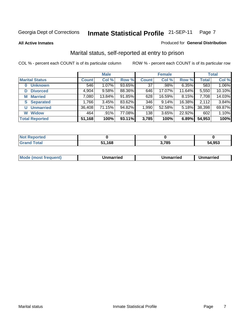**All Active Inmates**

#### Produced for **General Distribution**

## Marital status, self-reported at entry to prison

|                       |              | <b>Male</b> |        |              | <b>Female</b> |          |              | <b>Total</b> |
|-----------------------|--------------|-------------|--------|--------------|---------------|----------|--------------|--------------|
| <b>Marital Status</b> | <b>Count</b> | Col %       | Row %  | <b>Count</b> | Col %         | Row %    | <b>Total</b> | Col %        |
| <b>Unknown</b><br>0   | 546          | $1.07\%$    | 93.65% | 37           | .98%          | $6.35\%$ | 583          | 1.06%        |
| <b>Divorced</b><br>D  | 4,904        | 9.58%       | 88.36% | 646          | 17.07%        | 11.64%   | 5,550        | 10.10%       |
| <b>Married</b><br>М   | 7,080        | 13.84%      | 91.85% | 628          | 16.59%        | 8.15%    | 7,708        | 14.03%       |
| <b>Separated</b><br>S | 1,766        | 3.45%       | 83.62% | 346          | 9.14%         | 16.38%   | 2,112        | 3.84%        |
| <b>Unmarried</b><br>U | 36,408       | 71.15%      | 94.82% | 1,990        | 52.58%        | 5.18%    | 38,398       | 69.87%       |
| <b>Widow</b><br>W     | 464          | .91%        | 77.08% | 138          | 3.65%         | 22.92%   | 602          | 1.10%        |
| <b>Total Reported</b> | 51,168       | 100%        | 93.11% | 3,785        | 100%          | 6.89%    | 54,953       | 100%         |

| -      |       |            |        |
|--------|-------|------------|--------|
| $\sim$ | 1 C O | <b>705</b> | 54.953 |
|        | 'Ωι   | ່ວະ        |        |

|  | Mode<br>(most frequent) | Jnmarried | Unmarried | Jnmarried |
|--|-------------------------|-----------|-----------|-----------|
|--|-------------------------|-----------|-----------|-----------|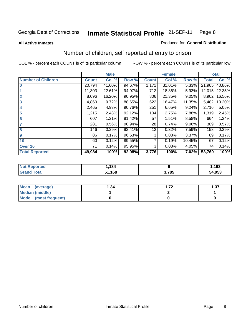#### **All Active Inmates**

#### Produced for **General Distribution**

## Number of children, self reported at entry to prison

|                           |              | <b>Male</b> |        |              | <b>Female</b> |          | <b>Total</b> |        |
|---------------------------|--------------|-------------|--------|--------------|---------------|----------|--------------|--------|
| <b>Number of Children</b> | <b>Count</b> | Col %       | Row %  | <b>Count</b> | Col %         | Row %    | <b>Total</b> | Col %  |
| $\bf{0}$                  | 20,794       | 41.60%      | 94.67% | 1,171        | 31.01%        | 5.33%    | 21,965       | 40.86% |
|                           | 11,303       | 22.61%      | 94.07% | 712          | 18.86%        | 5.93%    | 12,015       | 22.35% |
| $\overline{2}$            | 8,096        | 16.20%      | 90.95% | 806          | 21.35%        | 9.05%    | 8,902        | 16.56% |
| 3                         | 4,860        | 9.72%       | 88.65% | 622          | 16.47%        | 11.35%   | 5,482        | 10.20% |
| 4                         | 2,465        | 4.93%       | 90.76% | 251          | 6.65%         | 9.24%    | 2,716        | 5.05%  |
| 5                         | 1,215        | 2.43%       | 92.12% | 104          | 2.75%         | 7.88%    | 1,319        | 2.45%  |
| $6\phantom{a}$            | 607          | 1.21%       | 91.42% | 57           | 1.51%         | 8.58%    | 664          | 1.24%  |
| 7                         | 281          | 0.56%       | 90.94% | 28           | 0.74%         | $9.06\%$ | 309          | 0.57%  |
| 8                         | 146          | 0.29%       | 92.41% | 12           | 0.32%         | 7.59%    | 158          | 0.29%  |
| 9                         | 86           | 0.17%       | 96.63% | 3            | 0.08%         | 3.37%    | 89           | 0.17%  |
| 10                        | 60           | 0.12%       | 89.55% |              | 0.19%         | 10.45%   | 67           | 0.12%  |
| Over 10                   | 71           | 0.14%       | 95.95% | 3            | 0.08%         | 4.05%    | 74           | 0.14%  |
| <b>Total Reported</b>     | 49,984       | 100%        | 92.98% | 3,776        | 100%          | 7.02%    | 53,760       | 100%   |

| men | .184 |      | .193   |
|-----|------|------|--------|
|     | .168 | ,785 | 54,953 |

| <b>Mean</b><br>(average)       | ∣.34 | - 70 |  |  |  |  |
|--------------------------------|------|------|--|--|--|--|
| Median (middle)                |      |      |  |  |  |  |
| <b>Mode</b><br>(most frequent) |      |      |  |  |  |  |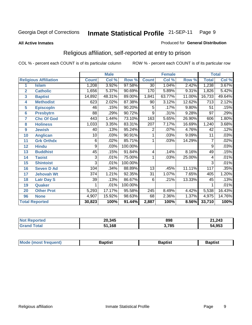#### **All Active Inmates**

#### Produced for **General Distribution**

## Religious affiliation, self-reported at entry to prison

|                  |                              |              | <b>Male</b> |         |                 | <b>Female</b>             |        |              | <b>Total</b> |
|------------------|------------------------------|--------------|-------------|---------|-----------------|---------------------------|--------|--------------|--------------|
|                  | <b>Religious Affiliation</b> | <b>Count</b> | Col %       | Row %   | <b>Count</b>    | $\overline{\text{Col}}$ % | Row %  | <b>Total</b> | Col %        |
| 1                | <b>Islam</b>                 | 1,208        | 3.92%       | 97.58%  | $\overline{30}$ | 1.04%                     | 2.42%  | 1,238        | 3.67%        |
| $\overline{2}$   | <b>Catholic</b>              | 1,656        | 5.37%       | 90.69%  | 170             | 5.89%                     | 9.31%  | 1,826        | 5.42%        |
| 3                | <b>Baptist</b>               | 14,892       | 48.31%      | 89.00%  | 1,841           | 63.77%                    | 11.00% | 16,733       | 49.64%       |
| 4                | <b>Methodist</b>             | 623          | 2.02%       | 87.38%  | 90              | 3.12%                     | 12.62% | 713          | 2.12%        |
| 5                | <b>EpiscopIn</b>             | 46           | .15%        | 90.20%  | 5               | .17%                      | 9.80%  | 51           | .15%         |
| 6                | <b>Presbytrn</b>             | 88           | .29%        | 90.72%  | 9               | .31%                      | 9.28%  | 97           | .29%         |
| 7                | <b>Chc Of God</b>            | 443          | 1.44%       | 73.10%  | 163             | 5.65%                     | 26.90% | 606          | 1.80%        |
| 8                | <b>Holiness</b>              | 1,033        | 3.35%       | 83.31%  | 207             | 7.17%                     | 16.69% | 1,240        | 3.68%        |
| $\boldsymbol{9}$ | <b>Jewish</b>                | 40           | .13%        | 95.24%  | 2               | .07%                      | 4.76%  | 42           | .12%         |
| 10               | <b>Anglican</b>              | 10           | .03%        | 90.91%  | 1               | .03%                      | 9.09%  | 11           | .03%         |
| 11               | <b>Grk Orthdx</b>            | 6            | .02%        | 85.71%  | 1               | .03%                      | 14.29% | 7            | .02%         |
| 12               | <b>Hindu</b>                 | 9            | .03%        | 100.00% |                 |                           |        | 9            | .03%         |
| 13               | <b>Buddhist</b>              | 45           | .15%        | 91.84%  | 4               | .14%                      | 8.16%  | 49           | .15%         |
| 14               | <b>Taoist</b>                | 3            | .01%        | 75.00%  | 1               | .03%                      | 25.00% | 4            | .01%         |
| 15               | <b>Shintoist</b>             | 3            | .01%        | 100.00% |                 |                           |        | 3            | .01%         |
| 16               | <b>Seven D Ad</b>            | 104          | .34%        | 88.89%  | 13              | .45%                      | 11.11% | 117          | .35%         |
| 17               | <b>Jehovah Wt</b>            | 374          | 1.21%       | 92.35%  | 31              | 1.07%                     | 7.65%  | 405          | 1.20%        |
| 18               | <b>Latr Day S</b>            | 39           | .13%        | 86.67%  | 6               | .21%                      | 13.33% | 45           | .13%         |
| 19               | Quaker                       |              | .01%        | 100.00% |                 |                           |        |              | .01%         |
| 20               | <b>Other Prot</b>            | 5,293        | 17.17%      | 95.58%  | 245             | 8.49%                     | 4.42%  | 5,538        | 16.43%       |
| 96               | <b>None</b>                  | 4,907        | 15.92%      | 98.63%  | 68              | 2.36%                     | 1.37%  | 4,975        | 14.76%       |
|                  | <b>Total Reported</b>        | 30,823       | 100%        | 91.44%  | 2,887           | 100%                      | 8.56%  | 33,710       | 100%         |

| <b>Not Reported</b>  | 20,345 | 898   | 21,243 |
|----------------------|--------|-------|--------|
| <b>Fotal</b><br>Gran | 51,168 | 3,785 | 54,953 |

|  | Mode (most frequent) | Baptist | Baptist<br>$\sim$ | Baptist |
|--|----------------------|---------|-------------------|---------|
|--|----------------------|---------|-------------------|---------|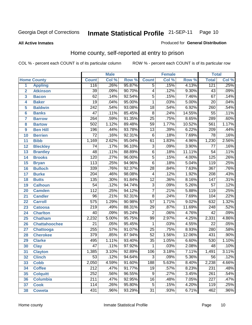**All Active Inmates**

#### Produced for **General Distribution**

## Home county, self-reported at entry to prison

|                 |                      |                  | <b>Male</b> |        |                 | <b>Female</b> |          | <b>Total</b>     |       |
|-----------------|----------------------|------------------|-------------|--------|-----------------|---------------|----------|------------------|-------|
|                 | <b>Home County</b>   | <b>Count</b>     | Col %       | Row %  | <b>Count</b>    | Col %         | Row %    | <b>Total</b>     | Col % |
| 1               | <b>Appling</b>       | 116              | .26%        | 95.87% | $\overline{5}$  | .15%          | 4.13%    | 121              | .25%  |
| $\overline{2}$  | <b>Atkinson</b>      | $\overline{39}$  | .09%        | 90.70% | $\overline{4}$  | .12%          | 9.30%    | $\overline{43}$  | .09%  |
| 3               | <b>Bacon</b>         | 62               | .14%        | 92.54% | $\overline{5}$  | .15%          | 7.46%    | $\overline{67}$  | .14%  |
| 4               | <b>Baker</b>         | $\overline{19}$  | .04%        | 95.00% | $\mathbf{1}$    | .03%          | 5.00%    | 20               | .04%  |
| 5               | <b>Baldwin</b>       | $\overline{242}$ | .54%        | 93.08% | $\overline{18}$ | .54%          | 6.92%    | 260              | .54%  |
| $6\phantom{1}6$ | <b>Banks</b>         | $\overline{47}$  | .11%        | 85.45% | $\overline{8}$  | .24%          | 14.55%   | $\overline{55}$  | .11%  |
| $\overline{7}$  | <b>Barrow</b>        | $\overline{264}$ | .59%        | 91.35% | $\overline{25}$ | .75%          | 8.65%    | 289              | .60%  |
| 8               | <b>Bartow</b>        | 502              | 1.12%       | 89.48% | $\overline{59}$ | 1.77%         | 10.52%   | 561              | 1.17% |
| 9               | <b>Ben Hill</b>      | 196              | .44%        | 93.78% | $\overline{13}$ | .39%          | 6.22%    | 209              | .44%  |
| 10              | <b>Berrien</b>       | $\overline{72}$  | .16%        | 92.31% | $\overline{6}$  | .18%          | 7.69%    | 78               | .16%  |
| 11              | <b>Bibb</b>          | 1,169            | 2.62%       | 95.04% | 61              | 1.83%         | 4.96%    | 1,230            | 2.56% |
| 12              | <b>Bleckley</b>      | 74               | .17%        | 96.10% | $\overline{3}$  | .09%          | 3.90%    | 77               | .16%  |
| 13              | <b>Brantley</b>      | 48               | .11%        | 88.89% | $\overline{6}$  | .18%          | 11.11%   | $\overline{54}$  | .11%  |
| 14              | <b>Brooks</b>        | 120              | .27%        | 96.00% | $\overline{5}$  | .15%          | 4.00%    | 125              | .26%  |
| 15              | <b>Bryan</b>         | $\overline{113}$ | .25%        | 94.96% | $\overline{6}$  | .18%          | 5.04%    | 119              | .25%  |
| 16              | <b>Bulloch</b>       | 339              | .76%        | 92.37% | $\overline{28}$ | .84%          | 7.63%    | $\overline{367}$ | .76%  |
| 17              | <b>Burke</b>         | $\overline{204}$ | .46%        | 98.08% | 4               | .12%          | 1.92%    | $\overline{208}$ | .43%  |
| 18              | <b>Butts</b>         | 135              | .30%        | 91.84% | $\overline{12}$ | .36%          | 8.16%    | $\overline{147}$ | .31%  |
| 19              | <b>Calhoun</b>       | $\overline{54}$  | .12%        | 94.74% | $\overline{3}$  | .09%          | 5.26%    | $\overline{57}$  | .12%  |
| 20              | <b>Camden</b>        | $\overline{112}$ | .25%        | 94.12% | $\overline{7}$  | .21%          | 5.88%    | 119              | .25%  |
| 21              | <b>Candler</b>       | $\overline{96}$  | .21%        | 92.31% | $\overline{8}$  | .24%          | 7.69%    | 104              | .22%  |
| 22              | <b>Carroll</b>       | $\overline{575}$ | 1.29%       | 90.98% | $\overline{57}$ | 1.71%         | 9.02%    | 632              | 1.32% |
| 23              | <b>Catoosa</b>       | $\overline{219}$ | .49%        | 88.31% | $\overline{29}$ | .87%          | 11.69%   | $\overline{248}$ | .52%  |
| 24              | <b>Charlton</b>      | $\overline{40}$  | .09%        | 95.24% | $\overline{2}$  | .06%          | 4.76%    | $\overline{42}$  | .09%  |
| 25              | <b>Chatham</b>       | 2,232            | 5.00%       | 95.75% | $\overline{99}$ | 2.97%         | 4.25%    | 2,331            | 4.86% |
| 26              | <b>Chattahoochee</b> | $\overline{21}$  | .05%        | 95.45% | 1               | .03%          | 4.55%    | $\overline{22}$  | .05%  |
| 27              | <b>Chattooga</b>     | 255              | .57%        | 91.07% | $\overline{25}$ | .75%          | 8.93%    | 280              | .58%  |
| 28              | <b>Cherokee</b>      | $\overline{379}$ | .85%        | 87.94% | $\overline{52}$ | 1.56%         | 12.06%   | 431              | .90%  |
| 29              | <b>Clarke</b>        | 495              | 1.11%       | 93.40% | $\overline{35}$ | 1.05%         | 6.60%    | 530              | 1.10% |
| 30              | <b>Clay</b>          | 47               | .11%        | 97.92% | 1               | .03%          | 2.08%    | 48               | .10%  |
| $\overline{31}$ | <b>Clayton</b>       | 1,385            | 3.10%       | 92.89% | 106             | 3.18%         | 7.11%    | 1,491            | 3.11% |
| 32              | <b>Clinch</b>        | 53               | .12%        | 94.64% | 3               | .09%          | $5.36\%$ | 56               | .12%  |
| 33              | <b>Cobb</b>          | 2,050            | 4.59%       | 91.60% | 188             | 5.63%         | 8.40%    | 2,238            | 4.66% |
| 34              | <b>Coffee</b>        | $\overline{212}$ | .47%        | 91.77% | 19              | .57%          | 8.23%    | 231              | .48%  |
| 35              | <b>Colquitt</b>      | 252              | .56%        | 96.55% | $\overline{9}$  | .27%          | 3.45%    | 261              | .54%  |
| 36              | <b>Columbia</b>      | 211              | .47%        | 92.95% | 16              | .48%          | 7.05%    | 227              | .47%  |
| 37              | <b>Cook</b>          | 114              | .26%        | 95.80% | 5               | .15%          | 4.20%    | 119              | .25%  |
| 38              | <b>Coweta</b>        | 431              | .96%        | 93.29% | $\overline{31}$ | .93%          | 6.71%    | 462              | .96%  |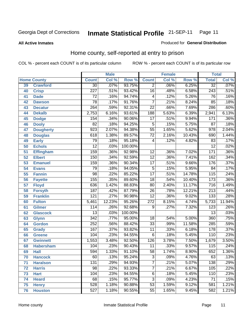**All Active Inmates**

#### Produced for **General Distribution**

## Home county, self-reported at entry to prison

|    |                    |                  | <b>Male</b> |         |                  | <b>Female</b> |        | <b>Total</b>     |        |
|----|--------------------|------------------|-------------|---------|------------------|---------------|--------|------------------|--------|
|    | <b>Home County</b> | <b>Count</b>     | Col %       | Row %   | <b>Count</b>     | Col %         | Row %  | <b>Total</b>     | Col %  |
| 39 | <b>Crawford</b>    | $\overline{30}$  | .07%        | 93.75%  | 2                | .06%          | 6.25%  | $\overline{32}$  | .07%   |
| 40 | <b>Crisp</b>       | $\overline{227}$ | .51%        | 93.42%  | $\overline{16}$  | .48%          | 6.58%  | 243              | .51%   |
| 41 | <b>Dade</b>        | 72               | .16%        | 94.74%  | 4                | .12%          | 5.26%  | 76               | .16%   |
| 42 | <b>Dawson</b>      | $\overline{78}$  | .17%        | 91.76%  | $\overline{7}$   | .21%          | 8.24%  | $\overline{85}$  | .18%   |
| 43 | <b>Decatur</b>     | $\overline{264}$ | .59%        | 92.31%  | $\overline{22}$  | .66%          | 7.69%  | 286              | .60%   |
| 44 | <b>Dekalb</b>      | 2,753            | 6.16%       | 93.61%  | 188              | 5.63%         | 6.39%  | 2,941            | 6.13%  |
| 45 | <b>Dodge</b>       | 154              | .34%        | 90.06%  | $\overline{17}$  | .51%          | 9.94%  | 171              | .36%   |
| 46 | <b>Dooly</b>       | $\overline{82}$  | .18%        | 94.25%  | 5                | .15%          | 5.75%  | 87               | .18%   |
| 47 | <b>Dougherty</b>   | 923              | 2.07%       | 94.38%  | $\overline{55}$  | 1.65%         | 5.62%  | $\overline{978}$ | 2.04%  |
| 48 | <b>Douglas</b>     | 618              | 1.38%       | 89.57%  | $\overline{72}$  | 2.16%         | 10.43% | 690              | 1.44%  |
| 49 | <b>Early</b>       | 79               | .18%        | 95.18%  | 4                | .12%          | 4.82%  | 83               | .17%   |
| 50 | <b>Echols</b>      | $\overline{12}$  | .03%        | 100.00% |                  |               |        | $\overline{12}$  | .02%   |
| 51 | <b>Effingham</b>   | 159              | .36%        | 92.98%  | $\overline{12}$  | .36%          | 7.02%  | 171              | .36%   |
| 52 | <b>Elbert</b>      | 150              | .34%        | 92.59%  | $\overline{12}$  | .36%          | 7.41%  | 162              | .34%   |
| 53 | <b>Emanuel</b>     | 159              | .36%        | 90.34%  | $\overline{17}$  | .51%          | 9.66%  | 176              | .37%   |
| 54 | <b>Evans</b>       | $\overline{79}$  | .18%        | 94.05%  | $\overline{5}$   | .15%          | 5.95%  | 84               | .17%   |
| 55 | <b>Fannin</b>      | $\overline{98}$  | .22%        | 85.22%  | $\overline{17}$  | .51%          | 14.78% | 115              | .24%   |
| 56 | <b>Fayette</b>     | 155              | .35%        | 89.60%  | $\overline{18}$  | .54%          | 10.40% | 173              | .36%   |
| 57 | <b>Floyd</b>       | 636              | 1.42%       | 88.83%  | $\overline{80}$  | 2.40%         | 11.17% | $\overline{716}$ | 1.49%  |
| 58 | <b>Forsyth</b>     | 187              | .42%        | 87.79%  | $\overline{26}$  | .78%          | 12.21% | 213              | .44%   |
| 59 | <b>Franklin</b>    | $\overline{121}$ | .27%        | 90.98%  | $\overline{12}$  | .36%          | 9.02%  | $\overline{133}$ | .28%   |
| 60 | <b>Fulton</b>      | 5,461            | 12.23%      | 95.26%  | $\overline{272}$ | 8.15%         | 4.74%  | 5,733            | 11.94% |
| 61 | <b>Gilmer</b>      | 114              | .26%        | 92.68%  | 9                | .27%          | 7.32%  | 123              | .26%   |
| 62 | <b>Glascock</b>    | $\overline{13}$  | .03%        | 100.00% |                  |               |        | $\overline{13}$  | .03%   |
| 63 | <b>Glynn</b>       | $\overline{342}$ | .77%        | 95.00%  | 18               | .54%          | 5.00%  | 360              | .75%   |
| 64 | <b>Gordon</b>      | 252              | .56%        | 88.42%  | $\overline{33}$  | .99%          | 11.58% | 285              | .59%   |
| 65 | <b>Grady</b>       | 167              | .37%        | 93.82%  | $\overline{11}$  | .33%          | 6.18%  | 178              | .37%   |
| 66 | <b>Greene</b>      | 104              | .23%        | 94.55%  | $\overline{6}$   | .18%          | 5.45%  | 110              | .23%   |
| 67 | <b>Gwinnett</b>    | 1,553            | 3.48%       | 92.50%  | $\overline{126}$ | 3.78%         | 7.50%  | 1,679            | 3.50%  |
| 68 | <b>Habersham</b>   | 104              | .23%        | 90.43%  | $\overline{11}$  | .33%          | 9.57%  | 115              | .24%   |
| 69 | <b>Hall</b>        | 594              | 1.33%       | 91.10%  | $\overline{58}$  | 1.74%         | 8.90%  | 652              | 1.36%  |
| 70 | <b>Hancock</b>     | $\overline{60}$  | .13%        | 95.24%  | 3                | .09%          | 4.76%  | $\overline{63}$  | .13%   |
| 71 | <b>Haralson</b>    | 131              | .29%        | 94.93%  | $\overline{7}$   | .21%          | 5.07%  | 138              | .29%   |
| 72 | <b>Harris</b>      | $\overline{98}$  | .22%        | 93.33%  | $\overline{7}$   | .21%          | 6.67%  | 105              | .22%   |
| 73 | <b>Hart</b>        | 104              | .23%        | 94.55%  | 6                | .18%          | 5.45%  | 110              | .23%   |
| 74 | <b>Heard</b>       | $\overline{68}$  | .15%        | 95.77%  | $\overline{3}$   | .09%          | 4.23%  | 71               | .15%   |
| 75 | <b>Henry</b>       | 528              | 1.18%       | 90.88%  | $\overline{53}$  | 1.59%         | 9.12%  | 581              | 1.21%  |
| 76 | <b>Houston</b>     | 527              | 1.18%       | 90.55%  | $\overline{55}$  | 1.65%         | 9.45%  | 582              | 1.21%  |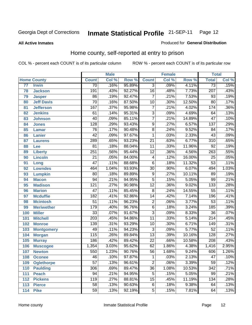#### **All Active Inmates**

#### Produced for **General Distribution**

## Home county, self-reported at entry to prison

|                 |                    |                  | <b>Male</b> |        |                 | <b>Female</b> |        | <b>Total</b>     |       |
|-----------------|--------------------|------------------|-------------|--------|-----------------|---------------|--------|------------------|-------|
|                 | <b>Home County</b> | <b>Count</b>     | Col %       | Row %  | <b>Count</b>    | Col %         | Row %  | <b>Total</b>     | Col % |
| $\overline{77}$ | <b>Irwin</b>       | $\overline{70}$  | .16%        | 95.89% | $\overline{3}$  | .09%          | 4.11%  | $\overline{73}$  | .15%  |
| 78              | <b>Jackson</b>     | 191              | .43%        | 92.27% | $\overline{16}$ | .48%          | 7.73%  | $\overline{207}$ | .43%  |
| 79              | <b>Jasper</b>      | $\overline{86}$  | .19%        | 92.47% | $\overline{7}$  | .21%          | 7.53%  | $\overline{93}$  | .19%  |
| 80              | <b>Jeff Davis</b>  | $\overline{70}$  | .16%        | 87.50% | $\overline{10}$ | .30%          | 12.50% | $\overline{80}$  | .17%  |
| 81              | <b>Jefferson</b>   | 167              | .37%        | 95.98% | $\overline{7}$  | .21%          | 4.02%  | 174              | .36%  |
| 82              | <b>Jenkins</b>     | 61               | .14%        | 95.31% | $\overline{3}$  | .09%          | 4.69%  | 64               | .13%  |
| 83              | <b>Johnson</b>     | 40               | .09%        | 85.11% | $\overline{7}$  | .21%          | 14.89% | $\overline{47}$  | .10%  |
| 84              | <b>Jones</b>       | $\overline{128}$ | .29%        | 93.43% | $\overline{9}$  | .27%          | 6.57%  | $\overline{137}$ | .29%  |
| 85              | <b>Lamar</b>       | $\overline{76}$  | .17%        | 90.48% | $\overline{8}$  | .24%          | 9.52%  | $\overline{84}$  | .17%  |
| 86              | <b>Lanier</b>      | $\overline{42}$  | .09%        | 97.67% | 1               | .03%          | 2.33%  | $\overline{43}$  | .09%  |
| 87              | <b>Laurens</b>     | 289              | .65%        | 93.23% | $\overline{21}$ | .63%          | 6.77%  | $\overline{310}$ | .65%  |
| 88              | Lee                | $\overline{81}$  | .18%        | 88.04% | $\overline{11}$ | .33%          | 11.96% | $\overline{92}$  | .19%  |
| 89              | <b>Liberty</b>     | 251              | .56%        | 95.44% | $\overline{12}$ | .36%          | 4.56%  | 263              | .55%  |
| 90              | <b>Lincoln</b>     | $\overline{21}$  | .05%        | 84.00% | 4               | .12%          | 16.00% | $\overline{25}$  | .05%  |
| 91              | Long               | $\overline{47}$  | .11%        | 88.68% | $\overline{6}$  | .18%          | 11.32% | $\overline{53}$  | .11%  |
| 92              | <b>Lowndes</b>     | 464              | 1.04%       | 93.93% | $\overline{30}$ | .90%          | 6.07%  | 494              | 1.03% |
| 93              | <b>Lumpkin</b>     | $\overline{80}$  | .18%        | 89.89% | $\overline{9}$  | .27%          | 10.11% | 89               | .19%  |
| 94              | <b>Macon</b>       | $\overline{94}$  | .21%        | 94.95% | $\overline{5}$  | .15%          | 5.05%  | 99               | .21%  |
| 95              | <b>Madison</b>     | $\overline{121}$ | .27%        | 90.98% | $\overline{12}$ | .36%          | 9.02%  | $\overline{133}$ | .28%  |
| 96              | <b>Marion</b>      | $\overline{47}$  | .11%        | 85.45% | $\overline{8}$  | .24%          | 14.55% | $\overline{55}$  | .11%  |
| 97              | <b>Mcduffie</b>    | 182              | .41%        | 92.86% | $\overline{14}$ | .42%          | 7.14%  | 196              | .41%  |
| 98              | <b>Mcintosh</b>    | $\overline{51}$  | .11%        | 96.23% | $\overline{2}$  | .06%          | 3.77%  | $\overline{53}$  | .11%  |
| 99              | <b>Meriwether</b>  | 179              | .40%        | 96.76% | $\overline{6}$  | .18%          | 3.24%  | 185              | .39%  |
| 100             | <b>Miller</b>      | $\overline{33}$  | .07%        | 91.67% | $\overline{3}$  | .09%          | 8.33%  | $\overline{36}$  | .07%  |
| 101             | <b>Mitchell</b>    | $\overline{203}$ | .45%        | 94.86% | $\overline{11}$ | .33%          | 5.14%  | $\overline{214}$ | .45%  |
| 102             | <b>Monroe</b>      | 139              | .31%        | 93.29% | $\overline{10}$ | .30%          | 6.71%  | 149              | .31%  |
| 103             | <b>Montgomery</b>  | 49               | .11%        | 94.23% | $\overline{3}$  | .09%          | 5.77%  | $\overline{52}$  | .11%  |
| 104             | <b>Morgan</b>      | 115              | .26%        | 89.84% | $\overline{13}$ | .39%          | 10.16% | 128              | .27%  |
| 105             | <b>Murray</b>      | 186              | .42%        | 89.42% | $\overline{22}$ | .66%          | 10.58% | $\overline{208}$ | .43%  |
| 106             | <b>Muscogee</b>    | 1,354            | 3.03%       | 95.62% | $\overline{62}$ | 1.86%         | 4.38%  | 1,416            | 2.95% |
| 107             | <b>Newton</b>      | 550              | 1.23%       | 90.76% | $\overline{56}$ | 1.68%         | 9.24%  | 606              | 1.26% |
| 108             | <b>Oconee</b>      | 46               | .10%        | 97.87% | 1               | .03%          | 2.13%  | 47               | .10%  |
| 109             | <b>Oglethorpe</b>  | $\overline{57}$  | .13%        | 96.61% | $\overline{2}$  | .06%          | 3.39%  | $\overline{59}$  | .12%  |
| 110             | <b>Paulding</b>    | 306              | .69%        | 89.47% | $\overline{36}$ | 1.08%         | 10.53% | $\overline{342}$ | .71%  |
| 111             | <b>Peach</b>       | 94               | .21%        | 94.95% | $\overline{5}$  | .15%          | 5.05%  | 99               | .21%  |
| 112             | <b>Pickens</b>     | 119              | .27%        | 88.81% | $\overline{15}$ | .45%          | 11.19% | 134              | .28%  |
| 113             | <b>Pierce</b>      | $\overline{58}$  | .13%        | 90.63% | $\overline{6}$  | .18%          | 9.38%  | 64               | .13%  |
| 114             | <b>Pike</b>        | $\overline{59}$  | .13%        | 92.19% | 5               | .15%          | 7.81%  | 64               | .13%  |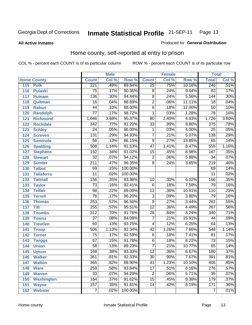**All Active Inmates**

#### Produced for **General Distribution**

## Home county, self-reported at entry to prison

|     |                    |                  | <b>Male</b> |         |                 | <b>Female</b> |        | <b>Total</b>     |                            |
|-----|--------------------|------------------|-------------|---------|-----------------|---------------|--------|------------------|----------------------------|
|     | <b>Home County</b> | <b>Count</b>     | Col %       | Row %   | <b>Count</b>    | Col %         | Row %  | <b>Total</b>     | $\overline{\text{Col }^9}$ |
| 115 | <b>Polk</b>        | 221              | .49%        | 89.84%  | $\overline{25}$ | .75%          | 10.16% | 246              | .51%                       |
| 116 | <b>Pulaski</b>     | $\overline{75}$  | .17%        | 90.36%  | 8               | .24%          | 9.64%  | 83               | .17%                       |
| 117 | <b>Putnam</b>      | 136              | .30%        | 94.44%  | $\overline{8}$  | .24%          | 5.56%  | 144              | .30%                       |
| 118 | Quitman            | $\overline{16}$  | .04%        | 88.89%  | $\overline{2}$  | .06%          | 11.11% | 18               | .04%                       |
| 119 | <b>Rabun</b>       | $\overline{44}$  | .10%        | 88.00%  | $\overline{6}$  | .18%          | 12.00% | $\overline{50}$  | .10%                       |
| 120 | <b>Randolph</b>    | $\overline{77}$  | .17%        | 98.72%  | 1               | .03%          | 1.28%  | 78               | .16%                       |
| 121 | <b>Richmond</b>    | 1,646            | 3.68%       | 95.37%  | $\overline{80}$ | 2.40%         | 4.63%  | 1,726            | 3.60%                      |
| 122 | <b>Rockdale</b>    | $\overline{342}$ | .77%        | 91.20%  | $\overline{33}$ | .99%          | 8.80%  | 375              | .78%                       |
| 123 | <b>Schley</b>      | $\overline{24}$  | .05%        | 96.00%  | 1               | .03%          | 4.00%  | $\overline{25}$  | .05%                       |
| 124 | <b>Screven</b>     | 131              | .29%        | 94.93%  | $\overline{7}$  | .21%          | 5.07%  | 138              | .29%                       |
| 125 | <b>Seminole</b>    | $\overline{56}$  | .13%        | 86.15%  | $\overline{9}$  | .27%          | 13.85% | 65               | .14%                       |
| 126 | <b>Spalding</b>    | 508              | 1.14%       | 91.53%  | $\overline{47}$ | 1.41%         | 8.47%  | 555              | 1.16%                      |
| 127 | <b>Stephens</b>    | 152              | .34%        | 91.02%  | $\overline{15}$ | .45%          | 8.98%  | 167              | .35%                       |
| 128 | <b>Stewart</b>     | $\overline{32}$  | .07%        | 94.12%  | $\overline{2}$  | .06%          | 5.88%  | $\overline{34}$  | .07%                       |
| 129 | <b>Sumter</b>      | $\overline{211}$ | .47%        | 96.35%  | $\overline{8}$  | .24%          | 3.65%  | $\overline{219}$ | .46%                       |
| 130 | <b>Talbot</b>      | 69               | .15%        | 100.00% |                 |               |        | 69               | .14%                       |
| 131 | <b>Taliaferro</b>  | $\overline{11}$  | .02%        | 100.00% |                 |               |        | $\overline{11}$  | .02%                       |
| 132 | <b>Tattnall</b>    | 156              | .35%        | 93.98%  | $\overline{10}$ | .30%          | 6.02%  | 166              | .35%                       |
| 133 | <b>Taylor</b>      | $\overline{73}$  | .16%        | 92.41%  | $\overline{6}$  | .18%          | 7.59%  | 79               | .16%                       |
| 134 | <b>Telfair</b>     | $\overline{98}$  | .22%        | 89.09%  | $\overline{12}$ | .36%          | 10.91% | 110              | .23%                       |
| 135 | <b>Terrell</b>     | $\overline{76}$  | .17%        | 96.20%  | $\overline{3}$  | .09%          | 3.80%  | 79               | .16%                       |
| 136 | <b>Thomas</b>      | 253              | .57%        | 96.56%  | $\overline{9}$  | .27%          | 3.44%  | $\overline{262}$ | .55%                       |
| 137 | <b>Tift</b>        | 255              | .57%        | 95.51%  | $\overline{12}$ | .36%          | 4.49%  | $\overline{267}$ | .56%                       |
| 138 | <b>Toombs</b>      | $\overline{312}$ | .70%        | 91.76%  | $\overline{28}$ | .84%          | 8.24%  | 340              | .71%                       |
| 139 | <b>Towns</b>       | $\overline{37}$  | .08%        | 84.09%  | $\overline{7}$  | .21%          | 15.91% | 44               | .09%                       |
| 140 | <b>Treutlen</b>    | 60               | .13%        | 93.75%  | 4               | .12%          | 6.25%  | 64               | .13%                       |
| 141 | <b>Troup</b>       | 506              | 1.13%       | 92.34%  | $\overline{42}$ | 1.26%         | 7.66%  | 548              | 1.14%                      |
| 142 | <b>Turner</b>      | $\overline{75}$  | .17%        | 92.59%  | $\overline{6}$  | .18%          | 7.41%  | 81               | .17%                       |
| 143 | <b>Twiggs</b>      | 67               | .15%        | 91.78%  | $\overline{6}$  | .18%          | 8.22%  | $\overline{73}$  | .15%                       |
| 144 | <b>Union</b>       | $\overline{58}$  | .13%        | 89.23%  | $\overline{7}$  | .21%          | 10.77% | 65               | .14%                       |
| 145 | <b>Upson</b>       | 168              | .38%        | 93.33%  | $\overline{12}$ | .36%          | 6.67%  | 180              | .37%                       |
| 146 | <b>Walker</b>      | 361              | .81%        | 92.33%  | $\overline{30}$ | .90%          | 7.67%  | 391              | .81%                       |
| 147 | <b>Walton</b>      | $\overline{365}$ | .82%        | 89.90%  | $\overline{41}$ | 1.23%         | 10.10% | 406              | .85%                       |
| 148 | <b>Ware</b>        | 259              | .58%        | 93.84%  | $\overline{17}$ | .51%          | 6.16%  | $\overline{276}$ | .57%                       |
| 149 | <b>Warren</b>      | $\overline{33}$  | .07%        | 94.29%  | $\overline{2}$  | .06%          | 5.71%  | $\overline{35}$  | .07%                       |
| 150 | <b>Washington</b>  | 164              | .37%        | 91.62%  | $\overline{15}$ | .45%          | 8.38%  | 179              | .37%                       |
| 151 | <b>Wayne</b>       | 157              | .35%        | 91.81%  | $\overline{14}$ | .42%          | 8.19%  | $\overline{171}$ | .36%                       |
|     | 152 Webster        | $\overline{7}$   | .02%        | 100.00% |                 |               |        | $\overline{7}$   | .01%                       |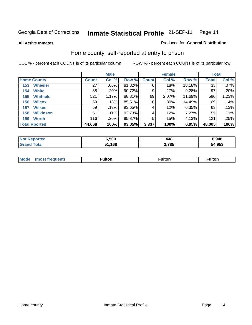**All Active Inmates**

#### Produced for **General Distribution**

## Home county, self-reported at entry to prison

|                         |              | <b>Male</b> |        |              | <b>Female</b> |        | <b>Total</b> |         |
|-------------------------|--------------|-------------|--------|--------------|---------------|--------|--------------|---------|
| <b>Home County</b>      | <b>Count</b> | Col %       | Row %  | <b>Count</b> | Col %         | Row %  | <b>Total</b> | Col %   |
| <b>Wheeler</b><br>153   | 27           | .06%        | 81.82% | 6            | .18%          | 18.18% | 33           | $.07\%$ |
| <b>White</b><br>154     | 88           | .20%        | 90.72% | 9            | .27%          | 9.28%  | 97           | .20%    |
| <b>Whitfield</b><br>155 | 521          | 1.17%       | 88.31% | 69           | 2.07%         | 11.69% | 590          | 1.23%   |
| <b>Wilcox</b><br>156    | 59           | .13%        | 85.51% | 10           | .30%          | 14.49% | 69           | .14%    |
| <b>Wilkes</b><br>157    | 59           | .13%        | 93.65% | 4            | .12%          | 6.35%  | 63           | .13%    |
| <b>Wilkinson</b><br>158 | 51           | .11%        | 92.73% | 4            | .12%          | 7.27%  | 55           | .11%    |
| <b>Worth</b><br>159     | 116          | .26%        | 95.87% | 5            | .15%          | 4.13%  | 121          | .25%    |
| <b>Total Rported</b>    | 44,668       | 100%        | 93.05% | 3,337        | 100%          | 6.95%  | 48,005       | 100%    |

| oorted<br><b>NO</b> | 5,500        | 448  | 6,948  |
|---------------------|--------------|------|--------|
| ™ota⊾<br>. Gr       | 1,168<br>E A | ,785 | 54,953 |

| Mode<br>ulton<br>ulton<br>ulton<br>.<br>(most frequent) |
|---------------------------------------------------------|
|---------------------------------------------------------|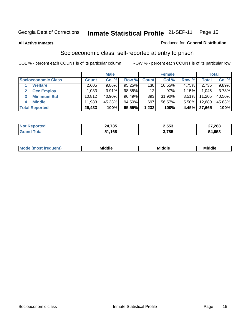#### **All Active Inmates**

#### Produced for **General Distribution**

## Socioeconomic class, self-reported at entry to prison

|                            |              | <b>Male</b> |           |                 | <b>Female</b> |       |        | <b>Total</b> |
|----------------------------|--------------|-------------|-----------|-----------------|---------------|-------|--------|--------------|
| <b>Socioeconomic Class</b> | <b>Count</b> | Col %       | Row %     | <b>Count</b> l  | Col %         | Row % | Total  | Col %        |
| <b>Welfare</b>             | 2,605        | 9.86%       | 95.25%    | 130             | 10.55%        | 4.75% | 2,735  | 9.89%        |
| <b>Occ Employ</b><br>2     | 1,033        | 3.91%       | 98.85%    | 12 <sup>°</sup> | .97%          | 1.15% | 1.045  | 3.78%        |
| <b>Minimum Std</b><br>3    | 10,812       | 40.90%      | 96.49%    | 393             | $31.90\%$     | 3.51% | 11,205 | 40.50%       |
| <b>Middle</b><br>4         | 11,983       | 45.33%      | $94.50\%$ | 697             | 56.57%        | 5.50% | 12,680 | 45.83%       |
| <b>Total Reported</b>      | 26,433       | 100%        | 95.55%    | 1,232           | 100%          | 4.45% | 27,665 | 100%         |

| <b>Not Reported</b> | 24,735 | 2,553 | 27,288 |
|---------------------|--------|-------|--------|
| Total               | 51,168 | 3,785 | 54,953 |

|  | w | - 11<br>.<br>Mı<br>זוה | ---<br>. .<br>. | Mi |
|--|---|------------------------|-----------------|----|
|--|---|------------------------|-----------------|----|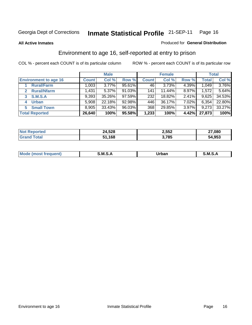#### **All Active Inmates**

#### Produced for **General Distribution**

## Environment to age 16, self-reported at entry to prison

|                              |              | <b>Male</b> |           |              | <b>Female</b> |          |              | <b>Total</b> |
|------------------------------|--------------|-------------|-----------|--------------|---------------|----------|--------------|--------------|
| <b>Environment to age 16</b> | <b>Count</b> | Col %       | Row %     | <b>Count</b> | Col %         | Row %    | <b>Total</b> | Col %        |
| <b>Rural/Farm</b>            | 1,003        | 3.77%       | 95.61%    | 46           | 3.73%         | 4.39%    | 1,049        | 3.76%        |
| <b>Rural/Nfarm</b>           | 1,431        | 5.37%       | $91.03\%$ | 141          | $11.44\%$     | 8.97%    | 1,572        | 5.64%        |
| <b>S.M.S.A</b><br>3          | 9,393        | 35.26%      | $97.59\%$ | 232          | 18.82%        | $2.41\%$ | 9,625        | 34.53%       |
| <b>Urban</b><br>4            | 5,908        | 22.18%      | 92.98%    | 446          | 36.17%        | 7.02%    | 6,354        | 22.80%       |
| <b>Small Town</b><br>5       | 8,905        | 33.43%      | 96.03%    | 368          | 29.85%        | $3.97\%$ | 9,273        | 33.27%       |
| <b>Total Reported</b>        | 26,640       | 100%        | 95.58%    | 1,233        | 100%          | 4.42%    | 27,873       | 100%         |

| <b>Not Reported</b> | 24,528 | 2,552 | 27,080 |
|---------------------|--------|-------|--------|
| Total<br>Grand      | 51,168 | 3,785 | 54,953 |

| M | .M | -----<br>rua<br>_____ | M |
|---|----|-----------------------|---|
|   |    |                       |   |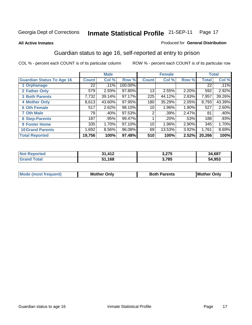#### **All Active Inmates**

#### Produced for **General Distribution**

## Guardian status to age 16, self-reported at entry to prison

|                                  |                 | <b>Male</b> |         |              | <b>Female</b> |          |              | <b>Total</b> |
|----------------------------------|-----------------|-------------|---------|--------------|---------------|----------|--------------|--------------|
| <b>Guardian Status To Age 16</b> | <b>Count</b>    | Col %       | Row %   | <b>Count</b> | Col %         | Row %    | <b>Total</b> | Col %        |
| 1 Orphanage                      | 22 <sub>1</sub> | .11%        | 100.00% |              |               |          | 22           | .11%         |
| 2 Father Only                    | 579             | 2.93%       | 97.80%  | 13           | 2.55%         | 2.20%    | 592          | 2.92%        |
| <b>3 Both Parents</b>            | 7,732           | 39.14%      | 97.17%  | 225          | 44.12%        | 2.83%    | 7,957        | 39.26%       |
| <b>4 Mother Only</b>             | 8,613           | 43.60%      | 97.95%  | 180          | 35.29%        | 2.05%    | 8,793        | 43.39%       |
| <b>6 Oth Female</b>              | 517             | 2.62%       | 98.10%  | 10           | 1.96%         | 1.90%    | 527          | 2.60%        |
| <b>7 Oth Male</b>                | 79              | .40%        | 97.53%  | 2            | $.39\%$       | 2.47%    | 81           | .40%         |
| 8 Step-Parents                   | 187             | .95%        | 99.47%  |              | $.20\%$       | .53%     | 188          | .93%         |
| 9 Foster Home                    | 335             | 1.70%       | 97.10%  | 10           | 1.96%         | $2.90\%$ | 345          | 1.70%        |
| <b>10 Grand Parents</b>          | 1,692           | 8.56%       | 96.08%  | 69           | 13.53%        | 3.92%    | 1,761        | 8.69%        |
| <b>Total Reported</b>            | 19,756          | 100%        | 97.48%  | 510          | 100%          | 2.52%    | 20,266       | 100%         |

| la telo<br>N | $.11^{\circ}$<br>ъ. | 2 クフド<br>U וגו | .,687<br>٤Д |
|--------------|---------------------|----------------|-------------|
|              | 168. ا              | 3,785          | 54,953      |

| Mode | Onlv<br>Mot | <b>Roth</b><br>Parents | <b>IMot</b><br>Onlv<br>∵hei |
|------|-------------|------------------------|-----------------------------|
|      |             |                        |                             |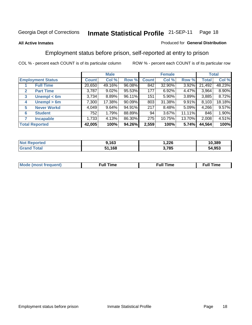#### **All Active Inmates**

#### Produced for **General Distribution**

## Employment status before prison, self-reported at entry to prison

|                                  |              | <b>Male</b> |        |              | <b>Female</b> |        |        | <b>Total</b> |
|----------------------------------|--------------|-------------|--------|--------------|---------------|--------|--------|--------------|
| <b>Employment Status</b>         | <b>Count</b> | Col %       | Row %  | <b>Count</b> | Col %         | Row %  | Total  | Col %        |
| <b>Full Time</b>                 | 20,650       | 49.16%      | 96.08% | 842          | 32.90%        | 3.92%  | 21,492 | 48.23%       |
| <b>Part Time</b><br>$\mathbf{2}$ | 3,787        | 9.02%       | 95.53% | 177          | 6.92%         | 4.47%  | 3,964  | 8.90%        |
| Unempl $<$ 6m<br>3               | 3,734        | 8.89%       | 96.11% | 151          | $5.90\%$      | 3.89%  | 3,885  | 8.72%        |
| Unempl > 6m<br>4                 | 7,300        | 17.38%      | 90.09% | 803          | 31.38%        | 9.91%  | 8,103  | 18.18%       |
| <b>Never Workd</b><br>5          | 4,049        | 9.64%       | 94.91% | 217          | 8.48%         | 5.09%  | 4,266  | 9.57%        |
| <b>Student</b><br>6              | 752          | 1.79%       | 88.89% | 94           | $3.67\%$      | 11.11% | 846    | 1.90%        |
| 7<br><b>Incapable</b>            | 1,733        | 4.13%       | 86.30% | 275          | 10.75%        | 13.70% | 2,008  | 4.51%        |
| <b>Total Reported</b>            | 42,005       | 100%        | 94.26% | 2,559        | 100%          | 5.74%  | 44,564 | 100%         |

| orted<br>Nt  | ,163 | ,226        | 10,389 |
|--------------|------|-------------|--------|
| $-1$<br>. Gr | .168 | 3,785<br>J. | 54,953 |

| <b>M</b> ດ | the contract of the contract of the contract of the contract of the contract of the contract of the contract of | the contract of the contract of the contract of the contract of the contract of the contract of the contract of | ----<br><b>Full Time</b> |
|------------|-----------------------------------------------------------------------------------------------------------------|-----------------------------------------------------------------------------------------------------------------|--------------------------|
|            |                                                                                                                 |                                                                                                                 |                          |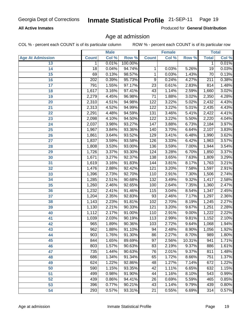#### **All Active Inmates**

Produced for **General Distribution**

#### Age at admission

|                         |              | <b>Male</b> |         |                  | <b>Female</b> |        |                 | <b>Total</b> |
|-------------------------|--------------|-------------|---------|------------------|---------------|--------|-----------------|--------------|
| <b>Age At Admission</b> | <b>Count</b> | Col %       | Row %   | <b>Count</b>     | Col %         | Row %  | <b>Total</b>    | Col %        |
| 13                      | 1            | 0.01%       | 100.00% |                  |               |        | 1               | 0.01%        |
| 14                      | 18           | 0.04%       | 94.74%  | 1                | 0.03%         | 5.26%  | $\overline{19}$ | 0.03%        |
| 15                      | 69           | 0.13%       | 98.57%  | 1                | 0.03%         | 1.43%  | $\overline{70}$ | 0.13%        |
| 16                      | 202          | 0.39%       | 95.73%  | 9                | 0.24%         | 4.27%  | 211             | 0.38%        |
| $\overline{17}$         | 791          | 1.55%       | 97.17%  | $\overline{23}$  | 0.61%         | 2.83%  | 814             | 1.48%        |
| 18                      | 1,617        | 3.16%       | 97.41%  | $\overline{43}$  | 1.14%         | 2.59%  | 1,660           | 3.02%        |
| 19                      | 2,279        | 4.45%       | 96.98%  | $\overline{71}$  | 1.88%         | 3.02%  | 2,350           | 4.28%        |
| 20                      | 2,310        | 4.51%       | 94.98%  | $\overline{122}$ | 3.22%         | 5.02%  | 2,432           | 4.43%        |
| 21                      | 2,313        | 4.52%       | 94.99%  | $\overline{122}$ | 3.22%         | 5.01%  | 2,435           | 4.43%        |
| 22                      | 2,291        | 4.48%       | 94.59%  | 131              | 3.46%         | 5.41%  | 2,422           | 4.41%        |
| 23                      | 2,098        | 4.10%       | 94.50%  | 122              | 3.22%         | 5.50%  | 2,220           | 4.04%        |
| 24                      | 2,037        | 3.98%       | 93.27%  | 147              | 3.88%         | 6.73%  | 2, 184          | 3.97%        |
| $\overline{25}$         | 1,967        | 3.84%       | 93.36%  | 140              | 3.70%         | 6.64%  | 2,107           | 3.83%        |
| 26                      | 1,861        | 3.64%       | 93.52%  | 129              | 3.41%         | 6.48%  | 1,990           | 3.62%        |
| 27                      | 1,837        | 3.59%       | 93.58%  | 126              | 3.33%         | 6.42%  | 1,963           | 3.57%        |
| 28                      | 1,808        | 3.53%       | 93.00%  | 136              | 3.59%         | 7.00%  | 1,944           | 3.54%        |
| 29                      | 1,726        | 3.37%       | 93.30%  | 124              | 3.28%         | 6.70%  | 1,850           | 3.37%        |
| 30                      | 1,671        | 3.27%       | 92.37%  | 138              | 3.65%         | 7.63%  | 1,809           | 3.29%        |
| 31                      | 1,619        | 3.16%       | 91.83%  | 144              | 3.81%         | 8.17%  | 1,763           | 3.21%        |
| 32                      | 1,476        | 2.88%       | 92.42%  | 121              | 3.20%         | 7.58%  | 1,597           | 2.91%        |
| 33                      | 1,396        | 2.73%       | 92.70%  | 110              | 2.91%         | 7.30%  | 1,506           | 2.74%        |
| 34                      | 1,285        | 2.51%       | 90.68%  | 132              | 3.49%         | 9.32%  | 1,417           | 2.58%        |
| 35                      | 1,260        | 2.46%       | 92.65%  | 100              | 2.64%         | 7.35%  | 1,360           | 2.47%        |
| 36                      | 1,232        | 2.41%       | 91.46%  | 115              | 3.04%         | 8.54%  | 1,347           | 2.45%        |
| $\overline{37}$         | 1,204        | 2.35%       | 92.83%  | 93               | 2.46%         | 7.17%  | 1,297           | 2.36%        |
| 38                      | 1,143        | 2.23%       | 91.81%  | 102              | 2.70%         | 8.19%  | 1,245           | 2.27%        |
| 39                      | 1,130        | 2.21%       | 90.33%  | 121              | 3.20%         | 9.67%  | 1,251           | 2.28%        |
| 40                      | 1,112        | 2.17%       | 91.00%  | 110              | 2.91%         | 9.00%  | 1,222           | 2.22%        |
| 41                      | 1,039        | 2.03%       | 90.19%  | $\overline{113}$ | 2.99%         | 9.81%  | 1,152           | 2.10%        |
| 42                      | 965          | 1.89%       | 90.36%  | 103              | 2.72%         | 9.64%  | 1,068           | 1.94%        |
| 43                      | 962          | 1.88%       | 91.10%  | 94               | 2.48%         | 8.90%  | 1,056           | 1.92%        |
| 44                      | 903          | 1.76%       | 91.30%  | 86               | 2.27%         | 8.70%  | 989             | 1.80%        |
| 45                      | 844          | 1.65%       | 89.69%  | 97               | 2.56%         | 10.31% | 941             | 1.71%        |
| 46                      | 803          | 1.57%       | 90.63%  | 83               | 2.19%         | 9.37%  | 886             | 1.61%        |
| 47                      | 735          | 1.44%       | 90.63%  | 76               | 2.01%         | 9.37%  | 811             | 1.48%        |
| 48                      | 686          | 1.34%       | 91.34%  | 65               | 1.72%         | 8.66%  | 751             | 1.37%        |
| 49                      | 624          | 1.22%       | 92.86%  | 48               | 1.27%         | 7.14%  | 672             | 1.22%        |
| 50                      | 590          | 1.15%       | 93.35%  | 42               | 1.11%         | 6.65%  | 632             | 1.15%        |
| 51                      | 499          | 0.98%       | 91.90%  | 44               | 1.16%         | 8.10%  | 543             | 0.99%        |
| 52                      | 439          | 0.86%       | 94.41%  | 26               | 0.69%         | 5.59%  | 465             | 0.85%        |
| 53                      | 396          | 0.77%       | 90.21%  | 43               | 1.14%         | 9.79%  | 439             | 0.80%        |
| 54                      | 293          | 0.57%       | 93.31%  | $\overline{21}$  | 0.55%         | 6.69%  | 314             | 0.57%        |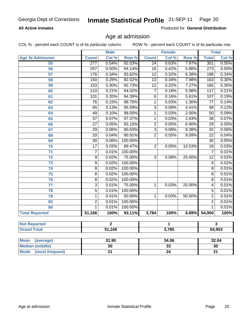#### **All Active Inmates**

Produced for **General Distribution**

#### Age at admission

COL % - percent each COUNT is of its particular column ROW % - percent each COUNT is of its particular row

|                          | <b>Male</b>               |        | <b>Female</b> |                         |       | <b>Total</b> |                  |       |
|--------------------------|---------------------------|--------|---------------|-------------------------|-------|--------------|------------------|-------|
| <b>Age At Admission</b>  | <b>Count</b>              | Col %  | Row %         | <b>Count</b>            | Col % | Row %        | <b>Total</b>     | Col % |
| 55                       | 277                       | 0.54%  | 92.03%        | $\overline{24}$         | 0.63% | 7.97%        | 301              | 0.55% |
| 56                       | $\overline{257}$          | 0.50%  | 94.14%        | $\overline{16}$         | 0.42% | 5.86%        | $\overline{273}$ | 0.50% |
| 57                       | 176                       | 0.34%  | 93.62%        | $\overline{12}$         | 0.32% | 6.38%        | 188              | 0.34% |
| 58                       | 150                       | 0.29%  | 92.02%        | $\overline{13}$         | 0.34% | 7.98%        | 163              | 0.30% |
| 59                       | 153                       | 0.30%  | 92.73%        | $\overline{12}$         | 0.32% | 7.27%        | 165              | 0.30% |
| 60                       | 110                       | 0.21%  | 94.02%        | $\overline{7}$          | 0.18% | 5.98%        | $\overline{117}$ | 0.21% |
| 61                       | $\overline{101}$          | 0.20%  | 94.39%        | $\overline{6}$          | 0.16% | 5.61%        | 107              | 0.19% |
| 62                       | $\overline{76}$           | 0.15%  | 98.70%        | 1                       | 0.03% | 1.30%        | $\overline{77}$  | 0.14% |
| 63                       | $\overline{65}$           | 0.13%  | 95.59%        | $\overline{\mathbf{3}}$ | 0.08% | 4.41%        | $\overline{68}$  | 0.12% |
| 64                       | 49                        | 0.10%  | 98.00%        | $\overline{1}$          | 0.03% | 2.00%        | $\overline{50}$  | 0.09% |
| 65                       | $\overline{37}$           | 0.07%  | 97.37%        | $\mathbf{1}$            | 0.03% | 2.63%        | $\overline{38}$  | 0.07% |
| 66                       | $\overline{27}$           | 0.05%  | 93.10%        | $\overline{2}$          | 0.05% | 6.90%        | $\overline{29}$  | 0.05% |
| 67                       | $\overline{29}$           | 0.06%  | 90.63%        | $\overline{3}$          | 0.08% | 9.38%        | $\overline{32}$  | 0.06% |
| 68                       | $\overline{20}$           | 0.04%  | 90.91%        | $\overline{2}$          | 0.05% | 9.09%        | 22               | 0.04% |
| 69                       | $\overline{30}$           | 0.06%  | 100.00%       |                         |       |              | $\overline{30}$  | 0.05% |
| 70                       | $\overline{17}$           | 0.03%  | 89.47%        | $\overline{2}$          | 0.05% | 10.53%       | $\overline{19}$  | 0.03% |
| $\overline{71}$          | $\overline{7}$            | 0.01%  | 100.00%       |                         |       |              | $\overline{7}$   | 0.01% |
| $\overline{72}$          | $\overline{9}$            | 0.02%  | 75.00%        | $\overline{3}$          | 0.08% | 25.00%       | $\overline{12}$  | 0.02% |
| $\overline{73}$          | $\overline{9}$            | 0.02%  | 100.00%       |                         |       |              | $\overline{9}$   | 0.02% |
| $\overline{74}$          | $\overline{8}$            | 0.02%  | 100.00%       |                         |       |              | $\overline{8}$   | 0.01% |
| $\overline{75}$          | $\overline{8}$            | 0.02%  | 100.00%       |                         |       |              | $\overline{8}$   | 0.01% |
| 76                       | $\overline{8}$            | 0.02%  | 100.00%       |                         |       |              | $\overline{8}$   | 0.01% |
| $\overline{77}$          | $\overline{\overline{3}}$ | 0.01%  | 75.00%        | $\overline{1}$          | 0.03% | 25.00%       | $\overline{4}$   | 0.01% |
| 78                       | $\overline{5}$            | 0.01%  | 100.00%       |                         |       |              | $\overline{5}$   | 0.01% |
| 79                       | 1                         | 0.01%  | 50.00%        | 1                       | 0.03% | 50.00%       | $\overline{2}$   | 0.01% |
| 82                       | $\overline{2}$            | 0.01%  | 100.00%       |                         |       |              | $\overline{2}$   | 0.01% |
| 84                       | 1                         | 0.01%  | 100.00%       |                         |       |              | 1                | 0.01% |
| <b>Total Reported</b>    | 51,166                    | 100%   | 93.11%        | 3,784                   | 100%  | 6.89%        | 54,950           | 100%  |
| <b>Not Reported</b>      | $\overline{2}$            |        |               | 1                       |       |              | $\mathbf{3}$     |       |
| <b>Grand Total</b>       |                           | 51,168 |               |                         | 3,785 | 54,953       |                  |       |
|                          |                           |        |               |                         |       |              |                  |       |
| <b>Mean</b><br>(average) |                           | 31.90  |               |                         | 34.06 |              |                  | 32.04 |
| <b>Median (middle)</b>   |                           | 30     |               |                         | 33    |              | 30               |       |

 **Mode (most frequent) 21**

**24**

**21**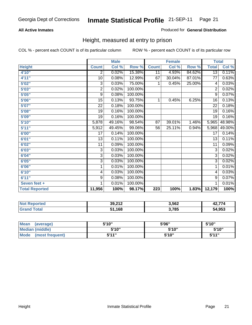#### **All Active Inmates**

#### Produced for **General Distribution**

## Height, measured at entry to prison

|                       |                | <b>Male</b> |         |              | <b>Female</b> |        | <b>Total</b>    |        |
|-----------------------|----------------|-------------|---------|--------------|---------------|--------|-----------------|--------|
| <b>Height</b>         | <b>Count</b>   | Col %       | Row %   | <b>Count</b> | Col %         | Row %  | <b>Total</b>    | Col %  |
| 4'10"                 | $\overline{2}$ | 0.02%       | 15.38%  | 11           | 4.93%         | 84.62% | $\overline{13}$ | 0.11%  |
| 4'11''                | 10             | 0.08%       | 12.99%  | 67           | 30.04%        | 87.01% | $\overline{77}$ | 0.63%  |
| 5'02"                 | 3              | 0.03%       | 75.00%  | 1            | 0.45%         | 25.00% | 4               | 0.03%  |
| 5'03''                | 2              | 0.02%       | 100.00% |              |               |        | $\overline{2}$  | 0.02%  |
| 5'05"                 | 9              | 0.08%       | 100.00% |              |               |        | 9               | 0.07%  |
| 5'06"                 | 15             | 0.13%       | 93.75%  | 1            | 0.45%         | 6.25%  | 16              | 0.13%  |
| 5'07''                | 22             | 0.18%       | 100.00% |              |               |        | $\overline{22}$ | 0.18%  |
| 5'08''                | 19             | 0.16%       | 100.00% |              |               |        | $\overline{19}$ | 0.16%  |
| 5'09''                | 19             | 0.16%       | 100.00% |              |               |        | 19              | 0.16%  |
| 5'10''                | 5,878          | 49.16%      | 98.54%  | 87           | 39.01%        | 1.46%  | 5,965           | 48.98% |
| 5'11''                | 5,912          | 49.45%      | 99.06%  | 56           | 25.11%        | 0.94%  | 5,968           | 49.00% |
| 6'00''                | 17             | 0.14%       | 100.00% |              |               |        | 17              | 0.14%  |
| 6'01''                | 13             | 0.11%       | 100.00% |              |               |        | 13              | 0.11%  |
| 6'02"                 | 11             | 0.09%       | 100.00% |              |               |        | 11              | 0.09%  |
| 6'03''                | 3              | 0.03%       | 100.00% |              |               |        | 3               | 0.02%  |
| 6'04"                 | 3              | 0.03%       | 100.00% |              |               |        | $\overline{3}$  | 0.02%  |
| 6'05''                | 3              | 0.03%       | 100.00% |              |               |        | 3               | 0.02%  |
| 6'06''                | 1              | 0.01%       | 100.00% |              |               |        | 1               | 0.01%  |
| 6'10''                | 4              | 0.03%       | 100.00% |              |               |        | 4               | 0.03%  |
| 6'11''                | 9              | 0.08%       | 100.00% |              |               |        | 9               | 0.07%  |
| Seven feet +          | 1              | 0.01%       | 100.00% |              |               |        | $\overline{1}$  | 0.01%  |
| <b>Total Reported</b> | 11,956         | 100%        | 98.17%  | 223          | 100%          | 1.83%  | 12,179          | 100%   |

| <b>Not</b><br><b>Reported</b> | 39,212 | 3,562 | $\sim -1$<br>- - - - - |
|-------------------------------|--------|-------|------------------------|
| ⊺otal                         | 51,168 | 3,785 | 54,953                 |

| <b>Mean</b><br>(average)       | 5'10" | 5'06" | 5'10''       |
|--------------------------------|-------|-------|--------------|
| Median (middle)                | 5'10" | 5'10" | 5'10"        |
| <b>Mode</b><br>(most frequent) | 5'11" | 5'10" | <b>K'11"</b> |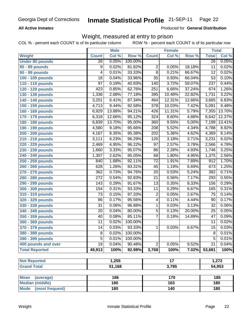#### **All Active Inmates**

Produced for **General Distribution**

#### Weight, measured at entry to prison

|                          | <b>Male</b>     |        | <b>Female</b> |                  |        | <b>Total</b> |                  |        |
|--------------------------|-----------------|--------|---------------|------------------|--------|--------------|------------------|--------|
| Weight                   | <b>Count</b>    | Col %  | Row %         | <b>Count</b>     | Col %  | Row %        | <b>Total</b>     | Col %  |
| <b>Under 80 pounds</b>   | $\overline{26}$ | 0.05%  | 100.00%       |                  |        |              | $\overline{26}$  | 0.05%  |
| 80 - 89 pounds           | 9               | 0.02%  | 81.82%        | 2                | 0.05%  | 18.18%       | $\overline{11}$  | 0.02%  |
| <b>90 - 99 pounds</b>    | 4               | 0.01%  | 33.33%        | $\overline{8}$   | 0.21%  | 66.67%       | $\overline{12}$  | 0.02%  |
| 100 - 109 pounds         | 18              | 0.04%  | 33.96%        | $\overline{35}$  | 0.93%  | 66.04%       | $\overline{53}$  | 0.10%  |
| 110 - 119 pounds         | $\overline{97}$ | 0.19%  | 40.93%        | 140              | 3.72%  | 59.07%       | $\overline{237}$ | 0.44%  |
| 120 - 129 pounds         | 423             | 0.85%  | 62.76%        | 251              | 6.66%  | 37.24%       | 674              | 1.26%  |
| 130 - 139 pounds         | 1,336           | 2.68%  | 77.18%        | 395              | 10.48% | 22.82%       | 1,731            | 3.22%  |
| 140 - 149 pounds         | 3,201           | 6.41%  | 87.34%        | 464              | 12.31% | 12.66%       | 3,665            | 6.83%  |
| 150 - 159 pounds         | 4,713           | 9.44%  | 92.58%        | $\overline{378}$ | 10.03% | 7.42%        | 5,091            | 9.48%  |
| 160 - 169 pounds         | 6,929           | 13.88% | 94.21%        | 426              | 11.31% | 5.79%        | 7,355            | 13.70% |
| 170 - 179 pounds         | 6,318           | 12.66% | 95.12%        | 324              | 8.60%  | 4.88%        | 6,642            | 12.37% |
| 180 - 189 pounds         | 6,839           | 13.70% | 95.00%        | 360              | 9.55%  | 5.00%        | 7,199            | 13.41% |
| 190 - 199 pounds         | 4,580           | 9.18%  | 95.66%        | $\overline{208}$ | 5.52%  | 4.34%        | 4,788            | 8.92%  |
| 200 - 209 pounds         | 4,167           | 8.35%  | 95.38%        | 202              | 5.36%  | 4.62%        | 4,369            | 8.14%  |
| 210 - 219 pounds         | 3,111           | 6.23%  | 96.29%        | 120              | 3.18%  | 3.71%        | 3,231            | 6.02%  |
| 220 - 229 pounds         | 2,469           | 4.95%  | 96.22%        | $\overline{97}$  | 2.57%  | 3.78%        | 2,566            | 4.78%  |
| 230 - 239 pounds         | 1,660           | 3.33%  | 95.07%        | 86               | 2.28%  | 4.93%        | 1,746            | 3.25%  |
| 240 - 249 pounds         | 1,307           | 2.62%  | 95.05%        | 68               | 1.80%  | 4.95%        | 1,375            | 2.56%  |
| 250 - 259 pounds         | 840             | 1.68%  | 92.11%        | $\overline{72}$  | 1.91%  | 7.89%        | 912              | 1.70%  |
| 260 - 269 pounds         | 628             | 1.26%  | 93.31%        | 45               | 1.19%  | 6.69%        | 673              | 1.25%  |
| 270 - 279 pounds         | 362             | 0.73%  | 94.76%        | $\overline{20}$  | 0.53%  | 5.24%        | 382              | 0.71%  |
| 280 - 289 pounds         | 272             | 0.54%  | 92.83%        | $\overline{21}$  | 0.56%  | 7.17%        | 293              | 0.55%  |
| 290 - 299 pounds         | 143             | 0.29%  | 91.67%        | $\overline{13}$  | 0.35%  | 8.33%        | 156              | 0.29%  |
| 300 - 309 pounds         | 154             | 0.31%  | 93.33%        | 11               | 0.29%  | 6.67%        | 165              | 0.31%  |
| 310 - 319 pounds         | $\overline{73}$ | 0.15%  | 97.33%        | 2                | 0.05%  | 2.67%        | $\overline{75}$  | 0.14%  |
| 320 - 329 pounds         | 86              | 0.17%  | 95.56%        | 4                | 0.11%  | 4.44%        | 90               | 0.17%  |
| 330 - 339 pounds         | $\overline{31}$ | 0.06%  | 96.88%        | 1                | 0.03%  | 3.13%        | $\overline{32}$  | 0.06%  |
| 340 - 349 pounds         | 20              | 0.04%  | 80.00%        | 5                | 0.13%  | 20.00%       | 25               | 0.05%  |
| 350 - 359 pounds         | 40              | 0.08%  | 85.11%        | $\overline{7}$   | 0.19%  | 14.89%       | $\overline{47}$  | 0.09%  |
| 360 - 369 pounds         | 11              | 0.02%  | 100.00%       |                  |        |              | 11               | 0.02%  |
| 370 - 379 pounds         | 14              | 0.03%  | 93.33%        | $\mathbf{1}$     | 0.03%  | 6.67%        | 15               | 0.03%  |
| 380 - 389 pounds         | 8               | 0.02%  | 100.00%       |                  |        |              | 8                | 0.01%  |
| 390 - 399 pounds         | 5               | 0.01%  | 100.00%       |                  |        |              | $\overline{5}$   | 0.01%  |
| 400 pounds and over      | $\overline{19}$ | 0.04%  | 90.48%        | $\overline{2}$   | 0.05%  | 9.52%        | $\overline{21}$  | 0.04%  |
| <b>Total Reported</b>    | 49,913          | 100%   | 92.98%        | 3,768            | 100%   | 7.02%        | 53,681           | 100%   |
|                          |                 |        |               |                  |        |              |                  |        |
| <b>Not Reported</b>      |                 | 1,255  |               |                  | 17     |              |                  | 1,272  |
| <b>Grand Total</b>       |                 | 51,168 |               |                  | 3,785  |              |                  | 54,953 |
| <b>Mean</b><br>(average) |                 | 186    |               |                  | 170    |              |                  | 185    |
|                          |                 |        |               |                  |        |              |                  |        |

| Mean<br>(average)              | 186 | 170 | 185 |
|--------------------------------|-----|-----|-----|
| Median (middle)                | 180 | 163 | 180 |
| <b>Mode</b><br>(most frequent) | 180 | 140 | 180 |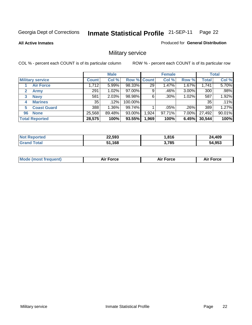**All Active Inmates**

#### Produced for **General Distribution**

## Military service

|                         |                    |              | <b>Male</b> |             |       | <b>Female</b> |          |              | <b>Total</b> |  |
|-------------------------|--------------------|--------------|-------------|-------------|-------|---------------|----------|--------------|--------------|--|
| <b>Military service</b> |                    | <b>Count</b> | Col %       | Row % Count |       | Col %         | Row %    | <b>Total</b> | Col %        |  |
|                         | <b>Air Force</b>   | 1,712        | $5.99\%$    | 98.33%      | 29    | 1.47%         | 1.67%    | 1,741        | 5.70%        |  |
| 2                       | <b>Army</b>        | 291          | 1.02%       | 97.00%      | 9     | .46%          | $3.00\%$ | 300          | .98%         |  |
| 3                       | <b>Navy</b>        | 581          | 2.03%       | 98.98%      | 6     | $.30\%$       | 1.02%    | 587          | 1.92%        |  |
| 4                       | <b>Marines</b>     | 35           | .12%        | 100.00%     |       |               |          | 35           | .11%         |  |
| 5                       | <b>Coast Guard</b> | 388          | 1.36%       | 99.74%      |       | .05%          | .26%     | 389          | 1.27%        |  |
| 96                      | <b>None</b>        | 25,568       | 89.48%      | 93.00%      | 1,924 | 97.71%        | 7.00%    | 27,492       | 90.01%       |  |
| <b>Total Reported</b>   |                    | 28,575       | 100%        | 93.55%      | 1,969 | 100%          | 6.45%    | 30,544       | 100%         |  |

| <b>Not</b><br>oorted<br>uar | 22,593 | .816  | ,409         |
|-----------------------------|--------|-------|--------------|
| ⊺otal                       | 51,168 | 3,785 | 64,953<br>54 |

|  | <b>Mode (most frequent)</b> | <b>Air Force</b> | <b>Air Force</b> | Force<br>Air |
|--|-----------------------------|------------------|------------------|--------------|
|--|-----------------------------|------------------|------------------|--------------|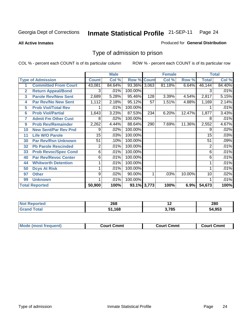#### **All Active Inmates**

#### Produced for **General Distribution**

## Type of admission to prison

|                         |                             |              | <b>Male</b> |              |                    | <b>Female</b> |        |                | <b>Total</b> |  |
|-------------------------|-----------------------------|--------------|-------------|--------------|--------------------|---------------|--------|----------------|--------------|--|
|                         | <b>Type of Admission</b>    | <b>Count</b> | Col %       |              | <b>Row % Count</b> | Col %         | Row %  | <b>Total</b>   | Col %        |  |
|                         | <b>Committed From Court</b> | 43,081       | 84.64%      | 93.36% 3,063 |                    | 81.18%        | 6.64%  | 46,144         | 84.40%       |  |
| $\mathbf{2}$            | <b>Return Appeal/Bond</b>   | 3            | .01%        | 100.00%      |                    |               |        | 3              | .01%         |  |
| $\overline{\mathbf{3}}$ | <b>Parole Rev/New Sent</b>  | 2,689        | 5.28%       | 95.46%       | 128                | 3.39%         | 4.54%  | 2,817          | 5.15%        |  |
| 4                       | <b>Par Rev/No New Sent</b>  | 1,112        | 2.18%       | 95.12%       | 57                 | 1.51%         | 4.88%  | 1,169          | 2.14%        |  |
| 5                       | <b>Prob Viol/Total Rev</b>  |              | .01%        | 100.00%      |                    |               |        |                | .01%         |  |
| 6                       | <b>Prob Viol/Partial</b>    | 1,643        | 3.23%       | 87.53%       | 234                | 6.20%         | 12.47% | 1,877          | 3.43%        |  |
| 7                       | <b>Admit Fm Other Cust</b>  | 8            | .02%        | 100.00%      |                    |               |        | 8              | .01%         |  |
| 9                       | <b>Prob Rev/Remainder</b>   | 2,262        | 4.44%       | 88.64%       | 290                | 7.69%         | 11.36% | 2,552          | 4.67%        |  |
| 10                      | <b>New Sent/Par Rev Pnd</b> | 9            | $.02\%$     | 100.00%      |                    |               |        | 9              | .02%         |  |
| 11                      | <b>Life W/O Parole</b>      | 15           | .03%        | 100.00%      |                    |               |        | 15             | .03%         |  |
| 30                      | <b>Par Rev/Rsn Unknown</b>  | 51           | .10%        | 100.00%      |                    |               |        | 51             | .09%         |  |
| 32                      | <b>Pb Parole Rescinded</b>  | 2            | .01%        | 100.00%      |                    |               |        | $\overline{2}$ | .01%         |  |
| 33                      | <b>Prob Revoc/Spec Cond</b> | 6            | .01%        | 100.00%      |                    |               |        | 6              | .01%         |  |
| 40                      | <b>Par Rev/Revoc Center</b> | 6            | .01%        | 100.00%      |                    |               |        | 6              | .01%         |  |
| 44                      | <b>Whitworth Detention</b>  |              | .01%        | 100.00%      |                    |               |        |                | .01%         |  |
| 50                      | <b>Dcys At Risk</b>         |              | .01%        | 100.00%      |                    |               |        |                | .01%         |  |
| 97                      | <b>Other</b>                | 9            | .02%        | 90.00%       |                    | .03%          | 10.00% | 10             | .02%         |  |
| 99                      | <b>Unknown</b>              |              | .01%        | 100.00%      |                    |               |        |                | .01%         |  |
|                         | <b>Total Reported</b>       | 50,900       | 100%        | 93.1% 3,773  |                    | 100%          | 6.9%   | 54,673         | 100%         |  |

| neo<br>200 | $\overline{\phantom{a}}$ | 280          |
|------------|--------------------------|--------------|
| .168       | 3.785                    | 34.953<br>ъл |

| <b>Mode (most frequent)</b><br><b>Court Cmmt</b><br><b>Court Cmmt</b><br><b>Court Cmmt</b> |  |  |
|--------------------------------------------------------------------------------------------|--|--|
|                                                                                            |  |  |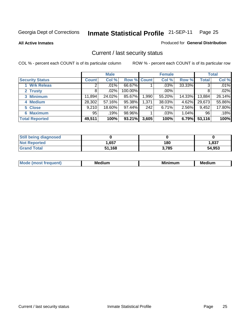**All Active Inmates**

#### Produced for **General Distribution**

## Current / last security status

|                        |              | <b>Male</b> |             |       | <b>Female</b> |        |              | <b>Total</b> |
|------------------------|--------------|-------------|-------------|-------|---------------|--------|--------------|--------------|
| <b>Security Status</b> | <b>Count</b> | Col %       | Row % Count |       | Col %         | Row %  | <b>Total</b> | Col %        |
| 1 Wrk Releas           | 2            | $.01\%$     | 66.67%      |       | .03%          | 33.33% | 3            | .01%         |
| 2 Trusty               | 8            | $.02\%$     | 100.00%     |       | $.00\%$       |        | 8            | .02%         |
| 3 Minimum              | 11,894       | 24.02%      | 85.67%      | 1,990 | 55.20%        | 14.33% | 13,884       | 26.14%       |
| 4 Medium               | 28,302       | 57.16%      | 95.38%      | 1,371 | 38.03%        | 4.62%  | 29,673       | 55.86%       |
| 5 Close                | 9,210        | 18.60%      | 97.44%      | 242   | 6.71%         | 2.56%  | 9,452        | 17.80%       |
| 6 Maximum              | 95           | .19%        | 98.96%      |       | $.03\%$       | 1.04%  | 96           | .18%         |
| <b>Total Reported</b>  | 49,511       | 100%        | 93.21%      | 3,605 | 100%          | 6.79%  | 53,116       | 100%         |

| <b>Still being diagnosed</b> |        |       |        |
|------------------------------|--------|-------|--------|
| <b>Not Reported</b>          | 1,657  | 180   | 1,837  |
| <b>Grand Total</b>           | 51,168 | 3,785 | 54,953 |

| M | <br><br>$  -$ | <br>- -<br>Me |
|---|---------------|---------------|
|   |               |               |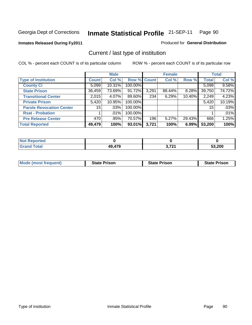#### **Inmates Released During Fy2011**

Produced for **General Distribution**

## Current / last type of institution

|                                 |                 | <b>Male</b> |             |       | <b>Female</b> |        |              | <b>Total</b> |
|---------------------------------|-----------------|-------------|-------------|-------|---------------|--------|--------------|--------------|
| <b>Type of Institution</b>      | <b>Count</b>    | Col %       | Row % Count |       | Col %         | Row %  | <b>Total</b> | Col %        |
| <b>County Ci</b>                | 5,099           | $10.31\%$   | 100.00%     |       |               |        | 5,099        | 9.58%        |
| <b>State Prison</b>             | 36,459          | 73.69%      | 91.72%      | 3,291 | 88.44%        | 8.28%  | 39,750       | 74.72%       |
| <b>Transitional Center</b>      | 2,015           | 4.07%       | 89.60%      | 234   | 6.29%         | 10.40% | 2,249        | 4.23%        |
| <b>Private Prison</b>           | 5,420           | 10.95%      | 100.00%     |       |               |        | 5,420        | 10.19%       |
| <b>Parole Revocation Center</b> | 15 <sup>1</sup> | .03%        | 100.00%     |       |               |        | 15           | .03%         |
| <b>Rsat - Probation</b>         |                 | $.01\%$     | 100.00%     |       |               |        |              | .01%         |
| <b>Pre Release Center</b>       | 470             | .95%        | 70.57%      | 196   | 5.27%         | 29.43% | 666          | 1.25%        |
| <b>Total Reported</b>           | 49,479          | 100%        | 93.01%      | 3,721 | 100%          | 6.99%  | 53,200       | 100%         |

| τeα         |                  |              |        |
|-------------|------------------|--------------|--------|
| <b>otal</b> | ,479<br>лч<br>-- | 2.724<br>. . | 53,200 |

| <b>Mode (most frequent)</b> | <b>State Prison</b> | <b>State Prison</b> | <b>State Prison</b> |
|-----------------------------|---------------------|---------------------|---------------------|
|                             |                     |                     |                     |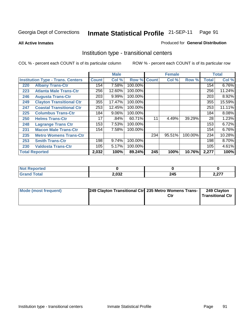**All Active Inmates**

#### Produced for **General Distribution**

## Institution type - transitional centers

|                                          |                                 |              | <b>Male</b> |         |              | <b>Female</b> |         |              | <b>Total</b> |
|------------------------------------------|---------------------------------|--------------|-------------|---------|--------------|---------------|---------|--------------|--------------|
| <b>Institution Type - Trans. Centers</b> |                                 | <b>Count</b> | Col %       | Row %   | <b>Count</b> | Col %         | Row %   | <b>Total</b> | Col %        |
| 220                                      | <b>Albany Trans-Ctr</b>         | 154          | 7.58%       | 100.00% |              |               |         | 154          | 6.76%        |
| 223                                      | <b>Atlanta Male Trans-Ctr</b>   | 256          | 12.60%      | 100.00% |              |               |         | 256          | 11.24%       |
| 246                                      | <b>Augusta Trans-Ctr</b>        | 203          | 9.99%       | 100.00% |              |               |         | 203          | 8.92%        |
| 249                                      | <b>Clayton Transitional Ctr</b> | 355          | 17.47%      | 100.00% |              |               |         | 355          | 15.59%       |
| 247                                      | <b>Coastal Transitional Ctr</b> | 253          | 12.45%      | 100.00% |              |               |         | 253          | 11.11%       |
| 225                                      | <b>Columbus Trans-Ctr</b>       | 184          | 9.06%       | 100.00% |              |               |         | 184          | 8.08%        |
| 250                                      | <b>Helms Trans-Ctr</b>          | 17           | .84%        | 60.71%  | 11           | 4.49%         | 39.29%  | 28           | 1.23%        |
| 248                                      | <b>Lagrange Trans Ctr</b>       | 153          | 7.53%       | 100.00% |              |               |         | 153          | 6.72%        |
| 231                                      | <b>Macon Male Trans-Ctr</b>     | 154          | 7.58%       | 100.00% |              |               |         | 154          | 6.76%        |
| 235                                      | <b>Metro Womens Trans-Ctr</b>   |              |             |         | 234          | 95.51%        | 100.00% | 234          | 10.28%       |
| 253                                      | <b>Smith Trans-Ctr</b>          | 198          | 9.74%       | 100.00% |              |               |         | 198          | 8.70%        |
| 230                                      | <b>Valdosta Trans-Ctr</b>       | 105          | 5.17%       | 100.00% |              |               |         | 105          | 4.61%        |
|                                          | <b>Total Reported</b>           | 2,032        | 100%        | 89.24%  | 245          | 100%          | 10.76%  | 2,277        | 100%         |

| wee<br>. |       |          |             |
|----------|-------|----------|-------------|
|          | 2,032 | クノド<br>⊷ | ^77<br>2,41 |

| Mode (most frequent) | [249 Clayton Transitional Ctr] 235 Metro Womens Trans- | 249 Clayton<br><b>Transitional Ctr</b> |
|----------------------|--------------------------------------------------------|----------------------------------------|
|                      |                                                        |                                        |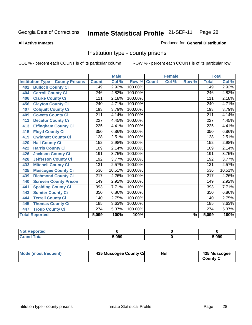#### **All Active Inmates**

#### Produced for **General Distribution**

## Institution type - county prisons

|                                          |                  | <b>Male</b> |         |              | <b>Female</b> |                          |                  | <b>Total</b> |
|------------------------------------------|------------------|-------------|---------|--------------|---------------|--------------------------|------------------|--------------|
| <b>Institution Type - County Prisons</b> | <b>Count</b>     | Col %       | Row %   | <b>Count</b> | Col %         | Row %                    | <b>Total</b>     | Col %        |
| <b>Bulloch County Ci</b><br>402          | 149              | 2.92%       | 100.00% |              |               |                          | 149              | 2.92%        |
| <b>Carroll County Ci</b><br>404          | $\overline{246}$ | 4.82%       | 100.00% |              |               |                          | $\overline{246}$ | 4.82%        |
| <b>Clarke County Ci</b><br>406           | 111              | 2.18%       | 100.00% |              |               |                          | 111              | 2.18%        |
| <b>Clayton County Ci</b><br>456          | 240              | 4.71%       | 100.00% |              |               |                          | 240              | 4.71%        |
| <b>Colquitt County Ci</b><br>407         | 193              | 3.79%       | 100.00% |              |               |                          | 193              | 3.79%        |
| <b>Coweta County Ci</b><br>409           | 211              | 4.14%       | 100.00% |              |               |                          | $\overline{211}$ | 4.14%        |
| <b>Decatur County Ci</b><br>411          | 227              | 4.45%       | 100.00% |              |               |                          | 227              | 4.45%        |
| <b>Effingham County Ci</b><br>413        | $\overline{225}$ | 4.41%       | 100.00% |              |               |                          | $\overline{225}$ | 4.41%        |
| <b>Floyd County Ci</b><br>415            | 350              | 6.86%       | 100.00% |              |               |                          | 350              | 6.86%        |
| <b>Gwinnett County Ci</b><br>419         | $\overline{128}$ | 2.51%       | 100.00% |              |               |                          | 128              | 2.51%        |
| <b>Hall County Ci</b><br>420             | 152              | 2.98%       | 100.00% |              |               |                          | 152              | 2.98%        |
| <b>Harris County Ci</b><br>422           | 109              | 2.14%       | 100.00% |              |               |                          | 109              | 2.14%        |
| <b>Jackson County Ci</b><br>426          | 191              | 3.75%       | 100.00% |              |               |                          | 191              | 3.75%        |
| <b>Jefferson County Ci</b><br>428        | 192              | 3.77%       | 100.00% |              |               |                          | 192              | 3.77%        |
| <b>Mitchell County Ci</b><br>433         | 131              | 2.57%       | 100.00% |              |               |                          | 131              | 2.57%        |
| <b>Muscogee County Ci</b><br>435         | 536              | 10.51%      | 100.00% |              |               |                          | 536              | 10.51%       |
| <b>Richmond County Ci</b><br>439         | $\overline{217}$ | 4.26%       | 100.00% |              |               |                          | 217              | 4.26%        |
| <b>Screven County Prison</b><br>440      | 149              | 2.92%       | 100.00% |              |               |                          | 149              | 2.92%        |
| <b>Spalding County Ci</b><br>441         | 393              | 7.71%       | 100.00% |              |               |                          | 393              | 7.71%        |
| <b>Sumter County Ci</b><br>443           | 350              | 6.86%       | 100.00% |              |               |                          | 350              | 6.86%        |
| <b>Terrell County Ci</b><br>444          | 140              | 2.75%       | 100.00% |              |               |                          | $\overline{1}40$ | 2.75%        |
| <b>Thomas County Ci</b><br>445           | 185              | 3.63%       | 100.00% |              |               |                          | 185              | 3.63%        |
| <b>Troup County Ci</b><br>447            | 274              | 5.37%       | 100.00% |              |               |                          | 274              | 5.37%        |
| <b>Total Reported</b>                    | 5,099            | 100%        | 100%    |              |               | $\overline{\frac{9}{6}}$ | 5,099            | 100%         |

| <b>Not Reported</b>          |       |       |
|------------------------------|-------|-------|
| <b>Total</b><br><b>Grand</b> | 5.099 | 5.099 |

| Mode (most frequent)<br>435 Muscogee County Ci | Null | 435 Muscogee<br><b>County Ci</b> |
|------------------------------------------------|------|----------------------------------|
|------------------------------------------------|------|----------------------------------|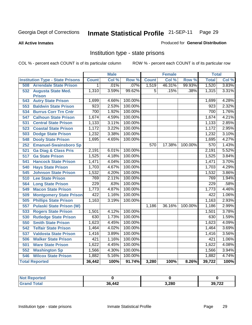**All Active Inmates**

#### Produced for **General Distribution**

## Institution type - state prisons

|                                         |              | <b>Male</b> |         |              | <b>Female</b> |         | <b>Total</b> |       |
|-----------------------------------------|--------------|-------------|---------|--------------|---------------|---------|--------------|-------|
| <b>Institution Type - State Prisons</b> | <b>Count</b> | Col %       | Row %   | <b>Count</b> | Col %         | Row %   | <b>Total</b> | Col % |
| <b>Arrendale State Prison</b><br>508    | 1.           | .01%        | .07%    | 1,519        | 46.31%        | 99.93%  | 1,520        | 3.83% |
| 532<br><b>Augusta State Med.</b>        | 1,310        | 3.59%       | 99.62%  | 5            | .15%          | .38%    | 1,315        | 3.31% |
| <b>Prison</b>                           |              |             |         |              |               |         |              |       |
| <b>Autry State Prison</b><br>543        | 1,699        | 4.66%       | 100.00% |              |               |         | 1,699        | 4.28% |
| <b>Baldwin State Prison</b><br>553      | 923          | 2.53%       | 100.00% |              |               |         | 923          | 2.32% |
| <b>Burrus Corr Trn Cntr</b><br>534      | 700          | 1.92%       | 100.00% |              |               |         | 700          | 1.76% |
| <b>Calhoun State Prison</b><br>547      | 1,674        | 4.59%       | 100.00% |              |               |         | 1,674        | 4.21% |
| <b>Central State Prison</b><br>531      | 1,133        | 3.11%       | 100.00% |              |               |         | 1,133        | 2.85% |
| <b>Coastal State Prison</b><br>523      | 1,172        | 3.22%       | 100.00% |              |               |         | 1,172        | 2.95% |
| <b>Dodge State Prison</b><br>503        | 1,232        | 3.38%       | 100.00% |              |               |         | 1,232        | 3.10% |
| 548<br><b>Dooly State Prison</b>        | 1,695        | 4.65%       | 100.00% |              |               |         | 1,695        | 4.27% |
| <b>Emanuel-Swainsboro Sp</b><br>252     |              |             |         | 570          | 17.38%        | 100.00% | 570          | 1.43% |
| <b>Ga Diag &amp; Class Pris</b><br>521  | 2,191        | 6.01%       | 100.00% |              |               |         | 2,191        | 5.52% |
| <b>Ga State Prison</b><br>517           | 1,525        | 4.18%       | 100.00% |              |               |         | 1,525        | 3.84% |
| <b>Hancock State Prison</b><br>541      | 1,471        | 4.04%       | 100.00% |              |               |         | 1,471        | 3.70% |
| 540<br><b>Hays State Prison</b>         | 1,703        | 4.67%       | 100.00% |              |               |         | 1,703        | 4.29% |
| 545<br><b>Johnson State Prison</b>      | 1,532        | 4.20%       | 100.00% |              |               |         | 1,532        | 3.86% |
| 510<br><b>Lee State Prison</b>          | 769          | 2.11%       | 100.00% |              |               |         | 769          | 1.94% |
| 564<br><b>Long State Prison</b>         | 229          | .63%        | 100.00% |              |               |         | 229          | .58%  |
| 549<br><b>Macon State Prison</b>        | 1,773        | 4.87%       | 100.00% |              |               |         | 1,773        | 4.46% |
| <b>Montgomery State Prison</b><br>509   | 422          | 1.16%       | 100.00% |              |               |         | 422          | 1.06% |
| <b>Phillips State Prison</b><br>505     | 1,163        | 3.19%       | 100.00% |              |               |         | 1,163        | 2.93% |
| <b>Pulaski State Prison (W)</b><br>557  |              |             |         | 1,186        | 36.16%        | 100.00% | 1,186        | 2.99% |
| 533<br><b>Rogers State Prison</b>       | 1,501        | 4.12%       | 100.00% |              |               |         | 1,501        | 3.78% |
| <b>Rutledge State Prison</b><br>530     | 630          | 1.73%       | 100.00% |              |               |         | 630          | 1.59% |
| <b>Smith State Prison</b><br>550        | 1,623        | 4.45%       | 100.00% |              |               |         | 1,623        | 4.09% |
| 542<br><b>Telfair State Prison</b>      | 1,464        | 4.02%       | 100.00% |              |               |         | 1,464        | 3.69% |
| 537<br><b>Valdosta State Prison</b>     | 1,416        | 3.89%       | 100.00% |              |               |         | 1,416        | 3.56% |
| <b>Walker State Prison</b><br>506       | 421          | 1.16%       | 100.00% |              |               |         | 421          | 1.06% |
| <b>Ware State Prison</b><br>501         | 1,622        | 4.45%       | 100.00% |              |               |         | 1,622        | 4.08% |
| 552<br><b>Washington Sp</b>             | 1,566        | 4.30%       | 100.00% |              |               |         | 1,566        | 3.94% |
| <b>Wilcox State Prison</b><br>546       | 1,882        | 5.16%       | 100.00% |              |               |         | 1,882        | 4.74% |
| <b>Total Reported</b>                   | 36,442       | 100%        | 91.74%  | 3,280        | 100%          | 8.26%   | 39,722       | 100%  |

| "Tet. |        |       |              |
|-------|--------|-------|--------------|
| Гоtа  | 36,442 | 3,280 | 20.722<br>LL |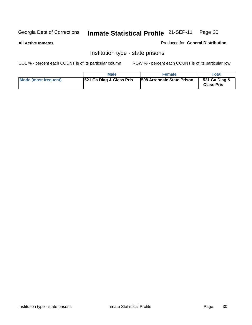#### **All Active Inmates**

Produced for **General Distribution**

## Institution type - state prisons

|                      | <b>Male</b>              | <b>Female</b>                     | Total                              |
|----------------------|--------------------------|-----------------------------------|------------------------------------|
| Mode (most frequent) | 521 Ga Diag & Class Pris | <b>508 Arrendale State Prison</b> | 521 Ga Diag &<br><b>Class Pris</b> |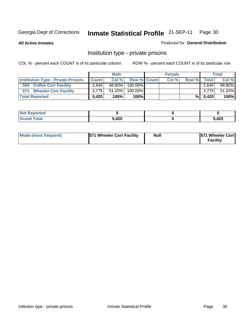**All Active Inmates**

#### Produced for **General Distribution**

## Institution type - private prisons

|                                           | <b>Male</b>  |        |             | <b>Female</b> |       |       | <b>Total</b> |        |
|-------------------------------------------|--------------|--------|-------------|---------------|-------|-------|--------------|--------|
| <b>Institution Type - Private Prisons</b> | <b>Count</b> | Col %  | Row % Count |               | Col % | Row % | Total        | Col %  |
| <b>Coffee Corr Facility</b><br>569        | 2.645        | 48.80% | 100.00% I   |               |       |       | 2.645        | 48.80% |
| <b>Wheeler Corr Facility</b><br>571       | 2.775        | 51.20% | 100.00%     |               |       |       | 2.775        | 51.20% |
| <b>Total Reported</b>                     | 5.420        | 100%   | 100%        |               |       | %Ⅰ    | 5,420        | 100%   |

| τeα               |      |     |
|-------------------|------|-----|
| <b>วtal</b><br>-- | .100 | 420 |

| <b>Mode (most frequent)</b> | <b>571 Wheeler Corr Facility</b> | <b>Null</b> | <b>571 Wheeler Corrl</b><br>Facility |
|-----------------------------|----------------------------------|-------------|--------------------------------------|
|-----------------------------|----------------------------------|-------------|--------------------------------------|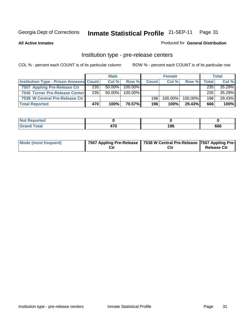**All Active Inmates**

#### Produced for **General Distribution**

#### Institution type - pre-release centers

|                                                | <b>Male</b> |           | <b>Female</b> |              |            | <b>Total</b>  |              |        |
|------------------------------------------------|-------------|-----------|---------------|--------------|------------|---------------|--------------|--------|
| <b>Institution Type - Prison Annexes Count</b> |             | Col %     | Row %         | <b>Count</b> | Col %      | Row %         | <b>Total</b> | Col %  |
| 7507 Appling Pre-Release Ctr                   | 235         | 50.00%    | $100.00\%$    |              |            |               | 235          | 35.29% |
| 7546 Turner Pre-Release Center                 | 235         | $50.00\%$ | $100.00\%$    |              |            |               | 235          | 35.29% |
| 7538 W Central Pre-Release Ctr                 |             |           |               | 196          | $100.00\%$ | 100.00%       | 196          | 29.43% |
| <b>Total Reported</b>                          | 470         | 100%      | 70.57%I       | 196          | 100%       | <b>29.43%</b> | 666          | 100%   |

| τeα   |                         |     |     |
|-------|-------------------------|-----|-----|
| _____ | $\rightarrow$<br>$\sim$ | 196 | 666 |

| Mode (most frequent) |  | 17507 Appling Pre-Release   7538 W Central Pre-Release   7507 Appling Pre-<br>Ctr | <b>Release Ctr</b> |
|----------------------|--|-----------------------------------------------------------------------------------|--------------------|
|----------------------|--|-----------------------------------------------------------------------------------|--------------------|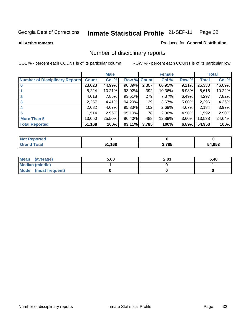**All Active Inmates**

#### Produced for **General Distribution**

## Number of disciplinary reports

|                                       |              | <b>Male</b> |        |              | <b>Female</b> |          |              | <b>Total</b> |
|---------------------------------------|--------------|-------------|--------|--------------|---------------|----------|--------------|--------------|
| <b>Number of Disciplinary Reports</b> | <b>Count</b> | Col %       | Row %  | <b>Count</b> | Col %         | Row %    | <b>Total</b> | Col %        |
|                                       | 23,023       | 44.99%      | 90.89% | 2,307        | 60.95%        | 9.11%    | 25,330       | 46.09%       |
|                                       | 5,224        | 10.21%      | 93.02% | 392          | 10.36%        | 6.98%    | 5,616        | 10.22%       |
| 2                                     | 4,018        | 7.85%       | 93.51% | 279          | 7.37%         | $6.49\%$ | 4,297        | 7.82%        |
| 3                                     | 2,257        | 4.41%       | 94.20% | 139          | $3.67\%$      | 5.80%    | 2,396        | 4.36%        |
|                                       | 2,082        | 4.07%       | 95.33% | 102          | 2.69%         | 4.67%    | 2,184        | 3.97%        |
| 5                                     | .514         | $2.96\%$    | 95.10% | 78           | 2.06%         | 4.90%    | 1,592        | 2.90%        |
| <b>More Than 5</b>                    | 13,050       | 25.50%      | 96.40% | 488          | 12.89%        | $3.60\%$ | 13,538       | 24.64%       |
| <b>Total Reported</b>                 | 51,168       | 100%        | 93.11% | 3,785        | 100%          | 6.89%    | 54,953       | 100%         |

| ortec<br>NO  |      |       |            |
|--------------|------|-------|------------|
| <b>Total</b> | .168 | 3.785 | .953<br>54 |

| Mean (average)       | 5.68 | 2.83 | 5.48 |
|----------------------|------|------|------|
| Median (middle)      |      |      |      |
| Mode (most frequent) |      |      |      |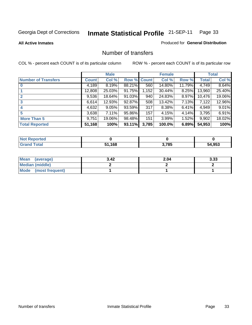**All Active Inmates**

#### Produced for **General Distribution**

#### Number of transfers

|                            |              | <b>Male</b> |        |              | <b>Female</b> |          |              | <b>Total</b> |
|----------------------------|--------------|-------------|--------|--------------|---------------|----------|--------------|--------------|
| <b>Number of Transfers</b> | <b>Count</b> | Col %       | Row %  | <b>Count</b> | Col %         | Row %    | <b>Total</b> | Col %        |
|                            | 4,189        | 8.19%       | 88.21% | 560          | 14.80%        | 11.79%   | 4,749        | 8.64%        |
|                            | 12,808       | 25.03%      | 91.75% | 1,152        | 30.44%        | $8.25\%$ | 13,960       | 25.40%       |
|                            | 9,536        | 18.64%      | 91.03% | 940          | 24.83%        | $8.97\%$ | 10,476       | 19.06%       |
| 3                          | 6,614        | 12.93%      | 92.87% | 508          | 13.42%        | 7.13%    | 7,122        | 12.96%       |
|                            | 4,632        | 9.05%       | 93.59% | 317          | 8.38%         | $6.41\%$ | 4,949        | 9.01%        |
| 5                          | 3,638        | $7.11\%$    | 95.86% | 157          | 4.15%         | 4.14%    | 3,795        | 6.91%        |
| <b>More Than 5</b>         | 9,751        | 19.06%      | 98.48% | 151          | 3.99%         | $1.52\%$ | 9,902        | 18.02%       |
| <b>Total Reported</b>      | 51,168       | 100%        | 93.11% | 3,785        | 100.0%        | 6.89%    | 54,953       | 100%         |

| N         |     |      |               |
|-----------|-----|------|---------------|
| $\sim$ 10 | 16S | .785 | 54.953<br>άΔ. |

| Mean (average)       | 3.42 | 2.04 | 3.33 |
|----------------------|------|------|------|
| Median (middle)      |      |      |      |
| Mode (most frequent) |      |      |      |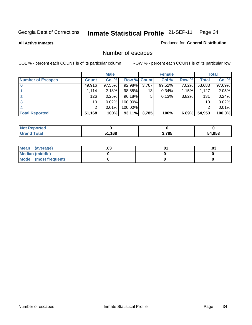**All Active Inmates**

#### Produced for **General Distribution**

## Number of escapes

|                          |                 | <b>Male</b> |                    |       | <b>Female</b> |          |        | <b>Total</b> |
|--------------------------|-----------------|-------------|--------------------|-------|---------------|----------|--------|--------------|
| <b>Number of Escapes</b> | <b>Count</b>    | Col %       | <b>Row % Count</b> |       | Col %         | Row %    | Total  | Col %        |
|                          | 49,916          | $97.55\%$   | 92.98%             | 3,767 | 99.52%        | 7.02%    | 53,683 | 97.69%       |
|                          | 1.114           | 2.18%       | 98.85%             | 13    | 0.34%         | $1.15\%$ | 1,127  | 2.05%        |
|                          | 126             | 0.25%       | 96.18%             | 5     | 0.13%         | 3.82%    | 131    | 0.24%        |
|                          | 10 <sup>1</sup> | 0.02%       | 100.00%            |       |               |          | 10     | 0.02%        |
|                          |                 | 0.01%       | $100.00\%$         |       |               |          |        | 0.01%        |
| <b>Total Reported</b>    | 51,168          | 100%        | 93.11%             | 3,785 | 100%          | 6.89%    | 54,953 | 100.0%       |

| N <sub>O1</sub><br>Teo |        |       |              |
|------------------------|--------|-------|--------------|
|                        | 51,168 | 3,785 | 54.953<br>54 |

| Mean (average)       | .∪ა | .03 |
|----------------------|-----|-----|
| Median (middle)      |     |     |
| Mode (most frequent) |     |     |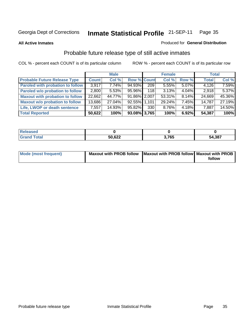**All Active Inmates**

#### Produced for **General Distribution**

## Probable future release type of still active inmates

|                                         |              | <b>Male</b> |                    |     | <b>Female</b> |          | <b>Total</b> |        |
|-----------------------------------------|--------------|-------------|--------------------|-----|---------------|----------|--------------|--------|
| <b>Probable Future Release Type</b>     | <b>Count</b> | Col %       | <b>Row % Count</b> |     | Col %         | Row %    | <b>Total</b> | Col %  |
| <b>Paroled with probation to follow</b> | 3,917        | $7.74\%$    | 94.93%             | 209 | 5.55%         | $5.07\%$ | 4,126        | 7.59%  |
| Paroled w/o probation to follow         | 2,800        | 5.53%       | $95.96\%$          | 118 | 3.13%         | $4.04\%$ | 2,918        | 5.37%  |
| <b>Maxout with probation to follow</b>  | 22,662       | 44.77%      | 91.86% 2.007       |     | 53.31%        | $8.14\%$ | 24,669       | 45.36% |
| <b>Maxout w/o probation to follow</b>   | 13,686       | 27.04%      | 92.55% 1.101       |     | 29.24%        | $7.45\%$ | 14,787       | 27.19% |
| Life, LWOP or death sentence            | 7,557        | 14.93%      | 95.82%             | 330 | 8.76%         | $4.18\%$ | 7,887        | 14.50% |
| <b>Total Reported</b>                   | 50,622       | 100%        | 93.08% 3,765       |     | 100%          | 6.92%    | 54,387       | 100%   |

| <b>ota</b> | 50,622 | ,765 | 54,387 |
|------------|--------|------|--------|

| Mode (most frequent) | Maxout with PROB follow Maxout with PROB follow Maxout with PROB |        |
|----------------------|------------------------------------------------------------------|--------|
|                      |                                                                  | follow |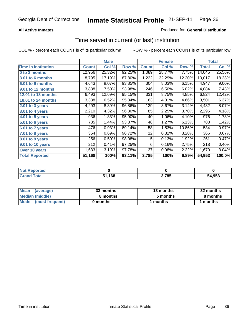### **All Active Inmates**

### Produced for **General Distribution**

# Time served in current (or last) institution

|                            |              | <b>Male</b> |        |              | <b>Female</b> |        |        | <b>Total</b> |
|----------------------------|--------------|-------------|--------|--------------|---------------|--------|--------|--------------|
| <b>Time In Institution</b> | <b>Count</b> | Col %       | Row %  | <b>Count</b> | Col %         | Row %  | Total  | Col %        |
| 0 to 3 months              | 12,956       | 25.32%      | 92.25% | 1,089        | 28.77%        | 7.75%  | 14,045 | 25.56%       |
| 3.01 to 6 months           | 8,795        | 17.19%      | 87.80% | 1,222        | 32.29%        | 12.20% | 10,017 | 18.23%       |
| 6.01 to 9 months           | 4,643        | 9.07%       | 93.85% | 304          | 8.03%         | 6.15%  | 4,947  | 9.00%        |
| 9.01 to 12 months          | 3,838        | 7.50%       | 93.98% | 246          | 6.50%         | 6.02%  | 4,084  | 7.43%        |
| 12.01 to 18 months         | 6,493        | 12.69%      | 95.15% | 331          | 8.75%         | 4.85%  | 6,824  | 12.42%       |
| <b>18.01 to 24 months</b>  | 3,338        | 6.52%       | 95.34% | 163          | 4.31%         | 4.66%  | 3,501  | 6.37%        |
| 2.01 to 3 years            | 4,293        | 8.39%       | 96.86% | 139          | 3.67%         | 3.14%  | 4,432  | 8.07%        |
| 3.01 to 4 years            | 2,210        | 4.32%       | 96.30% | 85           | 2.25%         | 3.70%  | 2,295  | 4.18%        |
| 4.01 to 5 years            | 936          | 1.83%       | 95.90% | 40           | 1.06%         | 4.10%  | 976    | 1.78%        |
| 5.01 to 6 years            | 735          | 1.44%       | 93.87% | 48           | 1.27%         | 6.13%  | 783    | 1.42%        |
| 6.01 to 7 years            | 476          | 0.93%       | 89.14% | 58           | 1.53%         | 10.86% | 534    | 0.97%        |
| 7.01 to 8 years            | 354          | 0.69%       | 96.72% | 12           | 0.32%         | 3.28%  | 366    | 0.67%        |
| 8.01 to 9 years            | 256          | 0.50%       | 98.08% | 5            | 0.13%         | 1.92%  | 261    | 0.47%        |
| 9.01 to 10 years           | 212          | 0.41%       | 97.25% | 6            | 0.16%         | 2.75%  | 218    | 0.40%        |
| Over 10 years              | 1,633        | 3.19%       | 97.78% | 37           | 0.98%         | 2.22%  | 1,670  | 3.04%        |
| <b>Total Reported</b>      | 51,168       | 100%        | 93.11% | 3,785        | 100%          | 6.89%  | 54,953 | 100.0%       |

| orteo<br>N    |      |      |            |
|---------------|------|------|------------|
| hta.<br>_____ | .168 | ,785 | .953<br>54 |

| <b>Mean</b><br>(average) | 33 months | 13 months | 32 months |
|--------------------------|-----------|-----------|-----------|
| Median (middle)          | 8 months  | 5 months  | 8 months  |
| Mode<br>(most frequent)  | 0 months  | 1 months  | months    |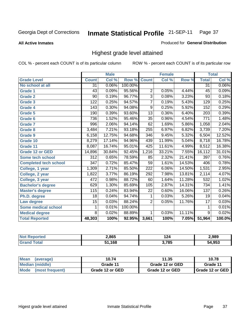**All Active Inmates**

### Produced for **General Distribution**

# Highest grade level attained

|                              |                  | <b>Male</b> |         |                  | <b>Female</b> |        |                  | <b>Total</b> |
|------------------------------|------------------|-------------|---------|------------------|---------------|--------|------------------|--------------|
| <b>Grade Level</b>           | <b>Count</b>     | Col %       | Row %   | <b>Count</b>     | Col %         | Row %  | <b>Total</b>     | Col %        |
| No school at all             | $\overline{31}$  | 0.06%       | 100.00% |                  |               |        | $\overline{31}$  | $0.06\%$     |
| <b>Grade 1</b>               | 43               | 0.09%       | 95.56%  | $\overline{2}$   | 0.05%         | 4.44%  | $\overline{45}$  | 0.09%        |
| <b>Grade 2</b>               | 90               | 0.19%       | 96.77%  | $\overline{3}$   | 0.08%         | 3.23%  | 93               | 0.18%        |
| <b>Grade 3</b>               | 122              | 0.25%       | 94.57%  | $\overline{7}$   | 0.19%         | 5.43%  | 129              | 0.25%        |
| <b>Grade 4</b>               | 143              | 0.30%       | 94.08%  | $\overline{9}$   | 0.25%         | 5.92%  | 152              | 0.29%        |
| Grade 5                      | 190              | 0.39%       | 93.60%  | $\overline{13}$  | 0.36%         | 6.40%  | $\overline{203}$ | 0.39%        |
| Grade 6                      | 736              | 1.52%       | 95.46%  | $\overline{35}$  | 0.96%         | 4.54%  | 771              | 1.48%        |
| <b>Grade 7</b>               | 996              | 2.06%       | 94.14%  | 62               | 1.69%         | 5.86%  | 1,058            | 2.04%        |
| <b>Grade 8</b>               | 3,484            | 7.21%       | 93.18%  | 255              | 6.97%         | 6.82%  | 3,739            | 7.20%        |
| <b>Grade 9</b>               | 6,158            | 12.75%      | 94.68%  | $\overline{346}$ | 9.45%         | 5.32%  | 6,504            | 12.52%       |
| Grade 10                     | 8,279            | 17.14%      | 94.96%  | 439              | 11.99%        | 5.04%  | 8,718            | 16.78%       |
| Grade 11                     | 8,087            | 16.74%      | 95.01%  | $\overline{425}$ | 11.61%        | 4.99%  | 8,512            | 16.38%       |
| <b>Grade 12 or GED</b>       | 14,896           | 30.84%      | 92.45%  | 1,216            | 33.21%        | 7.55%  | 16,112           | 31.01%       |
| <b>Some tech school</b>      | $\overline{312}$ | 0.65%       | 78.59%  | 85               | 2.32%         | 21.41% | 397              | 0.76%        |
| <b>Completed tech school</b> | $\overline{347}$ | 0.72%       | 85.47%  | 59               | 1.61%         | 14.53% | 406              | 0.78%        |
| College, 1 year              | 1,309            | 2.71%       | 85.50%  | 222              | 6.06%         | 14.50% | 1,531            | 2.95%        |
| College, 2 year              | 1,822            | 3.77%       | 86.19%  | 292              | 7.98%         | 13.81% | 2,114            | 4.07%        |
| College, 3 year              | 472              | 0.98%       | 88.72%  | 60               | 1.64%         | 11.28% | 532              | 1.02%        |
| <b>Bachelor's degree</b>     | 629              | 1.30%       | 85.69%  | 105              | 2.87%         | 14.31% | $\overline{734}$ | 1.41%        |
| <b>Master's degree</b>       | 115              | 0.24%       | 83.94%  | $\overline{22}$  | 0.60%         | 16.06% | $\overline{137}$ | 0.26%        |
| Ph.D. degree                 | $\overline{18}$  | 0.04%       | 94.74%  | 1                | 0.03%         | 5.26%  | 19               | 0.04%        |
| Law degree                   | $\overline{15}$  | 0.03%       | 88.24%  | $\overline{2}$   | 0.05%         | 11.76% | $\overline{17}$  | 0.03%        |
| <b>Some medical school</b>   | 1                | 0.01%       | 100.00% |                  |               |        | 1                | 0.01%        |
| <b>Medical degree</b>        | 8                | 0.02%       | 88.89%  | 1                | 0.03%         | 11.11% | 9                | 0.02%        |
| <b>Total Reported</b>        | 48,303           | 100%        | 92.95%  | 3,661            | 100%          | 7.05%  | 51,964           | 100.0%       |

| 2,865 | 12∧   | .989       |
|-------|-------|------------|
| .168  | ) 70E | 053<br>. . |

| <b>Mean</b><br>(average)       | 10.74           | 11.35           | 10.78             |
|--------------------------------|-----------------|-----------------|-------------------|
| Median (middle)                | Grade 11        | Grade 12 or GED | Grade 11          |
| <b>Mode</b><br>(most frequent) | Grade 12 or GED | Grade 12 or GED | I Grade 12 or GED |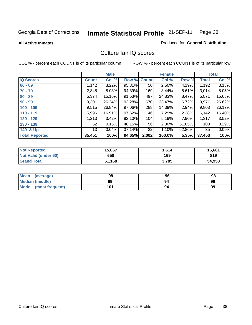**All Active Inmates**

### Produced for **General Distribution**

### Culture fair IQ scores

|                       |              | <b>Male</b> |        |              | <b>Female</b> |        |              | <b>Total</b> |
|-----------------------|--------------|-------------|--------|--------------|---------------|--------|--------------|--------------|
| <b>IQ Scores</b>      | <b>Count</b> | Col %       | Row %  | <b>Count</b> | Col %         | Row %  | <b>Total</b> | Col %        |
| $60 - 69$             | 1,142        | 3.22%       | 95.81% | 50           | 2.50%         | 4.19%  | 1,192        | 3.18%        |
| $70 - 79$             | 2,845        | 8.03%       | 94.39% | 169          | 8.44%         | 5.61%  | 3,014        | 8.05%        |
| $80 - 89$             | 5,374        | 15.16%      | 91.53% | 497          | 24.83%        | 8.47%  | 5,871        | 15.68%       |
| $90 - 99$             | 9,301        | 26.24%      | 93.28% | 670          | 33.47%        | 6.72%  | 9,971        | 26.62%       |
| $100 - 109$           | 9,515        | 26.84%      | 97.06% | 288          | 14.39%        | 2.94%  | 9,803        | 26.17%       |
| $110 - 119$           | 5,996        | 16.91%      | 97.62% | 146          | 7.29%         | 2.38%  | 6,142        | 16.40%       |
| $120 - 129$           | 1,213        | 3.42%       | 92.10% | 104          | 5.19%         | 7.90%  | 1,317        | 3.52%        |
| $130 - 139$           | 52           | 0.15%       | 48.15% | 56           | 2.80%         | 51.85% | 108          | 0.29%        |
| 140 & Up              | 13           | 0.04%       | 37.14% | 22           | 1.10%         | 62.86% | 35           | 0.09%        |
| <b>Total Reported</b> | 35,451       | 100%        | 94.65% | 2,002        | 100.0%        | 5.35%  | 37,453       | 100%         |

| <b>Not Reported</b>         | 15,067 | 1,614 | 16,681 |
|-----------------------------|--------|-------|--------|
| <b>Not Valid (under 60)</b> | 650    | 169   | 819    |
| <b>Grand Total</b>          | 51,168 | 3,785 | 54,953 |

| <b>Mean</b><br>(average) | 98  | 96 | 98 |
|--------------------------|-----|----|----|
| Median (middle)          | 99  | 94 | 99 |
| Mode (most frequent)     | 101 | 94 | 99 |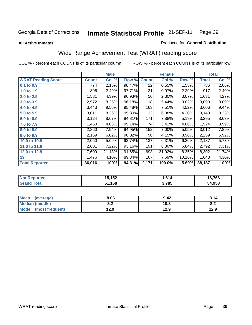#### **All Active Inmates**

### Produced for **General Distribution**

# Wide Range Achievement Test (WRAT) reading score

COL % - percent each COUNT is of its particular column ROW % - percent each COUNT is of its particular row

 **3,785**

|                           |                  | <b>Male</b> |        |                 | <b>Female</b> |        |                | <b>Total</b> |
|---------------------------|------------------|-------------|--------|-----------------|---------------|--------|----------------|--------------|
| <b>WRAT Reading Score</b> | <b>Count</b>     | Col %       | Row %  | <b>Count</b>    | Col %         | Row %  | <b>Total</b>   | Col %        |
| 0.1 to 0.9                | $\overline{774}$ | 2.15%       | 98.47% | $\overline{12}$ | 0.55%         | 1.53%  | 786            | 2.06%        |
| 1.0 to 1.9                | 896              | 2.49%       | 97.71% | 21              | 0.97%         | 2.29%  | 917            | 2.40%        |
| 2.0 to 2.9                | 1,581            | 4.39%       | 96.93% | 50              | 2.30%         | 3.07%  | 1,631          | 4.27%        |
| 3.0 to 3.9                | 2,972            | 8.25%       | 96.18% | 118             | 5.44%         | 3.82%  | 3,090          | 8.09%        |
| 4.0 to 4.9                | 3,443            | 9.56%       | 95.48% | 163             | 7.51%         | 4.52%  | 3,606          | 9.44%        |
| 5.0 to 5.9                | 3,011            | 8.36%       | 95.80% | 132             | 6.08%         | 4.20%  | 3,143          | 8.23%        |
| 6.0 to 6.9                | 3,124            | 8.67%       | 94.81% | 171             | 7.88%         | 5.19%  | 3,295          | 8.63%        |
| 7.0 to 7.9                | 1,450            | 4.03%       | 95.14% | 74              | 3.41%         | 4.86%  | 1,524          | 3.99%        |
| 8.0 to 8.9                | 2,860            | 7.94%       | 94.95% | 152             | 7.00%         | 5.05%  | 3,012          | 7.89%        |
| 9.0 to 9.9                | 2,169            | 6.02%       | 96.02% | 90              | 4.15%         | 3.98%  | 2,259          | 5.92%        |
| 10.0 to 10.9              | 2,050            | 5.69%       | 93.74% | 137             | 6.31%         | 6.26%  | 2,187          | 5.73%        |
| 11.0 to 11.9              | 2,601            | 7.22%       | 93.16% | 191             | 8.80%         | 6.84%  | 2,792          | 7.31%        |
| 12.0 to 12.9              | 7,609            | 21.13%      | 91.65% | 693             | 31.92%        | 8.35%  | $\sqrt{8,302}$ | 21.74%       |
| 13                        | 1,476            | 4.10%       | 89.84% | 167             | 7.69%         | 10.16% | 1,643          | 4.30%        |
| <b>Total Reported</b>     | 36,016           | 100%        | 94.31% | 2,171           | 100.0%        | 5.69%  | 38,187         | 100%         |
|                           |                  |             |        |                 |               |        |                |              |
| <b>Not Reported</b>       |                  | 15,152      |        |                 | 1,614         |        |                | 16,766       |

| Mean<br>(average)              | 8.06       | 9.42 | 8.14 |
|--------------------------------|------------|------|------|
| <b>Median (middle)</b>         | ר ס<br>o.z | 10.8 | 0.Z  |
| <b>Mode</b><br>(most frequent) | 12.9       | 12.9 | 12.9 |

 **51,168**

 **Grand Total**

 **54,953**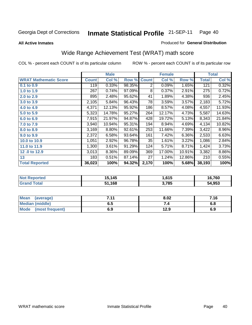**All Active Inmates**

### Produced for **General Distribution**

# Wide Range Achievement Test (WRAT) math score

|                              |              | <b>Male</b> |        |              | <b>Female</b> |        |                    | <b>Total</b> |
|------------------------------|--------------|-------------|--------|--------------|---------------|--------|--------------------|--------------|
| <b>WRAT Mathematic Score</b> | <b>Count</b> | Col %       | Row %  | <b>Count</b> | Col %         | Row %  | <b>Total</b>       | Col %        |
| 0.1 to 0.9                   | 119          | 0.33%       | 98.35% | 2            | 0.09%         | 1.65%  | 121                | 0.32%        |
| 1.0 to 1.9                   | 267          | 0.74%       | 97.09% | 8            | 0.37%         | 2.91%  | 275                | 0.72%        |
| 2.0 to 2.9                   | 895          | 2.48%       | 95.62% | 41           | 1.89%         | 4.38%  | 936                | 2.45%        |
| 3.0 to 3.9                   | 2,105        | 5.84%       | 96.43% | 78           | 3.59%         | 3.57%  | 2,183              | 5.72%        |
| 4.0 to 4.9                   | 4,371        | 12.13%      | 95.92% | 186          | 8.57%         | 4.08%  | 4,557              | 11.93%       |
| 5.0 to 5.9                   | 5,323        | 14.78%      | 95.27% | 264          | 12.17%        | 4.73%  | 5,587              | 14.63%       |
| 6.0 to 6.9                   | 7,915        | 21.97%      | 94.87% | 428          | 19.72%        | 5.13%  | 8,343              | 21.84%       |
| 7.0 to 7.9                   | 3,940        | 10.94%      | 95.31% | 194          | 8.94%         | 4.69%  | 4,134              | 10.82%       |
| 8.0 to 8.9                   | 3,169        | 8.80%       | 92.61% | 253          | 11.66%        | 7.39%  | $\overline{3,}422$ | 8.96%        |
| 9.0 to 9.9                   | 2,372        | 6.58%       | 93.64% | 161          | 7.42%         | 6.36%  | 2,533              | 6.63%        |
| 10.0 to 10.9                 | 1,051        | 2.92%       | 96.78% | 35           | 1.61%         | 3.22%  | 1,086              | 2.84%        |
| 11.0 to 11.9                 | 1,300        | 3.61%       | 91.29% | 124          | 5.71%         | 8.71%  | 1,424              | 3.73%        |
| 12.0 to 12.9                 | 3,013        | 8.36%       | 89.09% | 369          | 17.00%        | 10.91% | 3,382              | 8.86%        |
| 13                           | 183          | 0.51%       | 87.14% | 27           | 1.24%         | 12.86% | 210                | 0.55%        |
| <b>Total Reported</b>        | 36,023       | 100%        | 94.32% | 2,170        | 100%          | 5.68%  | 38,193             | 100%         |
|                              |              |             |        |              |               |        |                    |              |
| <b>Not Reported</b>          |              | 15,145      |        |              | 1,615         |        |                    | 16,760       |
| <b>Grand Total</b>           |              | 51,168      |        |              | 3,785         |        |                    | 54,953       |

| <b>Mean</b><br>(average)       | 711<br>. | 8.02 | 7.16 |
|--------------------------------|----------|------|------|
| <b>Median (middle)</b>         | 6.5      |      | 0.O  |
| <b>Mode</b><br>(most frequent) | 6.9      | 12.9 | 6.9  |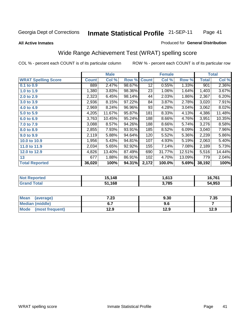#### **All Active Inmates**

### Produced for **General Distribution**

# Wide Range Achievement Test (WRAT) spelling score

|                             |              | <b>Male</b> |        |                 | <b>Female</b> |        |                    | <b>Total</b>                    |
|-----------------------------|--------------|-------------|--------|-----------------|---------------|--------|--------------------|---------------------------------|
| <b>WRAT Spelling Score</b>  | <b>Count</b> | Col %       | Row %  | <b>Count</b>    | Col %         | Row %  | <b>Total</b>       | Col %                           |
| 0.1 to 0.9                  | 889          | 2.47%       | 98.67% | $\overline{12}$ | 0.55%         | 1.33%  | 901                | 2.36%                           |
| 1.0 to 1.9                  | 1,380        | 3.83%       | 98.36% | 23              | 1.06%         | 1.64%  | 1,403              | 3.67%                           |
| 2.0 to 2.9                  | 2,323        | 6.45%       | 98.14% | 44              | 2.03%         | 1.86%  | 2,367              | 6.20%                           |
| 3.0 to 3.9                  | 2,936        | 8.15%       | 97.22% | 84              | 3.87%         | 2.78%  | 3,020              | 7.91%                           |
| 4.0 to 4.9                  | 2,969        | 8.24%       | 96.96% | 93              | 4.28%         | 3.04%  | 3,062              | 8.02%                           |
| 5.0 to 5.9                  | 4,205        | 11.67%      | 95.87% | 181             | 8.33%         | 4.13%  | 4,386              | 11.48%                          |
| 6.0 to 6.9                  | 3,763        | 10.45%      | 95.24% | 188             | 8.66%         | 4.76%  | $\overline{3,951}$ | 10.35%                          |
| 7.0 to 7.9                  | 3,088        | 8.57%       | 94.26% | 188             | 8.66%         | 5.74%  | 3,276              | 8.58%                           |
| 8.0 to 8.9                  | 2,855        | 7.93%       | 93.91% | 185             | 8.52%         | 6.09%  | 3,040              | 7.96%                           |
| 9.0 to 9.9                  | 2,119        | 5.88%       | 94.64% | 120             | 5.52%         | 5.36%  | 2,239              | 5.86%                           |
| 10.0 to 10.9                | 1,956        | 5.43%       | 94.81% | 107             | 4.93%         | 5.19%  | 2,063              | 5.40%                           |
| 11.0 to 11.9                | 2,034        | 5.65%       | 92.92% | 155             | 7.14%         | 7.08%  | 2,189              | 5.73%                           |
| 12.0 to 12.9                | 4,826        | 13.40%      | 87.49% | 690             | 31.77%        | 12.51% | 5,516              | 14.44%                          |
| 13                          | 677          | 1.88%       | 86.91% | 102             | 4.70%         | 13.09% | 779                | 2.04%                           |
| <b>Total Reported</b>       | 36,020       | 100%        | 94.31% | 2,172           | 100.0%        | 5.69%  | 38,192             | 100%                            |
|                             |              |             |        |                 |               |        |                    |                                 |
| <b>INTER PRESS STATE IT</b> |              | 17.10       |        |                 | 1.010         |        |                    | $\overline{10}$ $\overline{20}$ |

| <b>Not</b><br><b>Reported</b> | ,148 | .613، | 704<br><b>0,701</b> |
|-------------------------------|------|-------|---------------------|
|                               | ,168 | 3,785 | 54,953              |
|                               |      |       |                     |

| <b>Mean</b><br>(average)       | 7.23 | 9.30 | 7.35 |
|--------------------------------|------|------|------|
| <b>Median (middle)</b>         | υ.,  | .ง.ง |      |
| <b>Mode</b><br>(most frequent) | 12.9 | 12.9 | 12.9 |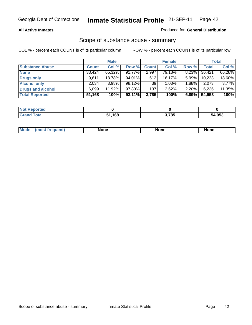### **All Active Inmates**

### Produced for **General Distribution**

### Scope of substance abuse - summary

|                        |              | <b>Male</b> |        |              | <b>Female</b> |          |              | Total  |
|------------------------|--------------|-------------|--------|--------------|---------------|----------|--------------|--------|
| <b>Substance Abuse</b> | <b>Count</b> | Col %       | Row %  | <b>Count</b> | Col %         | Row %    | <b>Total</b> | Col %  |
| <b>None</b>            | 33,424       | 65.32%      | 91.77% | 2,997        | 79.18%        | 8.23%    | 36,421       | 66.28% |
| <b>Drugs only</b>      | 9,611        | 18.78%      | 94.01% | 612          | 16.17%        | $5.99\%$ | 10,223       | 18.60% |
| <b>Alcohol only</b>    | 2.034        | $3.98\%$    | 98.12% | 39           | 1.03%         | $1.88\%$ | 2,073        | 3.77%  |
| Drugs and alcohol      | 6,099        | 11.92%      | 97.80% | 137          | $3.62\%$      | $2.20\%$ | 6,236        | 11.35% |
| <b>Total Reported</b>  | 51,168       | 100%        | 93.11% | 3,785        | 100%          | 6.89%    | 54,953       | 100%   |

| <b>Not Reported</b> |      |       |        |
|---------------------|------|-------|--------|
| <b>Grand Total</b>  | ,168 | 3,785 | 54,953 |

|  | Mode<br><b>requent</b><br>most | None | <b>None</b> | None |
|--|--------------------------------|------|-------------|------|
|--|--------------------------------|------|-------------|------|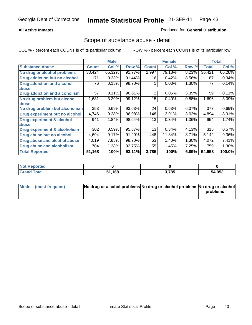### **All Active Inmates**

### Produced for **General Distribution**

### Scope of substance abuse - detail

|                                      |              | <b>Male</b> |        |              | <b>Female</b> |       |              | Total  |
|--------------------------------------|--------------|-------------|--------|--------------|---------------|-------|--------------|--------|
| <b>Substance Abuse</b>               | <b>Count</b> | Col %       | Row %  | <b>Count</b> | Col %         | Row % | <b>Total</b> | Col %  |
| No drug or alcohol problems          | 33,424       | 65.32%      | 91.77% | 2,997        | 79.18%        | 8.23% | 36,421       | 66.28% |
| Drug addiction but no alcohol        | 171          | 0.33%       | 91.44% | 16           | 0.42%         | 8.56% | 187          | 0.34%  |
| <b>Drug addiction and alcohol</b>    | 76           | 0.15%       | 98.70% |              | 0.03%         | 1.30% | 77           | 0.14%  |
| <b>labuse</b>                        |              |             |        |              |               |       |              |        |
| <b>Drug addiction and alcoholism</b> | 57           | 0.11%       | 96.61% | 2            | 0.05%         | 3.39% | 59           | 0.11%  |
| No drug problem but alcohol          | 1,681        | 3.29%       | 99.12% | 15           | 0.40%         | 0.88% | 1,696        | 3.09%  |
| <b>labuse</b>                        |              |             |        |              |               |       |              |        |
| No drug problem but alcoholism       | 353          | 0.69%       | 93.63% | 24           | 0.63%         | 6.37% | 377          | 0.69%  |
| Drug experiment but no alcohol       | 4,746        | 9.28%       | 96.98% | 148          | 3.91%         | 3.02% | 4,894        | 8.91%  |
| <b>Drug experiment &amp; alcohol</b> | 941          | 1.84%       | 98.64% | 13           | 0.34%         | 1.36% | 954          | 1.74%  |
| <b>labuse</b>                        |              |             |        |              |               |       |              |        |
| Drug experiment & alcoholism         | 302          | 0.59%       | 95.87% | 13           | 0.34%         | 4.13% | 315          | 0.57%  |
| Drug abuse but no alcohol            | 4,694        | 9.17%       | 91.29% | 448          | 11.84%        | 8.71% | 5,142        | 9.36%  |
| Drug abuse and alcohol abuse         | 4,019        | 7.85%       | 98.70% | 53           | 1.40%         | 1.30% | 4,072        | 7.41%  |
| <b>Drug abuse and alcoholism</b>     | 704          | 1.38%       | 92.75% | 55           | 1.45%         | 7.25% | 759          | 1.38%  |
| <b>Total Reported</b>                | 51,168       | 100%        | 93.11% | 3,785        | 100%          | 6.89% | 54,953       | 100.0% |

| <b>Not Reported</b> |      |       |        |
|---------------------|------|-------|--------|
| <b>otal</b>         | .168 | 3.785 | 54,953 |

| Mode (most frequent) | No drug or alcohol problems No drug or alcohol problems No drug or alcohol |          |
|----------------------|----------------------------------------------------------------------------|----------|
|                      |                                                                            | problems |
|                      |                                                                            |          |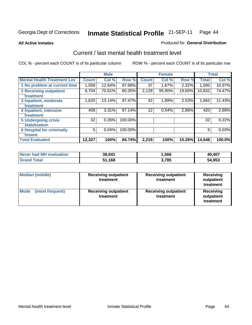#### **All Active Inmates**

#### Produced for **General Distribution**

## Current / last mental health treatment level

|                                    |              | <b>Male</b> |         |                 | <b>Female</b> |          |              | <b>Total</b> |
|------------------------------------|--------------|-------------|---------|-----------------|---------------|----------|--------------|--------------|
| <b>Mental Health Treatment Lev</b> | <b>Count</b> | Col%        | Row %   | <b>Count</b>    | Col %         | Row %    | <b>Total</b> | Col %        |
| 1 No problem at current time       | 1,558        | 12.64%      | 97.68%  | 37              | 1.67%         | $2.32\%$ | 1,595        | 10.97%       |
| <b>2 Receiving outpatient</b>      | 8,704        | 70.61%      | 80.35%  | 2,128           | 95.90%        | 19.65%   | 10,832       | 74.47%       |
| treatment                          |              |             |         |                 |               |          |              |              |
| 3 Inpatient, moderate              | 1,620        | 13.14%      | 97.47%  | 42              | 1.89%         | 2.53%    | 1,662        | 11.43%       |
| treatment                          |              |             |         |                 |               |          |              |              |
| 4 Inpatient, intensive             | 408          | 3.31%       | 97.14%  | 12 <sup>°</sup> | 0.54%         | 2.86%    | 420          | 2.89%        |
| treatment                          |              |             |         |                 |               |          |              |              |
| <b>5 Undergoing crisis</b>         | 32           | 0.26%       | 100.00% |                 |               |          | 32           | 0.22%        |
| stabilization                      |              |             |         |                 |               |          |              |              |
| <b>6 Hospital for criminally</b>   | 5            | 0.04%       | 100.00% |                 |               |          | 5            | 0.03%        |
| insane                             |              |             |         |                 |               |          |              |              |
| <b>Total Evaluated</b>             | 12,327       | 100%        | 84.74%  | 2,219           | 100%          | 15.26%   | 14,546       | 100.0%       |

| Never had MH evaluation | 38,841 | ,566  | 40,407 |
|-------------------------|--------|-------|--------|
| <b>Grand Total</b>      | 51.168 | 3,785 | 54,953 |

| Median (middle)         | <b>Receiving outpatient</b><br>treatment | <b>Receiving outpatient</b><br>treatment | <b>Receiving</b><br>outpatient<br>treatment |
|-------------------------|------------------------------------------|------------------------------------------|---------------------------------------------|
| Mode<br>(most frequent) | <b>Receiving outpatient</b><br>treatment | <b>Receiving outpatient</b><br>treatment | <b>Receiving</b><br>outpatient<br>treatment |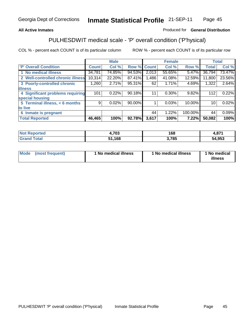### **All Active Inmates**

### Produced for **General Distribution**

# PULHESDWIT medical scale - 'P' overall condition ('P'hysical)

|                                   |              | <b>Male</b> |        |              | <b>Female</b> |         |              | <b>Total</b> |
|-----------------------------------|--------------|-------------|--------|--------------|---------------|---------|--------------|--------------|
| 'P' Overall Condition             | <b>Count</b> | Col %       | Row %  | <b>Count</b> | Col %         | Row %   | <b>Total</b> | Col %        |
| 1 No medical illness              | 34,781       | 74.85%      | 94.53% | 2,013        | 55.65%        | 5.47%   | 36,794       | 73.47%       |
| 2 Well-controlled chronic illness | 10,314       | 22.20%      | 87.41% | 1,486        | 41.08%        | 12.59%  | 11,800       | 23.56%       |
| 3 Poorly-controlled chronic       | 1,260        | 2.71%       | 95.31% | 62           | 1.71%         | 4.69%   | 1,322        | 2.64%        |
| <b>illness</b>                    |              |             |        |              |               |         |              |              |
| 4 Significant problems requiring  | 101          | 0.22%       | 90.18% |              | 0.30%         | 9.82%   | 112          | 0.22%        |
| special housing                   |              |             |        |              |               |         |              |              |
| 5 Terminal illness, < 6 months    | 9            | 0.02%       | 90.00% |              | 0.03%         | 10.00%  | 10           | 0.02%        |
| to live                           |              |             |        |              |               |         |              |              |
| Inmate is pregnant<br>6           |              |             |        | 44           | 1.22%         | 100.00% | 44           | 0.09%        |
| <b>Total Reported</b>             | 46,465       | 100%        | 92.78% | 3,617        | 100%          | 7.22%   | 50,082       | 100%         |

| Not F<br><b>Reported</b> | 4,703  | 168   | 074<br>4.OL |
|--------------------------|--------|-------|-------------|
| <b>Grand Total</b>       | 51,168 | 3,785 | 54,953      |

| Mode (most frequent) | 1 No medical illness | 1 No medical illness | 1 No medical |
|----------------------|----------------------|----------------------|--------------|
|                      |                      |                      | illness      |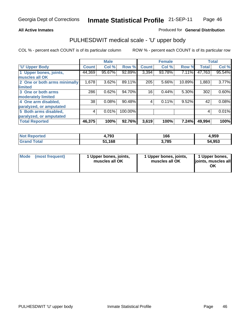### **All Active Inmates**

### Produced for **General Distribution**

## PULHESDWIT medical scale - 'U' upper body

|                              |              | <b>Male</b> |         |              | <b>Female</b> |        |              | <b>Total</b> |
|------------------------------|--------------|-------------|---------|--------------|---------------|--------|--------------|--------------|
| <b>U' Upper Body</b>         | <b>Count</b> | Col %       | Row %   | <b>Count</b> | Col %         | Row %  | <b>Total</b> | Col %        |
| 1 Upper bones, joints,       | 44,369       | 95.67%      | 92.89%  | 3,394        | 93.78%        | 7.11%  | 47,763       | 95.54%       |
| muscles all OK               |              |             |         |              |               |        |              |              |
| 2 One or both arms minimally | 1,678        | 3.62%       | 89.11%  | 205          | 5.66%         | 10.89% | 1,883        | 3.77%        |
| limited                      |              |             |         |              |               |        |              |              |
| 3 One or both arms           | 286          | 0.62%       | 94.70%  | 16           | 0.44%         | 5.30%  | 302          | 0.60%        |
| moderately limited           |              |             |         |              |               |        |              |              |
| 4 One arm disabled,          | 38           | 0.08%       | 90.48%  | 4            | 0.11%         | 9.52%  | 42           | 0.08%        |
| paralyzed, or amputated      |              |             |         |              |               |        |              |              |
| 5 Both arms disabled,        | 4            | 0.01%       | 100.00% |              |               |        | 4            | 0.01%        |
| paralyzed, or amputated      |              |             |         |              |               |        |              |              |
| <b>Total Reported</b>        | 46,375       | 100%        | 92.76%  | 3,619        | 100%          | 7.24%  | 49,994       | 100%         |

| N <sub>of</sub><br><b>orted</b><br>кемо | +,793       | 166  | 4,959        |
|-----------------------------------------|-------------|------|--------------|
| $T$ otol $-$                            | 1,168<br>51 | ,785 | 4,953<br>54. |

| Mode | (most frequent) | 1 Upper bones, joints,<br>muscles all OK | 1 Upper bones, joints,<br>muscles all OK | 1 Upper bones,<br>joints, muscles all<br>ОK |
|------|-----------------|------------------------------------------|------------------------------------------|---------------------------------------------|
|------|-----------------|------------------------------------------|------------------------------------------|---------------------------------------------|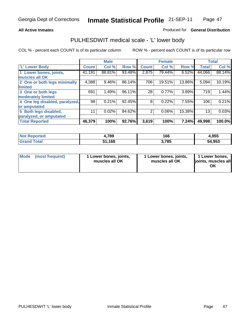### **All Active Inmates**

### Produced for **General Distribution**

### PULHESDWIT medical scale - 'L' lower body

|                                |                 | <b>Male</b> |        |                | <b>Female</b> |        |              | <b>Total</b> |
|--------------------------------|-----------------|-------------|--------|----------------|---------------|--------|--------------|--------------|
| <b>L' Lower Body</b>           | <b>Count</b>    | Col %       | Row %  | <b>Count</b>   | Col %         | Row %  | <b>Total</b> | Col %        |
| 1 Lower bones, joints,         | 41,191          | 88.81%      | 93.48% | 2,875          | 79.44%        | 6.52%  | 44,066       | 88.14%       |
| muscles all OK                 |                 |             |        |                |               |        |              |              |
| 2 One or both legs minimally   | 4,388           | 9.46%       | 86.14% | 706            | 19.51%        | 13.86% | 5,094        | 10.19%       |
| limited                        |                 |             |        |                |               |        |              |              |
| 3 One or both legs             | 691             | 1.49%       | 96.11% | 28             | 0.77%         | 3.89%  | 719          | 1.44%        |
| moderately limited             |                 |             |        |                |               |        |              |              |
| 4 One leg disabled, paralyzed, | 98 <sup>°</sup> | 0.21%       | 92.45% | 8              | 0.22%         | 7.55%  | 106          | 0.21%        |
| or amputated                   |                 |             |        |                |               |        |              |              |
| 5 Both legs disabled,          | 11              | 0.02%       | 84.62% | $\overline{2}$ | 0.06%         | 15.38% | 13           | 0.03%        |
| paralyzed, or amputated        |                 |             |        |                |               |        |              |              |
| <b>Total Reported</b>          | 46,379          | 100%        | 92.76% | 3,619          | 100%          | 7.24%  | 49,998       | 100.0%       |

| <b>Not Reported</b>    | 4,789  | 166   | 4,955  |
|------------------------|--------|-------|--------|
| $\tau$ otal<br>' Grand | 51,168 | 3.785 | 54,953 |

|  | Mode (most frequent) | 1 Lower bones, joints,<br>muscles all OK | 1 Lower bones, joints,<br>muscles all OK | 1 Lower bones,<br>joints, muscles all<br>OK |
|--|----------------------|------------------------------------------|------------------------------------------|---------------------------------------------|
|--|----------------------|------------------------------------------|------------------------------------------|---------------------------------------------|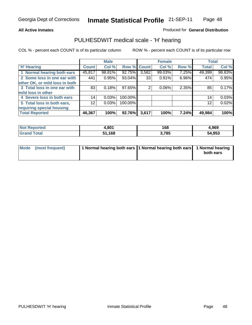### **All Active Inmates**

### Produced for **General Distribution**

### PULHESDWIT medical scale - 'H' hearing

|                                |                 | <b>Male</b> |             |       | <b>Female</b> |       | <b>Total</b> |        |
|--------------------------------|-----------------|-------------|-------------|-------|---------------|-------|--------------|--------|
| <b>H'</b> Hearing              | <b>Count</b>    | Col %       | Row % Count |       | Col %         | Row % | <b>Total</b> | Col %  |
| 1 Normal hearing both ears     | 45,817          | 98.81%      | 92.75%      | 3,582 | 99.03%        | 7.25% | 49,399       | 98.83% |
| 2 Some loss in one ear with    | 441             | 0.95%       | 93.04%      | 33    | 0.91%         | 6.96% | 474          | 0.95%  |
| other OK, or mild loss in both |                 |             |             |       |               |       |              |        |
| 3 Total loss in one ear with   | 83              | 0.18%       | $97.65\%$   | 2     | $0.06\%$      | 2.35% | 85           | 0.17%  |
| mild loss in other             |                 |             |             |       |               |       |              |        |
| 4 Severe loss in both ears     | 14              | 0.03%       | 100.00%     |       |               |       | 14           | 0.03%  |
| 5 Total loss in both ears,     | 12 <sub>2</sub> | 0.03%       | 100.00%     |       |               |       | 12           | 0.02%  |
| requiring special housing      |                 |             |             |       |               |       |              |        |
| <b>Total Reported</b>          | 46,367          | 100%        | 92.76%      | 3,617 | 100%          | 7.24% | 49,984       | 100%   |

| วrted  | . on/<br>⊦.o∪ ∣ | 168  | .969       |
|--------|-----------------|------|------------|
| $\sim$ | 51.168          | ,785 | ,953<br>5Δ |

| Mode (most frequent) | 1 Normal hearing both ears 11 Normal hearing both ears 1 Normal hearing |           |
|----------------------|-------------------------------------------------------------------------|-----------|
|                      |                                                                         | both ears |
|                      |                                                                         |           |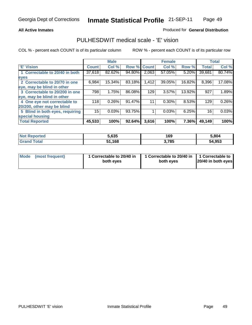### **All Active Inmates**

### Produced for **General Distribution**

### PULHESDWIT medical scale - 'E' vision

|                                 |              | <b>Male</b> |             |       | <b>Female</b> |        |              | <b>Total</b> |
|---------------------------------|--------------|-------------|-------------|-------|---------------|--------|--------------|--------------|
| 'E' Vision                      | <b>Count</b> | Col %       | Row % Count |       | Col %         | Row %  | <b>Total</b> | Col %        |
| 1 Correctable to 20/40 in both  | 37,618       | 82.62%      | 94.80%      | 2,063 | 57.05%        | 5.20%  | 39,681       | 80.74%       |
| eyes                            |              |             |             |       |               |        |              |              |
| 2 Correctable to 20/70 in one   | 6,984        | 15.34%      | 83.18%      | 1,412 | 39.05%        | 16.82% | 8,396        | 17.08%       |
| eye, may be blind in other      |              |             |             |       |               |        |              |              |
| 3 Correctable to 20/200 in one  | 798          | 1.75%       | 86.08%      | 129   | 3.57%         | 13.92% | 927          | 1.89%        |
| eye, may be blind in other      |              |             |             |       |               |        |              |              |
| 4 One eye not correctable to    | 118          | 0.26%       | 91.47%      | 11    | 0.30%         | 8.53%  | 129          | 0.26%        |
| 20/200, other may be blind      |              |             |             |       |               |        |              |              |
| 5 Blind in both eyes, requiring | 15           | 0.03%       | 93.75%      |       | 0.03%         | 6.25%  | 16           | 0.03%        |
| special housing                 |              |             |             |       |               |        |              |              |
| <b>Total Reported</b>           | 45,533       | 100%        | 92.64%      | 3,616 | 100%          | 7.36%  | 49,149       | 100%         |

| <b>Not Reported</b>   | 5.635       | 169   | 5,804  |
|-----------------------|-------------|-------|--------|
| <b>Total</b><br>Grand | ,168<br>64. | 3,785 | 54,953 |

|  | Mode (most frequent) | 1 Correctable to 20/40 in<br>both eves | 1 Correctable to 20/40 in   1 Correctable to  <br>both eves | 20/40 in both eyes |
|--|----------------------|----------------------------------------|-------------------------------------------------------------|--------------------|
|--|----------------------|----------------------------------------|-------------------------------------------------------------|--------------------|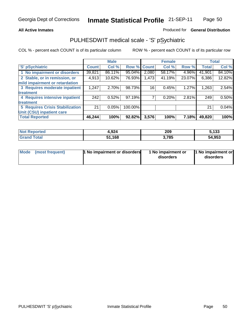### **All Active Inmates**

### Produced for **General Distribution**

# PULHESDWIT medical scale - 'S' pSychiatric

|                                        |        | <b>Male</b> |         |              | <b>Female</b> |        |              | <b>Total</b> |
|----------------------------------------|--------|-------------|---------|--------------|---------------|--------|--------------|--------------|
| 'S' pSychiatric                        | Count  | Col %       | Row %   | <b>Count</b> | Col %         | Row %  | <b>Total</b> | Col %        |
| 1 No impairment or disorders           | 39,821 | 86.11%      | 95.04%  | 2,080        | 58.17%        | 4.96%  | 41,901       | 84.10%       |
| 2 Stable, or in remission, or          | 4,913  | 10.62%      | 76.93%  | 1,473        | 41.19%        | 23.07% | 6,386        | 12.82%       |
| mild impairment or retardation         |        |             |         |              |               |        |              |              |
| 3 Requires moderate inpatient          | 1,247  | 2.70%       | 98.73%  | 16           | 0.45%         | 1.27%  | 1,263        | 2.54%        |
| treatment                              |        |             |         |              |               |        |              |              |
| 4 Requires intensive inpatient         | 242    | 0.52%       | 97.19%  |              | 0.20%         | 2.81%  | 249          | 0.50%        |
| treatment                              |        |             |         |              |               |        |              |              |
| <b>5 Requires Crisis Stabilization</b> | 21     | 0.05%       | 100.00% |              |               |        | 21           | 0.04%        |
| Unit (CSU) inpatient care              |        |             |         |              |               |        |              |              |
| <b>Total Reported</b>                  | 46,244 | 100%        | 92.82%  | 3,576        | 100%          | 7.18%  | 49,820       | <b>100%</b>  |

| <b>Not Reported</b><br>4,924    |        | 209   | 5,133  |
|---------------------------------|--------|-------|--------|
| $\tau$ otal<br>' Grand <b>ì</b> | 51,168 | 3,785 | 54,953 |

| Mode (most frequent) | <b>1 No impairment or disorders</b> | 1 No impairment or<br>disorders | 1 No impairment or<br>disorders |
|----------------------|-------------------------------------|---------------------------------|---------------------------------|
|                      |                                     |                                 |                                 |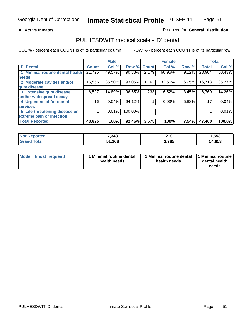### **All Active Inmates**

### Produced for **General Distribution**

### PULHESDWIT medical scale - 'D' dental

|                                 |              | <b>Male</b> |             |       | <b>Female</b> |       |              | <b>Total</b> |
|---------------------------------|--------------|-------------|-------------|-------|---------------|-------|--------------|--------------|
| 'D' Dental                      | <b>Count</b> | Col %       | Row % Count |       | Col %         | Row % | <b>Total</b> | Col %        |
| 1 Minimal routine dental health | 21,725       | 49.57%      | 90.88%      | 2,179 | 60.95%        | 9.12% | 23,904       | 50.43%       |
| <b>needs</b>                    |              |             |             |       |               |       |              |              |
| 2 Moderate cavities and/or      | 15,556       | 35.50%      | 93.05%      | 1,162 | 32.50%        | 6.95% | 16,718       | 35.27%       |
| gum disease                     |              |             |             |       |               |       |              |              |
| 3 Extensive gum disease         | 6,527        | 14.89%      | 96.55%      | 233   | 6.52%         | 3.45% | 6,760        | 14.26%       |
| and/or widespread decay         |              |             |             |       |               |       |              |              |
| 4 Urgent need for dental        | 16           | $0.04\%$    | 94.12%      |       | 0.03%         | 5.88% | 17           | 0.04%        |
| <b>services</b>                 |              |             |             |       |               |       |              |              |
| 5 Life-threatening disease or   |              | 0.01%       | 100.00%     |       |               |       |              | 0.01%        |
| extreme pain or infection       |              |             |             |       |               |       |              |              |
| <b>Total Reported</b>           | 43,825       | 100%        | 92.46%      | 3,575 | 100%          | 7.54% | 47,400       | 100.0%       |

| <b>Not Reported</b>         | 7,343        | 210   | 7,553  |
|-----------------------------|--------------|-------|--------|
| Total<br>⊪Gran <sup>∤</sup> | 1,168<br>EA. | 3,785 | 54,953 |

| <b>Mode</b><br>(most frequent) | Minimal routine dental<br>health needs | health needs | 1 Minimal routine dental 1 Minimal routine<br>dental health<br>needs |
|--------------------------------|----------------------------------------|--------------|----------------------------------------------------------------------|
|--------------------------------|----------------------------------------|--------------|----------------------------------------------------------------------|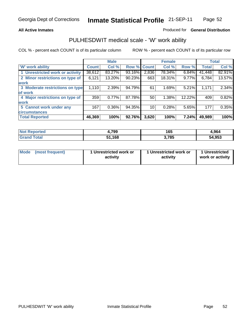### **All Active Inmates**

### Produced for **General Distribution**

### PULHESDWIT medical scale - 'W' work ability

|                                 |              | <b>Male</b> |        |             | <b>Female</b> |        |              | <b>Total</b> |
|---------------------------------|--------------|-------------|--------|-------------|---------------|--------|--------------|--------------|
| W' work ability                 | <b>Count</b> | Col %       |        | Row % Count | Col %         | Row %  | <b>Total</b> | Col %        |
| 1 Unrestricted work or activity | 38,612       | 83.27%      | 93.16% | 2,836       | 78.34%        | 6.84%  | 41,448       | 82.91%       |
| 2 Minor restrictions on type of | 6,121        | 13.20%      | 90.23% | 663         | 18.31%        | 9.77%  | 6,784        | 13.57%       |
| <b>work</b>                     |              |             |        |             |               |        |              |              |
| 3 Moderate restrictions on type | 1,110        | 2.39%       | 94.79% | 61          | 1.69%         | 5.21%  | 1,171        | 2.34%        |
| of work                         |              |             |        |             |               |        |              |              |
| 4 Major restrictions on type of | 359          | 0.77%       | 87.78% | 50          | 1.38%         | 12.22% | 409          | 0.82%        |
| <b>work</b>                     |              |             |        |             |               |        |              |              |
| 5 Cannot work under any         | 167          | $0.36\%$    | 94.35% | 10          | 0.28%         | 5.65%  | 177          | 0.35%        |
| <b>circumstances</b>            |              |             |        |             |               |        |              |              |
| <b>Total Reported</b>           | 46,369       | 100%        | 92.76% | 3,620       | 100%          | 7.24%  | 49,989       | 100%         |

| <b>Not Reported</b> | 4,799  | 165   | 4,964  |
|---------------------|--------|-------|--------|
| <b>Grand Total</b>  | 51,168 | 3,785 | 54,953 |

| Mode            | 1 Unrestricted work or | 1 Unrestricted work or | 1 Unrestricted   |
|-----------------|------------------------|------------------------|------------------|
| (most frequent) | activity               | activity               | work or activity |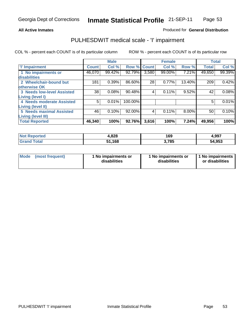### **All Active Inmates**

### Produced for **General Distribution**

# PULHESDWIT medical scale - 'I' impairment

|                                   |              | <b>Male</b> |             |       | <b>Female</b> |        |              | <b>Total</b> |
|-----------------------------------|--------------|-------------|-------------|-------|---------------|--------|--------------|--------------|
| <b>T' Impairment</b>              | <b>Count</b> | Col %       | Row % Count |       | Col %         | Row %  | <b>Total</b> | Col %        |
| 1 No impairments or               | 46,070       | 99.42%      | 92.79%      | 3,580 | 99.00%        | 7.21%  | 49,650       | 99.39%       |
| <b>disabilities</b>               |              |             |             |       |               |        |              |              |
| 2 Wheelchair-bound but            | 181          | 0.39%       | 86.60%      | 28    | 0.77%         | 13.40% | 209          | 0.42%        |
| otherwise OK                      |              |             |             |       |               |        |              |              |
| <b>3 Needs low-level Assisted</b> | 38           | 0.08%       | 90.48%      | 4     | 0.11%         | 9.52%  | 42           | 0.08%        |
| Living (level I)                  |              |             |             |       |               |        |              |              |
| 4 Needs moderate Assisted         | 5            | 0.01%       | 100.00%     |       |               |        | 5            | 0.01%        |
| <b>Living (level II)</b>          |              |             |             |       |               |        |              |              |
| <b>5 Needs maximal Assisted</b>   | 46           | 0.10%       | 92.00%      | 4     | 0.11%         | 8.00%  | 50           | 0.10%        |
| <b>Living (level III)</b>         |              |             |             |       |               |        |              |              |
| <b>Total Reported</b>             | 46,340       | 100%        | 92.76%      | 3,616 | 100%          | 7.24%  | 49,956       | 100%         |

| <b>Not</b><br>Reported | 4,828  | 169   | 4,997  |
|------------------------|--------|-------|--------|
| Total<br><b>Grand</b>  | 51,168 | 3,785 | 54,953 |

| <b>Mode</b> | (most frequent) | 1 No impairments or<br>disabilities | 1 No impairments or<br>disabilities | 1 1 No impairments<br>or disabilities |
|-------------|-----------------|-------------------------------------|-------------------------------------|---------------------------------------|
|-------------|-----------------|-------------------------------------|-------------------------------------|---------------------------------------|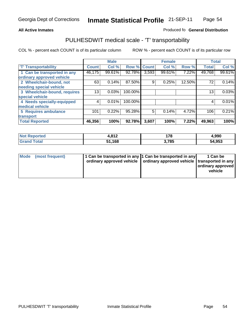#### **Inmate Statistical Profile** 21-SEP-11 Page Page 54

### All Active Inmates **All Active Inmates All Active Inmates Produced fo General Distribution**

## PULHESDWIT medical scale - 'T' transportability

|                              |              | <b>Male</b> |         |              | <b>Female</b> |        | <b>Total</b> |        |
|------------------------------|--------------|-------------|---------|--------------|---------------|--------|--------------|--------|
| <b>T' Transportability</b>   | <b>Count</b> | Col %       | Row %   | <b>Count</b> | Col %         | Row %  | <b>Total</b> | Col %  |
| 1 Can be transported in any  | 46,175       | 99.61%      | 92.78%  | 3,593        | 99.61%        | 7.22%  | 49,768       | 99.61% |
| ordinary approved vehicle    |              |             |         |              |               |        |              |        |
| 2 Wheelchair-bound, not      | 63           | 0.14%       | 87.50%  | 9            | 0.25%         | 12.50% | 72           | 0.14%  |
| needing special vehicle      |              |             |         |              |               |        |              |        |
| 3 Wheelchair-bound, requires | 13           | 0.03%       | 100.00% |              |               |        | 13           | 0.03%  |
| special vehicle              |              |             |         |              |               |        |              |        |
| 4 Needs specially-equipped   | 4            | 0.01%       | 100.00% |              |               |        | 4            | 0.01%  |
| medical vehicle              |              |             |         |              |               |        |              |        |
| <b>5 Requires ambulance</b>  | 101          | 0.22%       | 95.28%  | 5            | 0.14%         | 4.72%  | 106          | 0.21%  |
| transport                    |              |             |         |              |               |        |              |        |
| <b>Total Reported</b>        | 46,356       | 100%        | 92.78%  | 3,607        | 100%          | 7.22%  | 49,963       | 100%   |

| <b>Not</b><br>Reported         | 1,812  | 178  | 4,990  |
|--------------------------------|--------|------|--------|
| <b>Total</b><br><b>'</b> Granu | 51,168 | ,785 | 54,953 |

| Mode (most frequent) | 1 Can be transported in any 1 Can be transported in any | ordinary approved vehicle   ordinary approved vehicle   transported in any | 1 Can be<br>  ordinary approved  <br>vehicle |
|----------------------|---------------------------------------------------------|----------------------------------------------------------------------------|----------------------------------------------|
|                      |                                                         |                                                                            |                                              |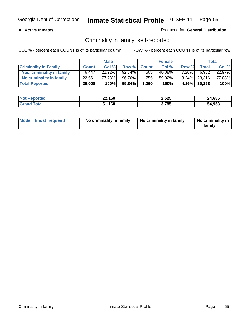### **All Active Inmates**

### Produced for **General Distribution**

# Criminality in family, self-reported

|                              |              | <b>Male</b> |           |              | <b>Female</b> |          |                 | <b>Total</b> |
|------------------------------|--------------|-------------|-----------|--------------|---------------|----------|-----------------|--------------|
| <b>Criminality In Family</b> | <b>Count</b> | Col %       | Row %     | <b>Count</b> | Col %         | Row %    | <b>Total</b>    | Col %        |
| Yes, criminality in family   | 6.447        | 22.22%      | $92.74\%$ | 505          | 40.08%        | $7.26\%$ | 6,952           | 22.97%       |
| No criminality in family     | 22.561       | 77.78%      | 96.76%    | 755 l        | 59.92%        |          | $3.24\%$ 23,316 | 77.03%       |
| <b>Total Reported</b>        | 29,008       | 100%        | $95.84\%$ | 1,260        | 100%          |          | 4.16% 30,268    | 100%         |

| <b>Not Reported</b> | 22,160 | 2,525 | 24,685 |
|---------------------|--------|-------|--------|
| <b>Grand Total</b>  | 51,168 | 3,785 | 54,953 |

|  | Mode (most frequent) | No criminality in family | No criminality in family | No criminality in<br>familv |
|--|----------------------|--------------------------|--------------------------|-----------------------------|
|--|----------------------|--------------------------|--------------------------|-----------------------------|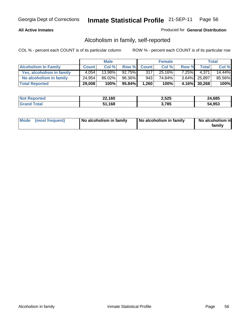### **All Active Inmates**

### Produced for **General Distribution**

# Alcoholism in family, self-reported

|                             |              | <b>Male</b> |        |              | <b>Female</b> |          |              | <b>Total</b> |
|-----------------------------|--------------|-------------|--------|--------------|---------------|----------|--------------|--------------|
| <b>Alcoholism In Family</b> | <b>Count</b> | Col %       | Row %  | <b>Count</b> | Col %         | Row %    | Total        | Col %        |
| Yes, alcoholism in family   | 4.054        | 13.98%      | 92.75% | 317          | 25.16%        | $7.25\%$ | 4.371        | 14.44%       |
| No alcoholism in family     | 24,954       | 86.02%      | 96.36% | 943          | 74.84%        |          | 3.64% 25,897 | 85.56%       |
| <b>Total Reported</b>       | 29,008       | 100%        | 95.84% | 1,260        | 100%          |          | 4.16% 30,268 | 100%         |

| <b>Not Reported</b> | 22,160 | 2,525 | 24,685 |
|---------------------|--------|-------|--------|
| <b>Srand Total</b>  | 51,168 | ,785  | 54,953 |

|  | Mode (most frequent) | No alcoholism in family | No alcoholism in family | No alcoholism in<br>family |
|--|----------------------|-------------------------|-------------------------|----------------------------|
|--|----------------------|-------------------------|-------------------------|----------------------------|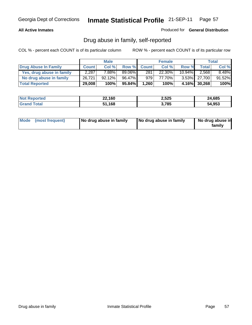### **All Active Inmates**

Produced for **General Distribution**

# Drug abuse in family, self-reported

|                           |              | <b>Male</b> |        |                  | <b>Female</b> |           |              | <b>Total</b> |
|---------------------------|--------------|-------------|--------|------------------|---------------|-----------|--------------|--------------|
| Drug Abuse In Family      | <b>Count</b> | Col %       | Row %  | <b>Count</b>     | Col %         | Row %     | <b>Total</b> | Col %        |
| Yes, drug abuse in family | 2,287        | 7.88%       | 89.06% | 281              | 22.30%        | $10.94\%$ | 2,568        | $8.48\%$     |
| No drug abuse in family   | 26.721       | 92.12%      | 96.47% | 979 <sub>1</sub> | 77.70%        |           | 3.53% 27,700 | 91.52%       |
| <b>Total Reported</b>     | 29,008       | 100%        | 95.84% | 1,260            | 100%          |           | 4.16% 30,268 | 100%         |

| <b>Not Reported</b> | 22,160 | 2,525 | 24,685 |
|---------------------|--------|-------|--------|
| <b>Srand Total</b>  | 51,168 | ,785  | 54,953 |

|  | Mode (most frequent) | No drug abuse in family | No drug abuse in family | No drug abuse in<br>family |
|--|----------------------|-------------------------|-------------------------|----------------------------|
|--|----------------------|-------------------------|-------------------------|----------------------------|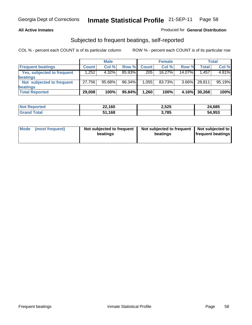### **All Active Inmates**

### Produced for **General Distribution**

### Subjected to frequent beatings, self-reported

|                                   |              | <b>Male</b> |        |              | <b>Female</b> |          |        | <b>Total</b> |
|-----------------------------------|--------------|-------------|--------|--------------|---------------|----------|--------|--------------|
| <b>Frequent beatings</b>          | <b>Count</b> | Col%        | Row %  | <b>Count</b> | Col%          | Row %    | Total  | Col %        |
| <b>Yes, subjected to frequent</b> | 1,252        | 4.32%       | 85.93% | 205          | $16.27\%$     | 14.07%   | 1,457  | 4.81%        |
| beatings                          |              |             |        |              |               |          |        |              |
| Not subjected to frequent         | 27,756       | $95.68\%$   | 96.34% | 1.055        | 83.73%        | $3.66\%$ | 28,811 | 95.19%       |
| beatings                          |              |             |        |              |               |          |        |              |
| <b>Total Reported</b>             | 29,008       | 100%        | 95.84% | 1,260        | 100%          | 4.16%    | 30,268 | 100%         |

| <b>Not Reported</b>    | 22,160     | 2,525 | 24,685 |
|------------------------|------------|-------|--------|
| <b>f</b> otal<br>⊪Grar | .168<br>51 | 3,785 | 54,953 |

| <b>Mode</b> | (most frequent) | Not subjected to frequent<br>beatings | Not subjected to frequent<br>beatings | Not subjected to<br>frequent beatings |
|-------------|-----------------|---------------------------------------|---------------------------------------|---------------------------------------|
|             |                 |                                       |                                       |                                       |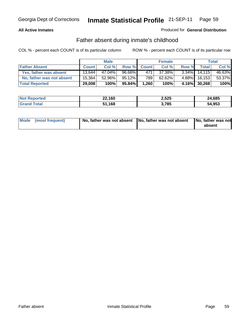### **All Active Inmates**

### Produced for **General Distribution**

# Father absent during inmate's childhood

|                           |              | <b>Male</b> |        |              | <b>Female</b> |          |              | Total  |
|---------------------------|--------------|-------------|--------|--------------|---------------|----------|--------------|--------|
| <b>Father Absent</b>      | <b>Count</b> | Col %       | Row %  | <b>Count</b> | Col %         | Row %    | Total        | Col %  |
| Yes, father was absent    | 13.644       | 47.04%      | 96.66% | 471          | 37.38%        | $3.34\%$ | 14.115       | 46.63% |
| No, father was not absent | 15.364       | 52.96%      | 95.12% | 7891         | 62.62%        | $4.88\%$ | 16,153       | 53.37% |
| <b>Total Reported</b>     | 29,008       | 100%        | 95.84% | 1,260        | 100%          |          | 4.16% 30,268 | 100%   |

| <b>Not Reported</b> | 22,160 | 2,525 | 24,685 |
|---------------------|--------|-------|--------|
| <b>Srand Total</b>  | 51,168 | 3,785 | 54,953 |

| Mode (most frequent) |  | 「No, father was not absent ┃No, father was not absent ┃No, father was not | absent |
|----------------------|--|---------------------------------------------------------------------------|--------|
|----------------------|--|---------------------------------------------------------------------------|--------|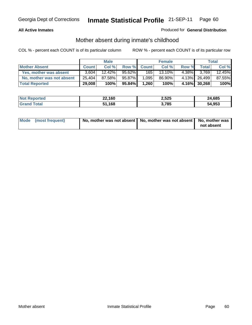### **All Active Inmates**

### Produced for **General Distribution**

# Mother absent during inmate's childhood

|                           |              | <b>Male</b> |           |              | <b>Female</b> |        |              | Total  |
|---------------------------|--------------|-------------|-----------|--------------|---------------|--------|--------------|--------|
| <b>Mother Absent</b>      | <b>Count</b> | Col %       | Row %     | <b>Count</b> | Col %         | Row %  | Total.       | Col %  |
| Yes, mother was absent    | 3.604        | $12.42\%$   | 95.62%    | 165          | 13.10%        | 4.38%I | 3,769        | 12.45% |
| No, mother was not absent | 25,404       | 87.58%      | 95.87%    | 1,095        | 86.90%        |        | 4.13% 26,499 | 87.55% |
| <b>Total Reported</b>     | 29,008       | 100%        | $95.84\%$ | 1,260        | 100%          |        | 4.16% 30,268 | 100%   |

| <b>Not Reported</b> | 22,160 | 2,525 | 24,685 |
|---------------------|--------|-------|--------|
| <b>Grand Total</b>  | 51,168 | ,785  | 54,953 |

| Mode (most frequent) | No, mother was not absent   No, mother was not absent   No, mother was | not absent |
|----------------------|------------------------------------------------------------------------|------------|
|----------------------|------------------------------------------------------------------------|------------|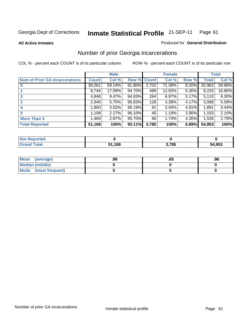#### **All Active Inmates**

### Produced for **General Distribution**

# Number of prior Georgia incarcerations

|                                       | <b>Male</b>  |        |                    |       | <b>Female</b> | <b>Total</b> |        |        |
|---------------------------------------|--------------|--------|--------------------|-------|---------------|--------------|--------|--------|
| <b>Num of Prior GA Incarcerations</b> | <b>Count</b> | Col %  | <b>Row % Count</b> |       | Col %         | Row %        | Total  | Col %  |
| $\bf{0}$                              | 30,261       | 59.14% | 91.80%             | 2,702 | 71.39%        | 8.20%        | 32,963 | 59.98% |
|                                       | 8,744        | 17.09% | 94.70%             | 489   | 12.92%        | 5.30%        | 9,233  | 16.80% |
|                                       | 4,846        | 9.47%  | 94.83%             | 264   | 6.97%         | 5.17%        | 5,110  | 9.30%  |
| 3                                     | 2,940        | 5.75%  | 95.83%             | 128   | 3.38%         | 4.17%        | 3,068  | 5.58%  |
|                                       | 1,800        | 3.52%  | 95.19%             | 91    | 2.40%         | 4.81%        | 1,891  | 3.44%  |
| 5                                     | 1,108        | 2.17%  | 96.10%             | 45    | 1.19%         | $3.90\%$     | 1,153  | 2.10%  |
| <b>More Than 5</b>                    | 1,469        | 2.87%  | 95.70%             | 66    | 1.74%         | 4.30%        | 1,535  | 2.79%  |
| <b>Total Reported</b>                 | 51,168       | 100%   | 93.11%             | 3,785 | 100%          | 6.89%        | 54,953 | 100%   |

| <b>Not</b><br>orted |        |       |        |
|---------------------|--------|-------|--------|
| <b>cotal</b>        | 51,168 | 3,785 | 54,953 |

| Mean (average)       | .98 | .o. | .96 |
|----------------------|-----|-----|-----|
| Median (middle)      |     |     |     |
| Mode (most frequent) |     |     |     |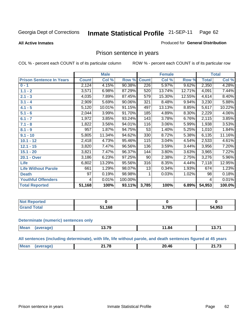**All Active Inmates**

### Produced for **General Distribution**

# Prison sentence in years

COL % - percent each COUNT is of its particular column ROW % - percent each COUNT is of its particular row

|                                 | <b>Male</b>  |        |         |              | <b>Female</b> | <b>Total</b> |              |        |
|---------------------------------|--------------|--------|---------|--------------|---------------|--------------|--------------|--------|
| <b>Prison Sentence In Years</b> | <b>Count</b> | Col %  | Row %   | <b>Count</b> | Col %         | Row %        | <b>Total</b> | Col %  |
| $0 - 1$                         | 2,124        | 4.15%  | 90.38%  | 226          | 5.97%         | 9.62%        | 2,350        | 4.28%  |
| $1.1 - 2$                       | 3,571        | 6.98%  | 87.29%  | 520          | 13.74%        | 12.71%       | 4,091        | 7.44%  |
| $2.1 - 3$                       | 4,035        | 7.89%  | 87.45%  | 579          | 15.30%        | 12.55%       | 4,614        | 8.40%  |
| $3.1 - 4$                       | 2,909        | 5.69%  | 90.06%  | 321          | 8.48%         | 9.94%        | 3,230        | 5.88%  |
| $4.1 - 5$                       | 5,120        | 10.01% | 91.15%  | 497          | 13.13%        | 8.85%        | 5,617        | 10.22% |
| $5.1 - 6$                       | 2,044        | 3.99%  | 91.70%  | 185          | 4.89%         | 8.30%        | 2,229        | 4.06%  |
| $6.1 - 7$                       | 1,972        | 3.85%  | 93.24%  | 143          | 3.78%         | 6.76%        | 2,115        | 3.85%  |
| $7.1 - 8$                       | 1,822        | 3.56%  | 94.01%  | 116          | 3.06%         | 5.99%        | 1,938        | 3.53%  |
| $8.1 - 9$                       | 957          | 1.87%  | 94.75%  | 53           | 1.40%         | 5.25%        | 1,010        | 1.84%  |
| $9.1 - 10$                      | 5,805        | 11.34% | 94.62%  | 330          | 8.72%         | 5.38%        | 6,135        | 11.16% |
| $10.1 - 12$                     | 2,418        | 4.73%  | 95.46%  | 115          | 3.04%         | 4.54%        | 2,533        | 4.61%  |
| $12.1 - 15$                     | 3,820        | 7.47%  | 96.56%  | 136          | 3.59%         | 3.44%        | 3,956        | 7.20%  |
| $15.1 - 20$                     | 3,821        | 7.47%  | 96.37%  | 144          | 3.80%         | 3.63%        | 3,965        | 7.22%  |
| 20.1 - Over                     | 3,186        | 6.23%  | 97.25%  | 90           | 2.38%         | 2.75%        | 3,276        | 5.96%  |
| <b>Life</b>                     | 6,802        | 13.29% | 95.56%  | 316          | 8.35%         | 4.44%        | 7,118        | 12.95% |
| <b>Life Without Parole</b>      | 661          | 1.29%  | 98.07%  | 13           | 0.34%         | 1.93%        | 674          | 1.23%  |
| <b>Death</b>                    | 97           | 0.19%  | 98.98%  |              | 0.03%         | 1.02%        | 98           | 0.18%  |
| <b>Youthful Offenders</b>       | 4            | 0.01%  | 100.00% |              |               |              | 4            | 0.01%  |
| <b>Total Reported</b>           | 51,168       | 100%   | 93.11%  | 3,785        | 100%          | 6.89%        | 54,953       | 100.0% |

| <b>Not Reported</b>  |     |      |        |
|----------------------|-----|------|--------|
| <b>otal</b><br>. Gro | 168 | .785 | 54,953 |

#### **Determinate (numeric) sentences only**

| Mean<br>$\cdots$ | ממו | 70 ج<br>17.IJ | 1.04<br>______ | $\sim$ $\sim$<br>10.II |
|------------------|-----|---------------|----------------|------------------------|
|                  |     |               |                |                        |

**All sentences (including determinate), with life, life without parole, and death sentences figured at 45 years**

| М<br>24.72<br>470<br>AC<br>ንበ<br>п.<br>____<br>_______ |  |  |  |
|--------------------------------------------------------|--|--|--|
|                                                        |  |  |  |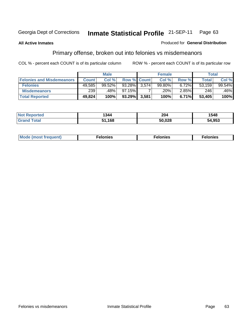### **All Active Inmates**

### Produced for **General Distribution**

# Primary offense, broken out into felonies vs misdemeanors

|                                  | <b>Male</b>  |           |             | <b>Female</b> |        |       | Total        |        |
|----------------------------------|--------------|-----------|-------------|---------------|--------|-------|--------------|--------|
| <b>Felonies and Misdemeanors</b> | <b>Count</b> | Col%      | Row % Count |               | Col %  | Row % | <b>Total</b> | Col %  |
| <b>Felonies</b>                  | 49,585       | $99.52\%$ | 93.28%      | 3.574         | 99.80% | 6.72% | 53,159       | 99.54% |
| <b>Misdemeanors</b>              | 239          | .48%      | 97.15%      |               | .20% ' | 2.85% | 246          | 46%    |
| <b>Total Reported</b>            | 49,824       | 100%      | 93.29%      | 3,581         | 100%   | 6.71% | 53,405       | 100%   |

| <b>Not</b><br>eported | 1344  | 204    | 1548   |
|-----------------------|-------|--------|--------|
| Gran<br><b>otal</b>   | 1.168 | 50,028 | 54.953 |

| Mode (most frequent) | elonies | elonies | onies<br>-е к |
|----------------------|---------|---------|---------------|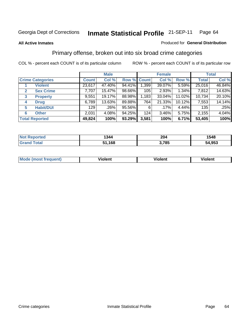### **All Active Inmates**

### Produced for **General Distribution**

# Primary offense, broken out into six broad crime categories

|                         |                       |              | <b>Male</b> |        |                    | <b>Female</b> |          |              | <b>Total</b> |  |
|-------------------------|-----------------------|--------------|-------------|--------|--------------------|---------------|----------|--------------|--------------|--|
| <b>Crime Categories</b> |                       | <b>Count</b> | Col %       |        | <b>Row % Count</b> | Col %         | Row %    | <b>Total</b> | Col %        |  |
|                         | <b>Violent</b>        | 23,617       | 47.40%      | 94.41% | 1,399              | 39.07%        | $5.59\%$ | 25,016       | 46.84%       |  |
| $\mathbf{2}$            | <b>Sex Crime</b>      | 7,707        | 15.47%      | 98.66% | 105                | 2.93%         | $1.34\%$ | 7,812        | 14.63%       |  |
| 3                       | <b>Property</b>       | 9,551        | 19.17%      | 88.98% | 1,183              | 33.04%        | 11.02%   | 10,734       | 20.10%       |  |
| 4                       | <b>Drug</b>           | 6,789        | 13.63%      | 89.88% | 764                | 21.33%        | 10.12%   | 7,553        | 14.14%       |  |
| 5                       | <b>Habit/DUI</b>      | 129          | .26%        | 95.56% | 6                  | $.17\%$       | $4.44\%$ | 135          | .25%         |  |
| 6                       | <b>Other</b>          | 2,031        | 4.08%       | 94.25% | 124                | $3.46\%$      | 5.75%    | 2,155        | 4.04%        |  |
|                         | <b>Total Reported</b> | 49,824       | 100%        | 93.29% | 3,581              | 100%          | 6.71%    | 53,405       | 100%         |  |

| orted<br>N | 1344 | 204<br>$\sim$ $\sim$ $\sim$ | 1548       |
|------------|------|-----------------------------|------------|
| <b>ota</b> | .168 | <b>705</b><br>o.            | .953<br>54 |

| IМ                  | .        | $-$      | -------- |
|---------------------|----------|----------|----------|
| $\cdots$ . $\cdots$ | -------- | -------- |          |
|                     |          |          |          |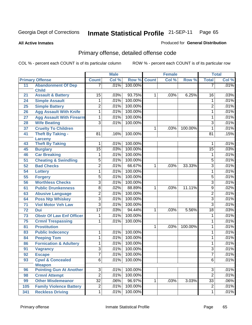**All Active Inmates**

### Produced for **General Distribution**

# Primary offense, detailed offense code

| Col %<br>Col %<br><b>Primary Offense</b><br>Row %<br><b>Count</b><br>Col %<br>Row %<br><b>Total</b><br><b>Count</b><br><b>Abandonment Of Dep</b><br>100.00%<br>.01%<br>11<br>.01%<br>7<br>7<br><b>Child</b><br>$\overline{15}$<br>93.75%<br>6.25%<br>.03%<br><b>Assault &amp; Battery</b><br>.03%<br>1<br>.03%<br>16<br>21<br>100.00%<br>.01%<br>.01%<br><b>Simple Assault</b><br>1<br>24<br>1<br>$\overline{2}$<br>100.00%<br>$\overline{2}$<br>.01%<br>.01%<br>25<br><b>Simple Battery</b><br>100.00%<br><b>Agg Assault With Knife</b><br>.01%<br>.01%<br>1<br>26<br>1<br><b>Agg Assault With Firearm</b><br>.01%<br>100.00%<br>.01%<br>1<br>1<br>27<br><b>Wife Beating</b><br>$\overline{3}$<br>100.00%<br>$\overline{3}$<br>.01%<br>.01%<br>28<br><b>Cruelty To Children</b><br>.01%<br>37<br>1<br>1<br>.03%<br>100.00%<br><b>Theft By Taking -</b><br>.15%<br>100.00%<br>41<br>81<br>.16%<br>81<br>Larceny<br>.01%<br><b>Theft By Taking</b><br>100.00%<br>.01%<br>43<br>1<br>1<br>.03%<br>100.00%<br>.03%<br>$\overline{15}$<br><b>Burglary</b><br>15<br>45<br><b>Car Breaking</b><br>100.00%<br>.01%<br>.01%<br>46<br>1<br>1<br>100.00%<br><b>Cheating &amp; Swindling</b><br>5<br>.01%<br>.01%<br>51<br>$\overline{5}$<br>$\overline{2}$<br>.01%<br>66.67%<br>.01%<br><b>Bad Checks</b><br>$\overline{3}$<br>52<br>.03%<br>33.33%<br>1<br>.01%<br>100.00%<br>.01%<br>$\overline{1}$<br>$\mathbf{1}$<br>54<br><b>Lottery</b><br>$\overline{5}$<br>.01%<br>100.00%<br>.01%<br>$\overline{5}$<br>55<br><b>Forgery</b><br>$\overline{3}$<br>.01%<br>100.00%<br><b>Worthless Checks</b><br>$\overline{3}$<br>.01%<br>56<br>88.89%<br>.02%<br>$\overline{8}$<br>.02%<br><b>Public Drunkenness</b><br>.03%<br>11.11%<br>$\overline{9}$<br>61<br>$\mathbf 1$<br>$\overline{2}$<br>.01%<br>100.00%<br>.01%<br>$\overline{2}$<br>63<br><b>Abusive Language</b><br>100.00%<br><b>Poss Ntp Whiskey</b><br>$\overline{3}$<br>.01%<br>.01%<br>$\overline{3}$<br>64<br>100.00%<br><b>Viol Motor Veh Law</b><br>$\overline{3}$<br>.01%<br>$\overline{3}$<br>.01%<br>$\overline{71}$<br>$\overline{17}$<br>.03%<br>.03%<br>94.44%<br>72<br><b>Dui</b><br>.03%<br>5.56%<br>18<br>$\mathbf{1}$<br>.01%<br>100.00%<br>.01%<br><b>Obstr Of Law Enf Officer</b><br>$\mathbf{1}$<br>73<br>1<br>100.00%<br>.01%<br>.01%<br>75<br><b>Crmnl Trespassing</b><br>1<br>1 |  | <b>Male</b> |  | <b>Female</b> |  |  | <b>Total</b> |  |  |
|-----------------------------------------------------------------------------------------------------------------------------------------------------------------------------------------------------------------------------------------------------------------------------------------------------------------------------------------------------------------------------------------------------------------------------------------------------------------------------------------------------------------------------------------------------------------------------------------------------------------------------------------------------------------------------------------------------------------------------------------------------------------------------------------------------------------------------------------------------------------------------------------------------------------------------------------------------------------------------------------------------------------------------------------------------------------------------------------------------------------------------------------------------------------------------------------------------------------------------------------------------------------------------------------------------------------------------------------------------------------------------------------------------------------------------------------------------------------------------------------------------------------------------------------------------------------------------------------------------------------------------------------------------------------------------------------------------------------------------------------------------------------------------------------------------------------------------------------------------------------------------------------------------------------------------------------------------------------------------------------------------------------------------------------------------------------------------------------------------------------------------------------------------------------------------------------------------------------------------------------------------------------------------------------------------------------------------------------------------|--|-------------|--|---------------|--|--|--------------|--|--|
|                                                                                                                                                                                                                                                                                                                                                                                                                                                                                                                                                                                                                                                                                                                                                                                                                                                                                                                                                                                                                                                                                                                                                                                                                                                                                                                                                                                                                                                                                                                                                                                                                                                                                                                                                                                                                                                                                                                                                                                                                                                                                                                                                                                                                                                                                                                                                     |  |             |  |               |  |  |              |  |  |
|                                                                                                                                                                                                                                                                                                                                                                                                                                                                                                                                                                                                                                                                                                                                                                                                                                                                                                                                                                                                                                                                                                                                                                                                                                                                                                                                                                                                                                                                                                                                                                                                                                                                                                                                                                                                                                                                                                                                                                                                                                                                                                                                                                                                                                                                                                                                                     |  |             |  |               |  |  |              |  |  |
|                                                                                                                                                                                                                                                                                                                                                                                                                                                                                                                                                                                                                                                                                                                                                                                                                                                                                                                                                                                                                                                                                                                                                                                                                                                                                                                                                                                                                                                                                                                                                                                                                                                                                                                                                                                                                                                                                                                                                                                                                                                                                                                                                                                                                                                                                                                                                     |  |             |  |               |  |  |              |  |  |
|                                                                                                                                                                                                                                                                                                                                                                                                                                                                                                                                                                                                                                                                                                                                                                                                                                                                                                                                                                                                                                                                                                                                                                                                                                                                                                                                                                                                                                                                                                                                                                                                                                                                                                                                                                                                                                                                                                                                                                                                                                                                                                                                                                                                                                                                                                                                                     |  |             |  |               |  |  |              |  |  |
|                                                                                                                                                                                                                                                                                                                                                                                                                                                                                                                                                                                                                                                                                                                                                                                                                                                                                                                                                                                                                                                                                                                                                                                                                                                                                                                                                                                                                                                                                                                                                                                                                                                                                                                                                                                                                                                                                                                                                                                                                                                                                                                                                                                                                                                                                                                                                     |  |             |  |               |  |  |              |  |  |
|                                                                                                                                                                                                                                                                                                                                                                                                                                                                                                                                                                                                                                                                                                                                                                                                                                                                                                                                                                                                                                                                                                                                                                                                                                                                                                                                                                                                                                                                                                                                                                                                                                                                                                                                                                                                                                                                                                                                                                                                                                                                                                                                                                                                                                                                                                                                                     |  |             |  |               |  |  |              |  |  |
|                                                                                                                                                                                                                                                                                                                                                                                                                                                                                                                                                                                                                                                                                                                                                                                                                                                                                                                                                                                                                                                                                                                                                                                                                                                                                                                                                                                                                                                                                                                                                                                                                                                                                                                                                                                                                                                                                                                                                                                                                                                                                                                                                                                                                                                                                                                                                     |  |             |  |               |  |  |              |  |  |
|                                                                                                                                                                                                                                                                                                                                                                                                                                                                                                                                                                                                                                                                                                                                                                                                                                                                                                                                                                                                                                                                                                                                                                                                                                                                                                                                                                                                                                                                                                                                                                                                                                                                                                                                                                                                                                                                                                                                                                                                                                                                                                                                                                                                                                                                                                                                                     |  |             |  |               |  |  |              |  |  |
|                                                                                                                                                                                                                                                                                                                                                                                                                                                                                                                                                                                                                                                                                                                                                                                                                                                                                                                                                                                                                                                                                                                                                                                                                                                                                                                                                                                                                                                                                                                                                                                                                                                                                                                                                                                                                                                                                                                                                                                                                                                                                                                                                                                                                                                                                                                                                     |  |             |  |               |  |  |              |  |  |
|                                                                                                                                                                                                                                                                                                                                                                                                                                                                                                                                                                                                                                                                                                                                                                                                                                                                                                                                                                                                                                                                                                                                                                                                                                                                                                                                                                                                                                                                                                                                                                                                                                                                                                                                                                                                                                                                                                                                                                                                                                                                                                                                                                                                                                                                                                                                                     |  |             |  |               |  |  |              |  |  |
|                                                                                                                                                                                                                                                                                                                                                                                                                                                                                                                                                                                                                                                                                                                                                                                                                                                                                                                                                                                                                                                                                                                                                                                                                                                                                                                                                                                                                                                                                                                                                                                                                                                                                                                                                                                                                                                                                                                                                                                                                                                                                                                                                                                                                                                                                                                                                     |  |             |  |               |  |  |              |  |  |
|                                                                                                                                                                                                                                                                                                                                                                                                                                                                                                                                                                                                                                                                                                                                                                                                                                                                                                                                                                                                                                                                                                                                                                                                                                                                                                                                                                                                                                                                                                                                                                                                                                                                                                                                                                                                                                                                                                                                                                                                                                                                                                                                                                                                                                                                                                                                                     |  |             |  |               |  |  |              |  |  |
|                                                                                                                                                                                                                                                                                                                                                                                                                                                                                                                                                                                                                                                                                                                                                                                                                                                                                                                                                                                                                                                                                                                                                                                                                                                                                                                                                                                                                                                                                                                                                                                                                                                                                                                                                                                                                                                                                                                                                                                                                                                                                                                                                                                                                                                                                                                                                     |  |             |  |               |  |  |              |  |  |
|                                                                                                                                                                                                                                                                                                                                                                                                                                                                                                                                                                                                                                                                                                                                                                                                                                                                                                                                                                                                                                                                                                                                                                                                                                                                                                                                                                                                                                                                                                                                                                                                                                                                                                                                                                                                                                                                                                                                                                                                                                                                                                                                                                                                                                                                                                                                                     |  |             |  |               |  |  |              |  |  |
|                                                                                                                                                                                                                                                                                                                                                                                                                                                                                                                                                                                                                                                                                                                                                                                                                                                                                                                                                                                                                                                                                                                                                                                                                                                                                                                                                                                                                                                                                                                                                                                                                                                                                                                                                                                                                                                                                                                                                                                                                                                                                                                                                                                                                                                                                                                                                     |  |             |  |               |  |  |              |  |  |
|                                                                                                                                                                                                                                                                                                                                                                                                                                                                                                                                                                                                                                                                                                                                                                                                                                                                                                                                                                                                                                                                                                                                                                                                                                                                                                                                                                                                                                                                                                                                                                                                                                                                                                                                                                                                                                                                                                                                                                                                                                                                                                                                                                                                                                                                                                                                                     |  |             |  |               |  |  |              |  |  |
|                                                                                                                                                                                                                                                                                                                                                                                                                                                                                                                                                                                                                                                                                                                                                                                                                                                                                                                                                                                                                                                                                                                                                                                                                                                                                                                                                                                                                                                                                                                                                                                                                                                                                                                                                                                                                                                                                                                                                                                                                                                                                                                                                                                                                                                                                                                                                     |  |             |  |               |  |  |              |  |  |
|                                                                                                                                                                                                                                                                                                                                                                                                                                                                                                                                                                                                                                                                                                                                                                                                                                                                                                                                                                                                                                                                                                                                                                                                                                                                                                                                                                                                                                                                                                                                                                                                                                                                                                                                                                                                                                                                                                                                                                                                                                                                                                                                                                                                                                                                                                                                                     |  |             |  |               |  |  |              |  |  |
|                                                                                                                                                                                                                                                                                                                                                                                                                                                                                                                                                                                                                                                                                                                                                                                                                                                                                                                                                                                                                                                                                                                                                                                                                                                                                                                                                                                                                                                                                                                                                                                                                                                                                                                                                                                                                                                                                                                                                                                                                                                                                                                                                                                                                                                                                                                                                     |  |             |  |               |  |  |              |  |  |
|                                                                                                                                                                                                                                                                                                                                                                                                                                                                                                                                                                                                                                                                                                                                                                                                                                                                                                                                                                                                                                                                                                                                                                                                                                                                                                                                                                                                                                                                                                                                                                                                                                                                                                                                                                                                                                                                                                                                                                                                                                                                                                                                                                                                                                                                                                                                                     |  |             |  |               |  |  |              |  |  |
|                                                                                                                                                                                                                                                                                                                                                                                                                                                                                                                                                                                                                                                                                                                                                                                                                                                                                                                                                                                                                                                                                                                                                                                                                                                                                                                                                                                                                                                                                                                                                                                                                                                                                                                                                                                                                                                                                                                                                                                                                                                                                                                                                                                                                                                                                                                                                     |  |             |  |               |  |  |              |  |  |
|                                                                                                                                                                                                                                                                                                                                                                                                                                                                                                                                                                                                                                                                                                                                                                                                                                                                                                                                                                                                                                                                                                                                                                                                                                                                                                                                                                                                                                                                                                                                                                                                                                                                                                                                                                                                                                                                                                                                                                                                                                                                                                                                                                                                                                                                                                                                                     |  |             |  |               |  |  |              |  |  |
|                                                                                                                                                                                                                                                                                                                                                                                                                                                                                                                                                                                                                                                                                                                                                                                                                                                                                                                                                                                                                                                                                                                                                                                                                                                                                                                                                                                                                                                                                                                                                                                                                                                                                                                                                                                                                                                                                                                                                                                                                                                                                                                                                                                                                                                                                                                                                     |  |             |  |               |  |  |              |  |  |
|                                                                                                                                                                                                                                                                                                                                                                                                                                                                                                                                                                                                                                                                                                                                                                                                                                                                                                                                                                                                                                                                                                                                                                                                                                                                                                                                                                                                                                                                                                                                                                                                                                                                                                                                                                                                                                                                                                                                                                                                                                                                                                                                                                                                                                                                                                                                                     |  |             |  |               |  |  |              |  |  |
|                                                                                                                                                                                                                                                                                                                                                                                                                                                                                                                                                                                                                                                                                                                                                                                                                                                                                                                                                                                                                                                                                                                                                                                                                                                                                                                                                                                                                                                                                                                                                                                                                                                                                                                                                                                                                                                                                                                                                                                                                                                                                                                                                                                                                                                                                                                                                     |  |             |  |               |  |  |              |  |  |
|                                                                                                                                                                                                                                                                                                                                                                                                                                                                                                                                                                                                                                                                                                                                                                                                                                                                                                                                                                                                                                                                                                                                                                                                                                                                                                                                                                                                                                                                                                                                                                                                                                                                                                                                                                                                                                                                                                                                                                                                                                                                                                                                                                                                                                                                                                                                                     |  |             |  |               |  |  |              |  |  |
| <b>Prostitution</b><br>.01%<br>81<br>1<br>.03%<br>100.00%<br>1                                                                                                                                                                                                                                                                                                                                                                                                                                                                                                                                                                                                                                                                                                                                                                                                                                                                                                                                                                                                                                                                                                                                                                                                                                                                                                                                                                                                                                                                                                                                                                                                                                                                                                                                                                                                                                                                                                                                                                                                                                                                                                                                                                                                                                                                                      |  |             |  |               |  |  |              |  |  |
| .01%<br>100.00%<br><b>Public Indecency</b><br>.01%<br>83<br>1<br>1                                                                                                                                                                                                                                                                                                                                                                                                                                                                                                                                                                                                                                                                                                                                                                                                                                                                                                                                                                                                                                                                                                                                                                                                                                                                                                                                                                                                                                                                                                                                                                                                                                                                                                                                                                                                                                                                                                                                                                                                                                                                                                                                                                                                                                                                                  |  |             |  |               |  |  |              |  |  |
| .01%<br>100.00%<br>.01%<br><b>Peeping Tom</b><br>1<br>1                                                                                                                                                                                                                                                                                                                                                                                                                                                                                                                                                                                                                                                                                                                                                                                                                                                                                                                                                                                                                                                                                                                                                                                                                                                                                                                                                                                                                                                                                                                                                                                                                                                                                                                                                                                                                                                                                                                                                                                                                                                                                                                                                                                                                                                                                             |  |             |  |               |  |  |              |  |  |
| 84<br>100.00%<br>.01%<br>.01%                                                                                                                                                                                                                                                                                                                                                                                                                                                                                                                                                                                                                                                                                                                                                                                                                                                                                                                                                                                                                                                                                                                                                                                                                                                                                                                                                                                                                                                                                                                                                                                                                                                                                                                                                                                                                                                                                                                                                                                                                                                                                                                                                                                                                                                                                                                       |  |             |  |               |  |  |              |  |  |
| <b>Fornication &amp; Adultery</b><br>1<br>1<br>86<br>$\overline{3}$<br>.01%<br>100.00%<br>.01%<br>$\overline{3}$                                                                                                                                                                                                                                                                                                                                                                                                                                                                                                                                                                                                                                                                                                                                                                                                                                                                                                                                                                                                                                                                                                                                                                                                                                                                                                                                                                                                                                                                                                                                                                                                                                                                                                                                                                                                                                                                                                                                                                                                                                                                                                                                                                                                                                    |  |             |  |               |  |  |              |  |  |
| 91<br><b>Vagrancy</b><br>$\overline{7}$<br>$\overline{7}$<br>.01%<br>$.01\%$<br>100.00%                                                                                                                                                                                                                                                                                                                                                                                                                                                                                                                                                                                                                                                                                                                                                                                                                                                                                                                                                                                                                                                                                                                                                                                                                                                                                                                                                                                                                                                                                                                                                                                                                                                                                                                                                                                                                                                                                                                                                                                                                                                                                                                                                                                                                                                             |  |             |  |               |  |  |              |  |  |
| 92<br><b>Escape</b>                                                                                                                                                                                                                                                                                                                                                                                                                                                                                                                                                                                                                                                                                                                                                                                                                                                                                                                                                                                                                                                                                                                                                                                                                                                                                                                                                                                                                                                                                                                                                                                                                                                                                                                                                                                                                                                                                                                                                                                                                                                                                                                                                                                                                                                                                                                                 |  |             |  |               |  |  |              |  |  |
| 100.00%<br>.01%<br>$\overline{6}$<br>.01%<br>$\overline{6}$<br><b>Cpwl &amp; Concealed</b><br>93<br><b>Weapon</b>                                                                                                                                                                                                                                                                                                                                                                                                                                                                                                                                                                                                                                                                                                                                                                                                                                                                                                                                                                                                                                                                                                                                                                                                                                                                                                                                                                                                                                                                                                                                                                                                                                                                                                                                                                                                                                                                                                                                                                                                                                                                                                                                                                                                                                   |  |             |  |               |  |  |              |  |  |
| <b>Pointing Gun At Another</b><br>.01%<br>$\overline{3}$<br>100.00%<br>$\overline{3}$<br>.01%<br>96                                                                                                                                                                                                                                                                                                                                                                                                                                                                                                                                                                                                                                                                                                                                                                                                                                                                                                                                                                                                                                                                                                                                                                                                                                                                                                                                                                                                                                                                                                                                                                                                                                                                                                                                                                                                                                                                                                                                                                                                                                                                                                                                                                                                                                                 |  |             |  |               |  |  |              |  |  |
| $\overline{2}$<br>.01%<br>100.00%<br>$\overline{2}$<br>.01%<br><b>Crmnl Attempt</b><br>98                                                                                                                                                                                                                                                                                                                                                                                                                                                                                                                                                                                                                                                                                                                                                                                                                                                                                                                                                                                                                                                                                                                                                                                                                                                                                                                                                                                                                                                                                                                                                                                                                                                                                                                                                                                                                                                                                                                                                                                                                                                                                                                                                                                                                                                           |  |             |  |               |  |  |              |  |  |
| $\overline{32}$<br>96.97%<br>$.06\%$<br>.03%<br>3.03%<br>$\overline{33}$<br>.06%<br><b>Other Misdemeanor</b><br>99<br>1                                                                                                                                                                                                                                                                                                                                                                                                                                                                                                                                                                                                                                                                                                                                                                                                                                                                                                                                                                                                                                                                                                                                                                                                                                                                                                                                                                                                                                                                                                                                                                                                                                                                                                                                                                                                                                                                                                                                                                                                                                                                                                                                                                                                                             |  |             |  |               |  |  |              |  |  |
| $\overline{2}$<br>.01%<br>100.00%<br>.01%<br><b>Family Violence Battery</b><br>$\overline{c}$<br>105                                                                                                                                                                                                                                                                                                                                                                                                                                                                                                                                                                                                                                                                                                                                                                                                                                                                                                                                                                                                                                                                                                                                                                                                                                                                                                                                                                                                                                                                                                                                                                                                                                                                                                                                                                                                                                                                                                                                                                                                                                                                                                                                                                                                                                                |  |             |  |               |  |  |              |  |  |
| 100.00%<br><b>Reckless Driving</b><br>$\overline{1}$<br>.01%<br>.01%<br>341<br>1                                                                                                                                                                                                                                                                                                                                                                                                                                                                                                                                                                                                                                                                                                                                                                                                                                                                                                                                                                                                                                                                                                                                                                                                                                                                                                                                                                                                                                                                                                                                                                                                                                                                                                                                                                                                                                                                                                                                                                                                                                                                                                                                                                                                                                                                    |  |             |  |               |  |  |              |  |  |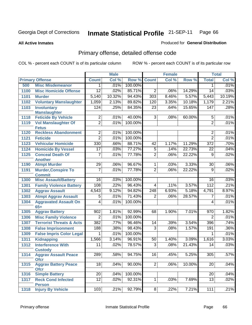**All Active Inmates**

### Produced for **General Distribution**

# Primary offense, detailed offense code

| Col %<br>Col %<br>Row %<br><b>Total</b><br>Col %<br><b>Primary Offense</b><br>Row %<br><b>Count</b><br><b>Count</b><br><b>Misc Misdemeanor</b><br>.01%<br>100.00%<br>.01%<br>500<br>1<br>1  <br>85.71%<br><b>Misc Homicide Offense</b><br>$\overline{12}$<br>.02%<br>$\overline{2}$<br>14.29%<br>$\overline{14}$<br>.03%<br>1100<br>.06%<br>5,140<br>10.32%<br>94.43%<br>8.46%<br>5.57%<br>5,443<br>10.19%<br>1101<br>303<br><b>Murder</b><br>2.21%<br>1,059<br>2.13%<br>89.82%<br>1102<br><b>Voluntary Manslaughter</b><br>120<br>3.35%<br>10.18%<br>1,179<br>84.35%<br>1103<br>124<br>.25%<br>$\overline{23}$<br>.64%<br>15.65%<br>147<br>.28%<br><b>Involuntary</b><br><b>Manslaughter</b><br><b>Feticide By Vehicle</b><br>$\overline{2}$<br>.01%<br>40.00%<br>$\overline{3}$<br>.01%<br>1118<br>.08%<br>60.00%<br>5<br>$\overline{2}$<br>$\overline{2}$<br>.01%<br><b>Vol Manslaughter Of</b><br>.01%<br>100.00%<br>1119<br><b>Fetus</b><br>$\overline{2}$<br>100.00%<br>.01%<br><b>Reckless Abandonment</b><br>.01%<br>$\overline{2}$<br>1120<br>$\overline{2}$<br>$\overline{2}$<br>.01%<br>100.00%<br>.01%<br>1121<br><b>Feticide</b><br>330<br>.66%<br>88.71%<br>.70%<br>1.17%<br>11.29%<br>$\overline{372}$<br>1123<br><b>Vehicular Homicide</b><br>42<br>77.27%<br>.04%<br>1124<br><b>Homicide By Vessel</b><br>$\overline{17}$<br>.03%<br>$\overline{5}$<br>.14%<br>22.73%<br>$\overline{22}$<br>$\overline{2}$<br>.02%<br>.01%<br>77.78%<br>.06%<br>22.22%<br>$\overline{9}$<br>1125<br><b>Conceal Death Of</b><br>$\overline{7}$<br><b>Another</b><br><b>Atmpt Murder</b><br>96.67%<br>.06%<br>$\overline{29}$<br>.06%<br>.03%<br>3.33%<br>1190<br>$\mathbf 1$<br>30<br><b>Murder, Conspire To</b><br>77.78%<br>$\overline{2}$<br>$\overline{7}$<br>.01%<br>.06%<br>22.22%<br>$\overline{9}$<br>.02%<br>1191<br><b>Commit</b><br>100.00%<br>.03%<br><b>Misc Assault/Battery</b><br>$\overline{16}$<br>.03%<br>1300<br>16<br>$\overline{108}$<br>.22%<br>96.43%<br>.21%<br>.11%<br>3.57%<br>112<br><b>Family Violence Battery</b><br>1301<br>4<br><b>Aggrav Assault</b><br>8.97%<br>9.12%<br>94.82%<br>6.93%<br>5.18%<br>1302<br>4,543<br>248<br>4,791<br>.01%<br>71.43%<br>28.57%<br>.01%<br><b>Atmpt Aggrav Assault</b><br>$\overline{5}$<br>$\overline{2}$<br>.06%<br>$\overline{7}$<br>1303<br>100.00%<br>.01%<br><b>Aggravated Assault On</b><br>4<br>1304<br>.01%<br>4<br>$65+$<br>92.99%<br>1.82%<br>1.81%<br>1.90%<br>7.01%<br>1305<br><b>Aggrav Battery</b><br>902<br>68<br>970<br>$\overline{2}$<br>100.00%<br>$\overline{2}$<br><b>Misc Family Violence</b><br>.01%<br>.01%<br>1306<br><b>Terrorist Threats &amp; Acts</b><br>382<br>.77%<br>96.46%<br>.39%<br>3.54%<br>396<br>.74%<br>1307<br>14<br>98.43%<br>$\overline{3}$<br>.36%<br>188<br>.38%<br>.08%<br>1.57%<br>191<br>1308<br><b>False Imprisonment</b><br>100.00%<br>.01%<br>.01%<br>1309<br><b>False Impris Color Legal</b><br>1<br>1<br>96.91%<br>3.03%<br>3.14%<br>50<br>1.40%<br>3.09%<br>1311<br><b>Kidnapping</b><br>1,566<br>1,616<br>1312<br><b>Interference With</b><br>78.57%<br>$\overline{3}$<br>.08%<br>.03%<br>11<br>.02%<br>21.43%<br>14<br><b>Custody</b><br>.57%<br><b>Aggrav Assault Peace</b><br>289<br>58%<br>94.75%<br>16<br>45%<br>5.25%<br>305<br>1314<br><b>Ofcr</b><br>18<br>$\overline{2}$<br>$.06\%$<br>.04%<br>.04%<br>90.00%<br>10.00%<br>20<br><b>Aggrav Battery Peace</b><br>1315<br><b>Ofcr</b><br><b>Simple Battery</b><br>.04%<br>20 <sup>2</sup><br>.04%<br>100.00%<br>20<br>1316<br>$\overline{12}$<br>92.31%<br>.02%<br>.03%<br>$\overline{13}$<br>.02%<br><b>Reck Cond Infected</b><br>1<br>7.69%<br>1317<br><b>Person</b><br><b>Injury By Vehicle</b><br>103<br>92.79%<br>.21%<br>.21%<br>8 <sup>1</sup><br>.22%<br>7.21%<br>111<br>1318 |  | <b>Male</b> |  | <b>Female</b> |  | <b>Total</b> |
|--------------------------------------------------------------------------------------------------------------------------------------------------------------------------------------------------------------------------------------------------------------------------------------------------------------------------------------------------------------------------------------------------------------------------------------------------------------------------------------------------------------------------------------------------------------------------------------------------------------------------------------------------------------------------------------------------------------------------------------------------------------------------------------------------------------------------------------------------------------------------------------------------------------------------------------------------------------------------------------------------------------------------------------------------------------------------------------------------------------------------------------------------------------------------------------------------------------------------------------------------------------------------------------------------------------------------------------------------------------------------------------------------------------------------------------------------------------------------------------------------------------------------------------------------------------------------------------------------------------------------------------------------------------------------------------------------------------------------------------------------------------------------------------------------------------------------------------------------------------------------------------------------------------------------------------------------------------------------------------------------------------------------------------------------------------------------------------------------------------------------------------------------------------------------------------------------------------------------------------------------------------------------------------------------------------------------------------------------------------------------------------------------------------------------------------------------------------------------------------------------------------------------------------------------------------------------------------------------------------------------------------------------------------------------------------------------------------------------------------------------------------------------------------------------------------------------------------------------------------------------------------------------------------------------------------------------------------------------------------------------------------------------------------------------------------------------------------------------------------------------------------------------------------------------------------------------------------------------------------------------------------------------------------------------------------------------------------------------------------------------------------------------------------------------------------------------------------------------------------------------------------------------------------------------------------------------------------------------------------------------------------------------------------------------------------------------------------------------------------------------------------------|--|-------------|--|---------------|--|--------------|
|                                                                                                                                                                                                                                                                                                                                                                                                                                                                                                                                                                                                                                                                                                                                                                                                                                                                                                                                                                                                                                                                                                                                                                                                                                                                                                                                                                                                                                                                                                                                                                                                                                                                                                                                                                                                                                                                                                                                                                                                                                                                                                                                                                                                                                                                                                                                                                                                                                                                                                                                                                                                                                                                                                                                                                                                                                                                                                                                                                                                                                                                                                                                                                                                                                                                                                                                                                                                                                                                                                                                                                                                                                                                                                                                                                    |  |             |  |               |  |              |
|                                                                                                                                                                                                                                                                                                                                                                                                                                                                                                                                                                                                                                                                                                                                                                                                                                                                                                                                                                                                                                                                                                                                                                                                                                                                                                                                                                                                                                                                                                                                                                                                                                                                                                                                                                                                                                                                                                                                                                                                                                                                                                                                                                                                                                                                                                                                                                                                                                                                                                                                                                                                                                                                                                                                                                                                                                                                                                                                                                                                                                                                                                                                                                                                                                                                                                                                                                                                                                                                                                                                                                                                                                                                                                                                                                    |  |             |  |               |  |              |
|                                                                                                                                                                                                                                                                                                                                                                                                                                                                                                                                                                                                                                                                                                                                                                                                                                                                                                                                                                                                                                                                                                                                                                                                                                                                                                                                                                                                                                                                                                                                                                                                                                                                                                                                                                                                                                                                                                                                                                                                                                                                                                                                                                                                                                                                                                                                                                                                                                                                                                                                                                                                                                                                                                                                                                                                                                                                                                                                                                                                                                                                                                                                                                                                                                                                                                                                                                                                                                                                                                                                                                                                                                                                                                                                                                    |  |             |  |               |  |              |
|                                                                                                                                                                                                                                                                                                                                                                                                                                                                                                                                                                                                                                                                                                                                                                                                                                                                                                                                                                                                                                                                                                                                                                                                                                                                                                                                                                                                                                                                                                                                                                                                                                                                                                                                                                                                                                                                                                                                                                                                                                                                                                                                                                                                                                                                                                                                                                                                                                                                                                                                                                                                                                                                                                                                                                                                                                                                                                                                                                                                                                                                                                                                                                                                                                                                                                                                                                                                                                                                                                                                                                                                                                                                                                                                                                    |  |             |  |               |  |              |
|                                                                                                                                                                                                                                                                                                                                                                                                                                                                                                                                                                                                                                                                                                                                                                                                                                                                                                                                                                                                                                                                                                                                                                                                                                                                                                                                                                                                                                                                                                                                                                                                                                                                                                                                                                                                                                                                                                                                                                                                                                                                                                                                                                                                                                                                                                                                                                                                                                                                                                                                                                                                                                                                                                                                                                                                                                                                                                                                                                                                                                                                                                                                                                                                                                                                                                                                                                                                                                                                                                                                                                                                                                                                                                                                                                    |  |             |  |               |  |              |
|                                                                                                                                                                                                                                                                                                                                                                                                                                                                                                                                                                                                                                                                                                                                                                                                                                                                                                                                                                                                                                                                                                                                                                                                                                                                                                                                                                                                                                                                                                                                                                                                                                                                                                                                                                                                                                                                                                                                                                                                                                                                                                                                                                                                                                                                                                                                                                                                                                                                                                                                                                                                                                                                                                                                                                                                                                                                                                                                                                                                                                                                                                                                                                                                                                                                                                                                                                                                                                                                                                                                                                                                                                                                                                                                                                    |  |             |  |               |  |              |
|                                                                                                                                                                                                                                                                                                                                                                                                                                                                                                                                                                                                                                                                                                                                                                                                                                                                                                                                                                                                                                                                                                                                                                                                                                                                                                                                                                                                                                                                                                                                                                                                                                                                                                                                                                                                                                                                                                                                                                                                                                                                                                                                                                                                                                                                                                                                                                                                                                                                                                                                                                                                                                                                                                                                                                                                                                                                                                                                                                                                                                                                                                                                                                                                                                                                                                                                                                                                                                                                                                                                                                                                                                                                                                                                                                    |  |             |  |               |  |              |
|                                                                                                                                                                                                                                                                                                                                                                                                                                                                                                                                                                                                                                                                                                                                                                                                                                                                                                                                                                                                                                                                                                                                                                                                                                                                                                                                                                                                                                                                                                                                                                                                                                                                                                                                                                                                                                                                                                                                                                                                                                                                                                                                                                                                                                                                                                                                                                                                                                                                                                                                                                                                                                                                                                                                                                                                                                                                                                                                                                                                                                                                                                                                                                                                                                                                                                                                                                                                                                                                                                                                                                                                                                                                                                                                                                    |  |             |  |               |  |              |
|                                                                                                                                                                                                                                                                                                                                                                                                                                                                                                                                                                                                                                                                                                                                                                                                                                                                                                                                                                                                                                                                                                                                                                                                                                                                                                                                                                                                                                                                                                                                                                                                                                                                                                                                                                                                                                                                                                                                                                                                                                                                                                                                                                                                                                                                                                                                                                                                                                                                                                                                                                                                                                                                                                                                                                                                                                                                                                                                                                                                                                                                                                                                                                                                                                                                                                                                                                                                                                                                                                                                                                                                                                                                                                                                                                    |  |             |  |               |  |              |
|                                                                                                                                                                                                                                                                                                                                                                                                                                                                                                                                                                                                                                                                                                                                                                                                                                                                                                                                                                                                                                                                                                                                                                                                                                                                                                                                                                                                                                                                                                                                                                                                                                                                                                                                                                                                                                                                                                                                                                                                                                                                                                                                                                                                                                                                                                                                                                                                                                                                                                                                                                                                                                                                                                                                                                                                                                                                                                                                                                                                                                                                                                                                                                                                                                                                                                                                                                                                                                                                                                                                                                                                                                                                                                                                                                    |  |             |  |               |  |              |
|                                                                                                                                                                                                                                                                                                                                                                                                                                                                                                                                                                                                                                                                                                                                                                                                                                                                                                                                                                                                                                                                                                                                                                                                                                                                                                                                                                                                                                                                                                                                                                                                                                                                                                                                                                                                                                                                                                                                                                                                                                                                                                                                                                                                                                                                                                                                                                                                                                                                                                                                                                                                                                                                                                                                                                                                                                                                                                                                                                                                                                                                                                                                                                                                                                                                                                                                                                                                                                                                                                                                                                                                                                                                                                                                                                    |  |             |  |               |  |              |
|                                                                                                                                                                                                                                                                                                                                                                                                                                                                                                                                                                                                                                                                                                                                                                                                                                                                                                                                                                                                                                                                                                                                                                                                                                                                                                                                                                                                                                                                                                                                                                                                                                                                                                                                                                                                                                                                                                                                                                                                                                                                                                                                                                                                                                                                                                                                                                                                                                                                                                                                                                                                                                                                                                                                                                                                                                                                                                                                                                                                                                                                                                                                                                                                                                                                                                                                                                                                                                                                                                                                                                                                                                                                                                                                                                    |  |             |  |               |  |              |
|                                                                                                                                                                                                                                                                                                                                                                                                                                                                                                                                                                                                                                                                                                                                                                                                                                                                                                                                                                                                                                                                                                                                                                                                                                                                                                                                                                                                                                                                                                                                                                                                                                                                                                                                                                                                                                                                                                                                                                                                                                                                                                                                                                                                                                                                                                                                                                                                                                                                                                                                                                                                                                                                                                                                                                                                                                                                                                                                                                                                                                                                                                                                                                                                                                                                                                                                                                                                                                                                                                                                                                                                                                                                                                                                                                    |  |             |  |               |  |              |
|                                                                                                                                                                                                                                                                                                                                                                                                                                                                                                                                                                                                                                                                                                                                                                                                                                                                                                                                                                                                                                                                                                                                                                                                                                                                                                                                                                                                                                                                                                                                                                                                                                                                                                                                                                                                                                                                                                                                                                                                                                                                                                                                                                                                                                                                                                                                                                                                                                                                                                                                                                                                                                                                                                                                                                                                                                                                                                                                                                                                                                                                                                                                                                                                                                                                                                                                                                                                                                                                                                                                                                                                                                                                                                                                                                    |  |             |  |               |  |              |
|                                                                                                                                                                                                                                                                                                                                                                                                                                                                                                                                                                                                                                                                                                                                                                                                                                                                                                                                                                                                                                                                                                                                                                                                                                                                                                                                                                                                                                                                                                                                                                                                                                                                                                                                                                                                                                                                                                                                                                                                                                                                                                                                                                                                                                                                                                                                                                                                                                                                                                                                                                                                                                                                                                                                                                                                                                                                                                                                                                                                                                                                                                                                                                                                                                                                                                                                                                                                                                                                                                                                                                                                                                                                                                                                                                    |  |             |  |               |  |              |
|                                                                                                                                                                                                                                                                                                                                                                                                                                                                                                                                                                                                                                                                                                                                                                                                                                                                                                                                                                                                                                                                                                                                                                                                                                                                                                                                                                                                                                                                                                                                                                                                                                                                                                                                                                                                                                                                                                                                                                                                                                                                                                                                                                                                                                                                                                                                                                                                                                                                                                                                                                                                                                                                                                                                                                                                                                                                                                                                                                                                                                                                                                                                                                                                                                                                                                                                                                                                                                                                                                                                                                                                                                                                                                                                                                    |  |             |  |               |  |              |
|                                                                                                                                                                                                                                                                                                                                                                                                                                                                                                                                                                                                                                                                                                                                                                                                                                                                                                                                                                                                                                                                                                                                                                                                                                                                                                                                                                                                                                                                                                                                                                                                                                                                                                                                                                                                                                                                                                                                                                                                                                                                                                                                                                                                                                                                                                                                                                                                                                                                                                                                                                                                                                                                                                                                                                                                                                                                                                                                                                                                                                                                                                                                                                                                                                                                                                                                                                                                                                                                                                                                                                                                                                                                                                                                                                    |  |             |  |               |  |              |
|                                                                                                                                                                                                                                                                                                                                                                                                                                                                                                                                                                                                                                                                                                                                                                                                                                                                                                                                                                                                                                                                                                                                                                                                                                                                                                                                                                                                                                                                                                                                                                                                                                                                                                                                                                                                                                                                                                                                                                                                                                                                                                                                                                                                                                                                                                                                                                                                                                                                                                                                                                                                                                                                                                                                                                                                                                                                                                                                                                                                                                                                                                                                                                                                                                                                                                                                                                                                                                                                                                                                                                                                                                                                                                                                                                    |  |             |  |               |  |              |
|                                                                                                                                                                                                                                                                                                                                                                                                                                                                                                                                                                                                                                                                                                                                                                                                                                                                                                                                                                                                                                                                                                                                                                                                                                                                                                                                                                                                                                                                                                                                                                                                                                                                                                                                                                                                                                                                                                                                                                                                                                                                                                                                                                                                                                                                                                                                                                                                                                                                                                                                                                                                                                                                                                                                                                                                                                                                                                                                                                                                                                                                                                                                                                                                                                                                                                                                                                                                                                                                                                                                                                                                                                                                                                                                                                    |  |             |  |               |  |              |
|                                                                                                                                                                                                                                                                                                                                                                                                                                                                                                                                                                                                                                                                                                                                                                                                                                                                                                                                                                                                                                                                                                                                                                                                                                                                                                                                                                                                                                                                                                                                                                                                                                                                                                                                                                                                                                                                                                                                                                                                                                                                                                                                                                                                                                                                                                                                                                                                                                                                                                                                                                                                                                                                                                                                                                                                                                                                                                                                                                                                                                                                                                                                                                                                                                                                                                                                                                                                                                                                                                                                                                                                                                                                                                                                                                    |  |             |  |               |  |              |
|                                                                                                                                                                                                                                                                                                                                                                                                                                                                                                                                                                                                                                                                                                                                                                                                                                                                                                                                                                                                                                                                                                                                                                                                                                                                                                                                                                                                                                                                                                                                                                                                                                                                                                                                                                                                                                                                                                                                                                                                                                                                                                                                                                                                                                                                                                                                                                                                                                                                                                                                                                                                                                                                                                                                                                                                                                                                                                                                                                                                                                                                                                                                                                                                                                                                                                                                                                                                                                                                                                                                                                                                                                                                                                                                                                    |  |             |  |               |  |              |
|                                                                                                                                                                                                                                                                                                                                                                                                                                                                                                                                                                                                                                                                                                                                                                                                                                                                                                                                                                                                                                                                                                                                                                                                                                                                                                                                                                                                                                                                                                                                                                                                                                                                                                                                                                                                                                                                                                                                                                                                                                                                                                                                                                                                                                                                                                                                                                                                                                                                                                                                                                                                                                                                                                                                                                                                                                                                                                                                                                                                                                                                                                                                                                                                                                                                                                                                                                                                                                                                                                                                                                                                                                                                                                                                                                    |  |             |  |               |  |              |
|                                                                                                                                                                                                                                                                                                                                                                                                                                                                                                                                                                                                                                                                                                                                                                                                                                                                                                                                                                                                                                                                                                                                                                                                                                                                                                                                                                                                                                                                                                                                                                                                                                                                                                                                                                                                                                                                                                                                                                                                                                                                                                                                                                                                                                                                                                                                                                                                                                                                                                                                                                                                                                                                                                                                                                                                                                                                                                                                                                                                                                                                                                                                                                                                                                                                                                                                                                                                                                                                                                                                                                                                                                                                                                                                                                    |  |             |  |               |  |              |
|                                                                                                                                                                                                                                                                                                                                                                                                                                                                                                                                                                                                                                                                                                                                                                                                                                                                                                                                                                                                                                                                                                                                                                                                                                                                                                                                                                                                                                                                                                                                                                                                                                                                                                                                                                                                                                                                                                                                                                                                                                                                                                                                                                                                                                                                                                                                                                                                                                                                                                                                                                                                                                                                                                                                                                                                                                                                                                                                                                                                                                                                                                                                                                                                                                                                                                                                                                                                                                                                                                                                                                                                                                                                                                                                                                    |  |             |  |               |  |              |
|                                                                                                                                                                                                                                                                                                                                                                                                                                                                                                                                                                                                                                                                                                                                                                                                                                                                                                                                                                                                                                                                                                                                                                                                                                                                                                                                                                                                                                                                                                                                                                                                                                                                                                                                                                                                                                                                                                                                                                                                                                                                                                                                                                                                                                                                                                                                                                                                                                                                                                                                                                                                                                                                                                                                                                                                                                                                                                                                                                                                                                                                                                                                                                                                                                                                                                                                                                                                                                                                                                                                                                                                                                                                                                                                                                    |  |             |  |               |  |              |
|                                                                                                                                                                                                                                                                                                                                                                                                                                                                                                                                                                                                                                                                                                                                                                                                                                                                                                                                                                                                                                                                                                                                                                                                                                                                                                                                                                                                                                                                                                                                                                                                                                                                                                                                                                                                                                                                                                                                                                                                                                                                                                                                                                                                                                                                                                                                                                                                                                                                                                                                                                                                                                                                                                                                                                                                                                                                                                                                                                                                                                                                                                                                                                                                                                                                                                                                                                                                                                                                                                                                                                                                                                                                                                                                                                    |  |             |  |               |  |              |
|                                                                                                                                                                                                                                                                                                                                                                                                                                                                                                                                                                                                                                                                                                                                                                                                                                                                                                                                                                                                                                                                                                                                                                                                                                                                                                                                                                                                                                                                                                                                                                                                                                                                                                                                                                                                                                                                                                                                                                                                                                                                                                                                                                                                                                                                                                                                                                                                                                                                                                                                                                                                                                                                                                                                                                                                                                                                                                                                                                                                                                                                                                                                                                                                                                                                                                                                                                                                                                                                                                                                                                                                                                                                                                                                                                    |  |             |  |               |  |              |
|                                                                                                                                                                                                                                                                                                                                                                                                                                                                                                                                                                                                                                                                                                                                                                                                                                                                                                                                                                                                                                                                                                                                                                                                                                                                                                                                                                                                                                                                                                                                                                                                                                                                                                                                                                                                                                                                                                                                                                                                                                                                                                                                                                                                                                                                                                                                                                                                                                                                                                                                                                                                                                                                                                                                                                                                                                                                                                                                                                                                                                                                                                                                                                                                                                                                                                                                                                                                                                                                                                                                                                                                                                                                                                                                                                    |  |             |  |               |  |              |
|                                                                                                                                                                                                                                                                                                                                                                                                                                                                                                                                                                                                                                                                                                                                                                                                                                                                                                                                                                                                                                                                                                                                                                                                                                                                                                                                                                                                                                                                                                                                                                                                                                                                                                                                                                                                                                                                                                                                                                                                                                                                                                                                                                                                                                                                                                                                                                                                                                                                                                                                                                                                                                                                                                                                                                                                                                                                                                                                                                                                                                                                                                                                                                                                                                                                                                                                                                                                                                                                                                                                                                                                                                                                                                                                                                    |  |             |  |               |  |              |
|                                                                                                                                                                                                                                                                                                                                                                                                                                                                                                                                                                                                                                                                                                                                                                                                                                                                                                                                                                                                                                                                                                                                                                                                                                                                                                                                                                                                                                                                                                                                                                                                                                                                                                                                                                                                                                                                                                                                                                                                                                                                                                                                                                                                                                                                                                                                                                                                                                                                                                                                                                                                                                                                                                                                                                                                                                                                                                                                                                                                                                                                                                                                                                                                                                                                                                                                                                                                                                                                                                                                                                                                                                                                                                                                                                    |  |             |  |               |  |              |
|                                                                                                                                                                                                                                                                                                                                                                                                                                                                                                                                                                                                                                                                                                                                                                                                                                                                                                                                                                                                                                                                                                                                                                                                                                                                                                                                                                                                                                                                                                                                                                                                                                                                                                                                                                                                                                                                                                                                                                                                                                                                                                                                                                                                                                                                                                                                                                                                                                                                                                                                                                                                                                                                                                                                                                                                                                                                                                                                                                                                                                                                                                                                                                                                                                                                                                                                                                                                                                                                                                                                                                                                                                                                                                                                                                    |  |             |  |               |  |              |
|                                                                                                                                                                                                                                                                                                                                                                                                                                                                                                                                                                                                                                                                                                                                                                                                                                                                                                                                                                                                                                                                                                                                                                                                                                                                                                                                                                                                                                                                                                                                                                                                                                                                                                                                                                                                                                                                                                                                                                                                                                                                                                                                                                                                                                                                                                                                                                                                                                                                                                                                                                                                                                                                                                                                                                                                                                                                                                                                                                                                                                                                                                                                                                                                                                                                                                                                                                                                                                                                                                                                                                                                                                                                                                                                                                    |  |             |  |               |  |              |
|                                                                                                                                                                                                                                                                                                                                                                                                                                                                                                                                                                                                                                                                                                                                                                                                                                                                                                                                                                                                                                                                                                                                                                                                                                                                                                                                                                                                                                                                                                                                                                                                                                                                                                                                                                                                                                                                                                                                                                                                                                                                                                                                                                                                                                                                                                                                                                                                                                                                                                                                                                                                                                                                                                                                                                                                                                                                                                                                                                                                                                                                                                                                                                                                                                                                                                                                                                                                                                                                                                                                                                                                                                                                                                                                                                    |  |             |  |               |  |              |
|                                                                                                                                                                                                                                                                                                                                                                                                                                                                                                                                                                                                                                                                                                                                                                                                                                                                                                                                                                                                                                                                                                                                                                                                                                                                                                                                                                                                                                                                                                                                                                                                                                                                                                                                                                                                                                                                                                                                                                                                                                                                                                                                                                                                                                                                                                                                                                                                                                                                                                                                                                                                                                                                                                                                                                                                                                                                                                                                                                                                                                                                                                                                                                                                                                                                                                                                                                                                                                                                                                                                                                                                                                                                                                                                                                    |  |             |  |               |  |              |
|                                                                                                                                                                                                                                                                                                                                                                                                                                                                                                                                                                                                                                                                                                                                                                                                                                                                                                                                                                                                                                                                                                                                                                                                                                                                                                                                                                                                                                                                                                                                                                                                                                                                                                                                                                                                                                                                                                                                                                                                                                                                                                                                                                                                                                                                                                                                                                                                                                                                                                                                                                                                                                                                                                                                                                                                                                                                                                                                                                                                                                                                                                                                                                                                                                                                                                                                                                                                                                                                                                                                                                                                                                                                                                                                                                    |  |             |  |               |  |              |
|                                                                                                                                                                                                                                                                                                                                                                                                                                                                                                                                                                                                                                                                                                                                                                                                                                                                                                                                                                                                                                                                                                                                                                                                                                                                                                                                                                                                                                                                                                                                                                                                                                                                                                                                                                                                                                                                                                                                                                                                                                                                                                                                                                                                                                                                                                                                                                                                                                                                                                                                                                                                                                                                                                                                                                                                                                                                                                                                                                                                                                                                                                                                                                                                                                                                                                                                                                                                                                                                                                                                                                                                                                                                                                                                                                    |  |             |  |               |  |              |
|                                                                                                                                                                                                                                                                                                                                                                                                                                                                                                                                                                                                                                                                                                                                                                                                                                                                                                                                                                                                                                                                                                                                                                                                                                                                                                                                                                                                                                                                                                                                                                                                                                                                                                                                                                                                                                                                                                                                                                                                                                                                                                                                                                                                                                                                                                                                                                                                                                                                                                                                                                                                                                                                                                                                                                                                                                                                                                                                                                                                                                                                                                                                                                                                                                                                                                                                                                                                                                                                                                                                                                                                                                                                                                                                                                    |  |             |  |               |  |              |
|                                                                                                                                                                                                                                                                                                                                                                                                                                                                                                                                                                                                                                                                                                                                                                                                                                                                                                                                                                                                                                                                                                                                                                                                                                                                                                                                                                                                                                                                                                                                                                                                                                                                                                                                                                                                                                                                                                                                                                                                                                                                                                                                                                                                                                                                                                                                                                                                                                                                                                                                                                                                                                                                                                                                                                                                                                                                                                                                                                                                                                                                                                                                                                                                                                                                                                                                                                                                                                                                                                                                                                                                                                                                                                                                                                    |  |             |  |               |  |              |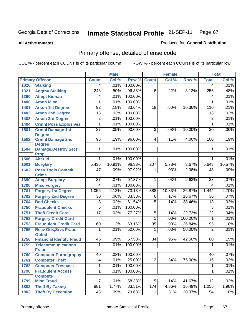#### **All Active Inmates**

### Produced for **General Distribution**

# Primary offense, detailed offense code

|      |                                                              |                  | <b>Male</b>  |                   |                  | <b>Female</b> |         |                 | <b>Total</b> |
|------|--------------------------------------------------------------|------------------|--------------|-------------------|------------------|---------------|---------|-----------------|--------------|
|      | <b>Primary Offense</b>                                       | <b>Count</b>     | Col %        | Row %             | <b>Count</b>     | Col %         | Row %   | <b>Total</b>    | Col %        |
| 1320 | <b>Stalking</b>                                              | 4                | .01%         | 100.00%           |                  |               |         | 4               | .01%         |
| 1321 | <b>Aggrav Stalking</b>                                       | $\overline{248}$ | .50%         | 96.88%            | 8                | .22%          | 3.13%   | 256             | .48%         |
| 1390 | <b>Atmpt Kidnap</b>                                          | 4                | .01%         | 100.00%           |                  |               |         | 4               | .01%         |
| 1400 | <b>Arson Misc</b>                                            | 1                | .01%         | 100.00%           |                  |               |         | 1               | .01%         |
| 1401 | <b>Arson 1st Degree</b>                                      | $\overline{92}$  | .18%         | 83.64%            | $\overline{18}$  | .50%          | 16.36%  | 110             | .21%         |
| 1402 | <b>Arson 2nd Degree</b>                                      | $\overline{13}$  | .03%         | 100.00%           |                  |               |         | 13              | .02%         |
| 1403 | <b>Arson 3rd Degree</b>                                      | $\overline{2}$   | .01%         | 100.00%           |                  |               |         | $\overline{2}$  | .01%         |
| 1404 | <b>Crmnl Poss Explosives</b>                                 | 1                | .01%         | 100.00%           |                  |               |         | 1               | .01%         |
| 1501 | <b>Crmnl Damage 1st</b><br><b>Degree</b>                     | $\overline{27}$  | .05%         | 90.00%            | $\overline{3}$   | .08%          | 10.00%  | $\overline{30}$ | .06%         |
| 1502 | <b>Crmnl Damage 2nd</b><br><b>Degree</b>                     | $\overline{96}$  | .19%         | 96.00%            | $\vert$          | .11%          | 4.00%   | 100             | .19%         |
| 1504 | <b>Damage, Destroy Secr</b><br><b>Prop</b>                   | 1                | .01%         | 100.00%           |                  |               |         | 1               | .01%         |
| 1506 | <b>Alter Id</b>                                              | 1                | .01%         | 100.00%           |                  |               |         | 1               | .01%         |
| 1601 | <b>Burglary</b>                                              | 5,436            | 10.91%       | 96.33%            | $\overline{207}$ | 5.78%         | 3.67%   | 5,643           | 10.57%       |
| 1602 | <b>Poss Tools Commit</b><br><b>Crime</b>                     | 47               | .09%         | 97.92%            | 1                | .03%          | 2.08%   | 48              | .09%         |
| 1690 | <b>Atmpt Burglary</b>                                        | 37               | .07%         | 97.37%            | 1                | .03%          | 2.63%   | 38              | .07%         |
| 1700 | <b>Misc Forgery</b>                                          | 4                | .01%         | 100.00%           |                  |               |         | 4               | .01%         |
| 1701 | <b>Forgery 1st Degree</b>                                    | 1,056            | 2.12%        | 73.13%            | 388              | 10.83%        | 26.87%  | 1,444           | 2.70%        |
| 1702 | <b>Forgery 2nd Degree</b>                                    | $\overline{30}$  | .06%         | 83.33%            | 6                | .17%          | 16.67%  | 36              | .07%         |
| 1704 | <b>Bad Checks</b>                                            | $\overline{8}$   | .02%         | 61.54%            | 5                | .14%          | 38.46%  | 13              | .02%         |
| 1750 | <b>Fraudulent Checks</b>                                     | $\overline{5}$   | .01%         | 100.00%           |                  |               |         | 5               | .01%         |
| 1751 | <b>Theft Credit Card</b>                                     | $\overline{17}$  | .03%         | 77.27%            | $\overline{5}$   | .14%          | 22.73%  | $\overline{22}$ | .04%         |
| 1752 | <b>Forgery Credit Card</b>                                   |                  |              |                   | $\overline{1}$   | .03%          | 100.00% | $\mathbf{1}$    | .01%         |
| 1753 | <b>Fraudulent Credit Card</b>                                | 60               | .12%         | 63.16%            | $\overline{35}$  | .98%          | 36.84%  | 95              | .18%         |
| 1755 | <b>Recv Gds, Srvs Fraud</b>                                  | 1                | .01%         | 50.00%            | 1                | .03%          | 50.00%  | $\overline{2}$  | .01%         |
|      | <b>Obtnd</b>                                                 |                  |              |                   |                  |               |         |                 |              |
| 1756 | <b>Financial Identity Fraud</b><br><b>Telecommunications</b> | 46               | .09%<br>.01% | 57.50%<br>100.00% | $\overline{34}$  | .95%          | 42.50%  | 80              | .15%<br>.01% |
| 1759 | <b>Fraud</b>                                                 | 1                |              |                   |                  |               |         | 1               |              |
| 1760 | <b>Computer Pornography</b>                                  | 40               | $.08\%$      | 100.00%           |                  |               |         | 40              | $ 07\% $     |
| 1761 | <b>Computer Theft</b>                                        | $\overline{4}$   | .01%         | 25.00%            | $\overline{12}$  | .34%          | 75.00%  | 16              | .03%         |
| 1762 | <b>Computer Trespass</b>                                     | $\overline{1}$   | .01%         | 100.00%           |                  |               |         | 1               | .01%         |
| 1796 | <b>Fraudulent Access</b>                                     | 1                | .01%         | 100.00%           |                  |               |         | 1               | .01%         |
|      | <b>Compute</b>                                               |                  |              |                   |                  |               |         |                 |              |
| 1799 | <b>Misc Fraud</b>                                            | $\overline{7}$   | .01%         | 58.33%            | 5 <sup>1</sup>   | .14%          | 41.67%  | 12              | .02%         |
| 1802 | <b>Theft By Taking</b>                                       | 881              | 1.77%        | 83.51%            | 174              | 4.86%         | 16.49%  | 1,055           | 1.98%        |
| 1803 | <b>Theft By Deception</b>                                    | 43               | .09%         | 79.63%            | 11               | .31%          | 20.37%  | $\overline{54}$ | .10%         |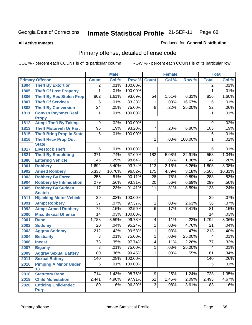**All Active Inmates**

### Produced for **General Distribution**

# Primary offense, detailed offense code

|      |                                                 |                  | <b>Male</b>  |                  |                 | <b>Female</b> |         |                  | <b>Total</b>  |
|------|-------------------------------------------------|------------------|--------------|------------------|-----------------|---------------|---------|------------------|---------------|
|      | <b>Primary Offense</b>                          | <b>Count</b>     | Col %        | Row %            | <b>Count</b>    | Col %         | Row %   | <b>Total</b>     | Col %         |
| 1804 | <b>Theft By Extortion</b>                       | $\overline{2}$   | .01%         | 100.00%          |                 |               |         | $\overline{2}$   | .01%          |
| 1805 | <b>Theft Of Lost Property</b>                   | $\overline{1}$   | .01%         | 100.00%          |                 |               |         | 1                | .01%          |
| 1806 | <b>Theft By Rec Stolen Prop</b>                 | 802              | 1.61%        | 93.69%           | 54              | 1.51%         | 6.31%   | 856              | 1.60%         |
| 1807 | <b>Theft Of Services</b>                        | $\overline{5}$   | .01%         | 83.33%           | 1               | .03%          | 16.67%  | 6                | .01%          |
| 1808 | <b>Theft By Conversion</b>                      | $\overline{24}$  | .05%         | 75.00%           | $\overline{8}$  | .22%          | 25.00%  | $\overline{32}$  | .06%          |
| 1811 | <b>Convsn Paymnts Real</b>                      | 1                | .01%         | 100.00%          |                 |               |         | 1                | .01%          |
|      | <b>Propy</b>                                    |                  |              |                  |                 |               |         |                  |               |
| 1812 | <b>Atmpt Theft By Taking</b>                    | $\overline{9}$   | .02%         | 100.00%          |                 |               |         | $\overline{9}$   | .02%          |
| 1813 | <b>Theft Motorveh Or Part</b>                   | $\overline{96}$  | .19%         | 93.20%           | 7               | .20%          | 6.80%   | 103              | .19%          |
| 1815 | <b>Theft Bring Prop In State</b>                | 6                | .01%         | 100.00%          |                 |               |         | 6                | .01%          |
| 1816 | <b>Theft Recv Prop Out</b>                      |                  |              |                  | 1               | .03%          | 100.00% | $\mathbf{1}$     | .01%          |
|      | <b>State</b>                                    | 6                |              | 100.00%          |                 |               |         |                  |               |
| 1817 | <b>Livestock Theft</b>                          | $\overline{371}$ | .01%<br>.74% | 67.09%           |                 | 5.08%         | 32.91%  | 6<br>553         | .01%<br>1.04% |
| 1821 | <b>Theft By Shoplifting</b>                     |                  |              |                  | 182             |               |         |                  |               |
| 1880 | <b>Entering Vehicle</b>                         | 145              | .29%         | 98.64%<br>93.74% | $\overline{2}$  | .06%          | 1.36%   | 147              | .28%          |
| 1901 | <b>Robbery</b>                                  | 1,692            | 3.40%        |                  | 113             | 3.16%         | 6.26%   | 1,805            | 3.38%         |
| 1902 | <b>Armed Robbery</b>                            | 5,333            | 10.70%       | 96.82%           | 175             | 4.89%         | 3.18%   | 5,508            | 10.31%        |
| 1903 | <b>Robbery By Force</b>                         | 255              | .51%         | 90.11%           | $\overline{28}$ | .78%          | 9.89%   | 283              | .53%          |
| 1904 | <b>Robbery By Intimidation</b>                  | 279              | .56%         | 93.31%           | $\overline{20}$ | .56%          | 6.69%   | 299              | .56%          |
| 1905 | <b>Robbery By Sudden</b>                        | 117              | .23%         | 91.41%           | 11              | .31%          | 8.59%   | 128              | .24%          |
| 1911 | <b>Snatch</b><br><b>Hijacking Motor Vehicle</b> | $\overline{39}$  | .08%         | 100.00%          |                 |               |         | 39               | .07%          |
| 1991 | <b>Atmpt Robbery</b>                            | $\overline{37}$  | .07%         | 97.37%           | 1               | .03%          | 2.63%   | $\overline{38}$  | .07%          |
| 1992 | <b>Atmpt Armed Robbery</b>                      | $\overline{75}$  | .15%         | 92.59%           | $\overline{6}$  | .17%          | 7.41%   | 81               | .15%          |
| 2000 | <b>Misc Sexual Offense</b>                      | 14               | .03%         | 100.00%          |                 |               |         | 14               | .03%          |
| 2001 | <b>Rape</b>                                     | 1,788            | 3.59%        | 99.78%           | 4               | .11%          | .22%    | 1,792            | 3.36%         |
| 2002 | <b>Sodomy</b>                                   | $\overline{20}$  | .04%         | 95.24%           | 1               | .03%          | 4.76%   | $\overline{21}$  | .04%          |
| 2003 | <b>Aggrav Sodomy</b>                            | $\overline{212}$ | .43%         | 99.53%           | 1               | .03%          | .47%    | $\overline{213}$ | .40%          |
| 2004 | <b>Bestiality</b>                               | $\overline{3}$   | .01%         | 75.00%           | 1               | .03%          | 25.00%  | 4                | .01%          |
| 2006 | <b>Incest</b>                                   | 173              | .35%         | 97.74%           | 4               | .11%          | 2.26%   | 177              | .33%          |
| 2007 | <b>Bigamy</b>                                   | $\overline{3}$   | .01%         | 75.00%           | 1               | .03%          | 25.00%  | 4                | .01%          |
| 2009 | <b>Aggrav Sexual Battery</b>                    | 180              | .36%         | 99.45%           | 1               | .03%          | .55%    | 181              | .34%          |
| 2011 | <b>Sexual Battery</b>                           | 140              | .28%         | 100.00%          |                 |               |         | 140              | .26%          |
| 2016 | <b>Pimping A Minor Under</b>                    | 5                | .01%         | 100.00%          |                 |               |         | 5                | .01%          |
|      | 18                                              |                  |              |                  |                 |               |         |                  |               |
| 2018 | <b>Statutory Rape</b>                           | 714              | 1.43%        | 98.76%           | 9               | .25%          | 1.24%   | 723              | 1.35%         |
| 2019 | <b>Child Molestation</b>                        | 2,441            | 4.90%        | 97.91%           | 52              | 1.45%         | 2.09%   | 2,493            | 4.67%         |
| 2020 | <b>Enticing Child-Indec</b>                     | 80               | .16%         | 96.39%           | $\overline{3}$  | .08%          | 3.61%   | $\overline{83}$  | .16%          |
|      | <b>Purp</b>                                     |                  |              |                  |                 |               |         |                  |               |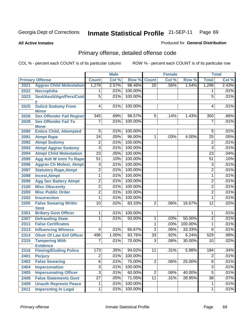**All Active Inmates**

### Produced for **General Distribution**

# Primary offense, detailed offense code

|      |                                                  |                 | <b>Male</b> |         |                 | <b>Female</b> |         |                 | <b>Total</b> |
|------|--------------------------------------------------|-----------------|-------------|---------|-----------------|---------------|---------|-----------------|--------------|
|      | <b>Primary Offense</b>                           | <b>Count</b>    | Col %       | Row %   | <b>Count</b>    | Col %         | Row %   | <b>Total</b>    | Col %        |
| 2021 | <b>Aggrav Child Molestation</b>                  | 1,279           | 2.57%       | 98.46%  | $\overline{20}$ | .56%          | 1.54%   | 1,299           | 2.43%        |
| 2022 | <b>Necrophilia</b>                               |                 | .01%        | 100.00% |                 |               |         | 1               | .01%         |
| 2023 | Sexl/AssIt/Agn/Pers/Cstd                         | $\overline{5}$  | .01%        | 100.00% |                 |               |         | 5               | .01%         |
|      |                                                  |                 |             |         |                 |               |         |                 |              |
| 2025 | <b>Solicit Sodomy From</b>                       | 4               | .01%        | 100.00% |                 |               |         | 4               | .01%         |
| 2026 | <b>Minor</b><br><b>Sex Offender Fail Registr</b> | 345             | .69%        | 98.57%  | $5\overline{)}$ | .14%          | 1.43%   | 350             | .66%         |
| 2028 | <b>Sex Offender Fail To</b>                      | $\overline{7}$  | .01%        | 100.00% |                 |               |         | $\overline{7}$  | .01%         |
|      | <b>Move</b>                                      |                 |             |         |                 |               |         |                 |              |
| 2090 | <b>Entice Child, Attempted</b>                   | $\overline{5}$  | .01%        | 100.00% |                 |               |         | 5               | .01%         |
| 2091 | <b>Atmpt Rape</b>                                | $\overline{24}$ | .05%        | 96.00%  | $\overline{1}$  | .03%          | 4.00%   | $\overline{25}$ | .05%         |
| 2092 | <b>Atmpt Sodomy</b>                              | $\overline{2}$  | .01%        | 100.00% |                 |               |         | $\overline{2}$  | .01%         |
| 2093 | <b>Atmpt Aggrav Sodomy</b>                       | $\overline{3}$  | .01%        | 100.00% |                 |               |         | $\overline{3}$  | .01%         |
| 2094 | <b>Atmpt Child Molestation</b>                   | $\overline{23}$ | .05%        | 100.00% |                 |               |         | $\overline{23}$ | .04%         |
| 2095 | <b>Agg Aslt W Intnt To Rape</b>                  | $\overline{51}$ | .10%        | 100.00% |                 |               |         | $\overline{51}$ | .10%         |
| 2096 | <b>Aggrav Ch Molest, Atmpt</b>                   | $\overline{3}$  | .01%        | 100.00% |                 |               |         | 3               | .01%         |
| 2097 | <b>Statutory Rape, Atmpt</b>                     | $\overline{2}$  | .01%        | 100.00% |                 |               |         | $\overline{2}$  | .01%         |
| 2098 | <b>Incest, Atmpt</b>                             | 1               | .01%        | 100.00% |                 |               |         | 1               | .01%         |
| 2099 | <b>Agg Sex Battery Atmpt</b>                     | $\overline{2}$  | .01%        | 100.00% |                 |               |         | $\overline{2}$  | .01%         |
| 2100 | <b>Misc Obscenity</b>                            | $\overline{2}$  | .01%        | 100.00% |                 |               |         | $\overline{2}$  | .01%         |
| 2200 | <b>Misc Public Order</b>                         | $\overline{2}$  | .01%        | 100.00% |                 |               |         | $\overline{2}$  | .01%         |
| 2202 | <b>Insurrection</b>                              | 1               | .01%        | 100.00% |                 |               |         | 1               | .01%         |
| 2205 | <b>False Swearng Writtn</b>                      | 10              | .02%        | 83.33%  | $\overline{2}$  | .06%          | 16.67%  | $\overline{12}$ | .02%         |
|      | <b>Stmt</b>                                      |                 |             |         |                 |               |         |                 |              |
| 2301 | <b>Bribery Govt Officer</b>                      | 1               | .01%        | 100.00% |                 |               |         | 1               | .01%         |
| 2307 | <b>Defrauding State</b>                          | 1               | .01%        | 50.00%  | $\mathbf 1$     | .03%          | 50.00%  | $\overline{2}$  | .01%         |
| 2311 | <b>False Certificates</b>                        |                 |             |         | 1               | .03%          | 100.00% | $\mathbf 1$     | .01%         |
| 2313 | <b>Influencing Witness</b>                       | 4               | .01%        | 66.67%  | $\overline{2}$  | .06%          | 33.33%  | 6               | .01%         |
| 2314 | <b>Obstr Of Law Enf Officer</b>                  | 496             | 1.00%       | 93.76%  | 33              | .92%          | 6.24%   | 529             | .99%         |
| 2315 | <b>Tampering With</b><br><b>Evidence</b>         | 7               | .01%        | 70.00%  | 3               | .08%          | 30.00%  | 10              | .02%         |
| 2316 | <b>Fleeing/Eluding Police</b>                    | 173             | .35%        | 94.02%  | 11              | .31%          | 5.98%   | 184             | .34%         |
| 2401 | <b>Perjury</b>                                   | $\overline{2}$  | .01%        | 100.00% |                 |               |         | $\overline{2}$  | .01%         |
| 2402 | <b>False Swearing</b>                            | $\overline{6}$  | .01%        | 75.00%  | $\overline{2}$  | .06%          | 25.00%  | $\overline{8}$  | .01%         |
| 2404 | Impersonation                                    | $\overline{3}$  | .01%        | 100.00% |                 |               |         | $\overline{3}$  | .01%         |
| 2405 | <b>Impersonating Officer</b>                     | $\overline{3}$  | .01%        | 60.00%  | $\overline{2}$  | .06%          | 40.00%  | $\overline{5}$  | .01%         |
| 2408 | <b>False Statements Govt</b>                     | $\overline{27}$ | .05%        | 71.05%  | $\overline{11}$ | .31%          | 28.95%  | $\overline{38}$ | .07%         |
| 2409 | <b>Unauth Represtn Peace</b>                     | 1               | .01%        | 100.00% |                 |               |         | 1               | .01%         |
| 2411 | <b>Impersntng In Legal</b>                       | $\overline{1}$  | .01%        | 100.00% |                 |               |         | 1               | .01%         |
|      |                                                  |                 |             |         |                 |               |         |                 |              |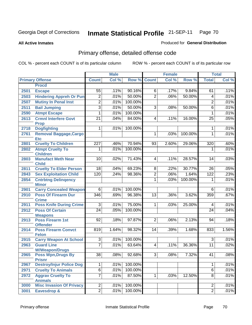**All Active Inmates**

### Produced for **General Distribution**

# Primary offense, detailed offense code

|      |                                             | <b>Male</b>      |       | <b>Female</b> |                 |       | <b>Total</b> |                 |       |
|------|---------------------------------------------|------------------|-------|---------------|-----------------|-------|--------------|-----------------|-------|
|      | <b>Primary Offense</b>                      | <b>Count</b>     | Col % | Row %         | <b>Count</b>    | Col % | Row %        | <b>Total</b>    | Col % |
|      | <b>Procd</b>                                |                  |       |               |                 |       |              |                 |       |
| 2501 | <b>Escape</b>                               | $\overline{55}$  | .11%  | 90.16%        | 6               | .17%  | 9.84%        | 61              | .11%  |
| 2503 | <b>Hindering Appreh Or Pun</b>              | $\overline{2}$   | .01%  | 50.00%        | $\overline{2}$  | .06%  | 50.00%       | 4               | .01%  |
| 2507 | <b>Mutiny In Penal Inst</b>                 | $\overline{2}$   | .01%  | 100.00%       |                 |       |              | $\overline{2}$  | .01%  |
| 2511 | <b>Bail Jumping</b>                         | $\overline{3}$   | .01%  | 50.00%        | $\overline{3}$  | .08%  | 50.00%       | 6               | .01%  |
| 2590 | <b>Atmpt Escape</b>                         | 1                | .01%  | 100.00%       |                 |       |              | $\mathbf{1}$    | .01%  |
| 2613 | <b>Crmnl Interfere Govt</b><br><b>Prop</b>  | $\overline{21}$  | .04%  | 84.00%        | $\overline{4}$  | .11%  | 16.00%       | 25              | .05%  |
| 2718 | <b>Dogfighting</b>                          | 1                | .01%  | 100.00%       |                 |       |              | 1               | .01%  |
| 2761 | <b>Removal Baggage, Cargo</b><br><b>Etc</b> |                  |       |               | 1               | .03%  | 100.00%      | 1               | .01%  |
| 2801 | <b>Cruelty To Children</b>                  | $\overline{227}$ | .46%  | 70.94%        | 93              | 2.60% | 29.06%       | 320             | .60%  |
| 2802 | <b>Atmpt Cruelty To</b><br><b>Children</b>  | 1                | .01%  | 100.00%       |                 |       |              | 1               | .01%  |
| 2803 | <b>Manufact Meth Near</b><br><b>Child</b>   | 10               | .02%  | 71.43%        | 4               | .11%  | 28.57%       | 14              | .03%  |
| 2811 | <b>Cruelty To Elder Person</b>              | 18               | .04%  | 69.23%        | 8               | .22%  | 30.77%       | 26              | .05%  |
| 2843 | <b>Sex Exploitation Child</b>               | 120              | .24%  | 98.36%        | $\overline{2}$  | .06%  | 1.64%        | 122             | .23%  |
| 2854 | <b>Cntrbtng Delingency</b><br><b>Minor</b>  |                  |       |               | 1               | .03%  | 100.00%      | 1               | .01%  |
| 2901 | <b>Carry Concealed Weapon</b>               | $\overline{6}$   | .01%  | 100.00%       |                 |       |              | 6               | .01%  |
| 2910 | <b>Poss Of Firearm Dur</b><br><b>Crime</b>  | $\overline{346}$ | .69%  | 96.38%        | $\overline{13}$ | .36%  | 3.62%        | 359             | .67%  |
| 2911 | <b>Poss Knife During Crime</b>              | $\overline{3}$   | .01%  | 75.00%        | $\mathbf{1}$    | .03%  | 25.00%       | 4               | .01%  |
| 2912 | <b>Poss Of Certain</b><br><b>Weapons</b>    | $\overline{24}$  | .05%  | 100.00%       |                 |       |              | $\overline{24}$ | .04%  |
| 2913 | <b>Poss Firearm 1st</b><br><b>Offender</b>  | 92               | .18%  | 97.87%        | $\overline{2}$  | .06%  | 2.13%        | 94              | .18%  |
| 2914 | <b>Poss Firearm Convct</b><br><b>Felon</b>  | 819              | 1.64% | 98.32%        | 14              | .39%  | 1.68%        | 833             | 1.56% |
| 2915 | <b>Carry Weapon At School</b>               | 3 <sup>1</sup>   | .01%  | 100.00%       |                 |       |              | 3               | .01%  |
| 2963 | <b>Guard Line</b><br><b>W/Weapon/Drugs</b>  | $\overline{7}$   | .01%  | 63.64%        | 4               | .11%  | 36.36%       | 11              | .02%  |
| 2965 | <b>Poss Wpn, Drugs By</b><br><b>Prisnr</b>  | 38               | .08%  | 92.68%        | 3               | .08%  | 7.32%        | 41              | .08%  |
| 2967 | <b>Destroy/Injur Police Dog</b>             | 1                | .01%  | 100.00%       |                 |       |              | 1               | .01%  |
| 2971 | <b>Cruelty To Animals</b>                   | $\overline{6}$   | .01%  | 100.00%       |                 |       |              | $\overline{6}$  | .01%  |
| 2972 | <b>Aggrav Cruelty To</b><br><b>Animals</b>  | $\overline{7}$   | .01%  | 87.50%        | $\mathbf{1}$    | .03%  | 12.50%       | $\overline{8}$  | .01%  |
| 3000 | <b>Misc Invasion Of Privacy</b>             | $\overline{2}$   | .01%  | 100.00%       |                 |       |              | $\overline{2}$  | .01%  |
| 3001 | Eavesdrop &                                 | $\overline{2}$   | .01%  | 100.00%       |                 |       |              | $\overline{2}$  | .01%  |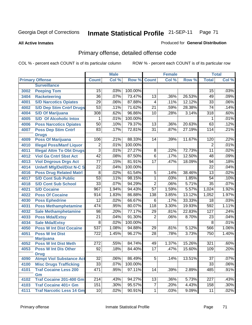**All Active Inmates**

### Produced for **General Distribution**

# Primary offense, detailed offense code

|      |                                                | <b>Male</b>      |       | <b>Female</b> |                 |       | <b>Total</b> |                  |         |
|------|------------------------------------------------|------------------|-------|---------------|-----------------|-------|--------------|------------------|---------|
|      | <b>Primary Offense</b>                         | <b>Count</b>     | Col % | Row %         | <b>Count</b>    | Col % | Row %        | <b>Total</b>     | Col %   |
|      | <b>Surveillance</b>                            |                  |       |               |                 |       |              |                  |         |
| 3002 | <b>Peeping Tom</b>                             | 15               | .03%  | 100.00%       |                 |       |              | 15               | .03%    |
| 3404 | <b>Racketeering</b>                            | $\overline{36}$  | .07%  | 73.47%        | $\overline{13}$ | .36%  | 26.53%       | 49               | .09%    |
| 4001 | <b>S/D Narcotics Opiates</b>                   | 29               | .06%  | 87.88%        | $\overline{4}$  | .11%  | 12.12%       | $\overline{33}$  | .06%    |
| 4002 | <b>S/D Dep Stim Cntrf Drugs</b>                | $\overline{53}$  | .11%  | 71.62%        | $\overline{21}$ | .59%  | 28.38%       | $\overline{74}$  | .14%    |
| 4004 | <b>S/D Of Marijuana</b>                        | 308              | .62%  | 96.86%        | $\overline{10}$ | .28%  | 3.14%        | 318              | .60%    |
| 4005 | <b>S/D Of Alcoholic Intox</b>                  | 1                | .01%  | 100.00%       |                 |       |              | 1                | .01%    |
| 4006 | <b>Poss Narcotics Opiates</b>                  | 50               | .10%  | 79.37%        | $\overline{13}$ | .36%  | 20.63%       | 63               | .12%    |
| 4007 | <b>Poss Dep Stim Cntrf</b>                     | 83               | .17%  | 72.81%        | $\overline{31}$ | .87%  | 27.19%       | 114              | .21%    |
|      | <b>Drugs</b>                                   |                  |       |               |                 |       |              |                  |         |
| 4009 | <b>Poss Of Marijuana</b>                       | 106              | .21%  | 88.33%        | 14              | .39%  | 11.67%       | 120              | .22%    |
| 4010 | <b>Illegal Poss/Manf Liquor</b>                | $\overline{2}$   | .01%  | 100.00%       |                 |       |              | $\overline{2}$   | .01%    |
| 4011 | <b>Illegal Attm To Obt Drugs</b>               | $\overline{3}$   | .01%  | 27.27%        | $\overline{8}$  | .22%  | 72.73%       | $\overline{11}$  | .02%    |
| 4012 | <b>Viol Ga Cntrl Sbst Act</b>                  | $\overline{42}$  | .08%  | 87.50%        | $\overline{6}$  | .17%  | 12.50%       | 48               | .09%    |
| 4013 | <b>Viol Dngrous Drgs Act</b>                   | $\overline{77}$  | .15%  | 81.91%        | $\overline{17}$ | .47%  | 18.09%       | 94               | .18%    |
| 4014 | <b>Uniwfl Mfg/Del/Dist N-C S</b>               | $\overline{22}$  | .04%  | 100.00%       |                 |       |              | $\overline{22}$  | .04%    |
| 4016 | <b>Poss Drug Related Matri</b>                 | $\overline{8}$   | .02%  | 61.54%        | $\overline{5}$  | .14%  | 38.46%       | $\overline{13}$  | .02%    |
| 4017 | <b>S/D Cont Sub Public</b>                     | $\overline{53}$  | .11%  | 98.15%        | $\overline{1}$  | .03%  | 1.85%        | $\overline{54}$  | .10%    |
| 4018 | <b>S/D Cont Sub School</b>                     | $\overline{33}$  | .07%  | 94.29%        | $\overline{2}$  | .06%  | 5.71%        | $\overline{35}$  | .07%    |
| 4021 | <b>S/D Cocaine</b>                             | 967              | 1.94% | 94.43%        | $\overline{57}$ | 1.59% | 5.57%        | 1,024            | 1.92%   |
| 4022 | <b>Poss Of Cocaine</b>                         | 914              | 1.83% | 86.88%        | 138             | 3.85% | 13.12%       | 1,052            | 1.97%   |
| 4030 | <b>Poss Ephedrine</b>                          | $\overline{12}$  | .02%  | 66.67%        | $\overline{6}$  | .17%  | 33.33%       | $\overline{18}$  | .03%    |
| 4031 | <b>Poss Methamphetamine</b>                    | 474              | .95%  | 80.07%        | 118             | 3.30% | 19.93%       | 592              | 1.11%   |
| 4032 | <b>Sale Methamphetamine</b>                    | $\overline{98}$  | .20%  | 77.17%        | 29              | .81%  | 22.83%       | $\overline{127}$ | .24%    |
| 4033 | <b>Poss Mda/Extsy</b>                          | $\overline{21}$  | .04%  | 91.30%        | $\overline{2}$  | .06%  | 8.70%        | 23               | .04%    |
| 4034 | <b>Sale Mda/Extsy</b>                          | $\overline{8}$   | .02%  | 100.00%       |                 |       |              | $\overline{8}$   | .01%    |
| 4050 | <b>Poss W Int Dist Cocaine</b>                 | $\overline{537}$ | 1.08% | 94.88%        | 29              | .81%  | 5.12%        | 566              | 1.06%   |
| 4051 | <b>Poss W Int Dist</b>                         | $\overline{722}$ | 1.45% | 96.27%        | $\overline{28}$ | .78%  | 3.73%        | 750              | 1.40%   |
|      | <b>Marijuana</b>                               |                  |       |               |                 |       |              |                  |         |
| 4052 | <b>Poss W Int Dist Meth</b>                    | $\overline{272}$ | .55%  | 84.74%        | 49              | 1.37% | 15.26%       | 321              | .60%    |
| 4053 | <b>Poss W Int Dis Other</b>                    | $\overline{92}$  | .18%  | 84.40%        | $\overline{17}$ | .47%  | 15.60%       | 109              | .20%    |
| 4090 | <b>Drug</b><br><b>Atmpt Viol Substance Act</b> | $\overline{32}$  | .06%  | 86.49%        | $\overline{5}$  | .14%  | 13.51%       | $\overline{37}$  | .07%    |
|      | <b>Misc Drugs Trafficking</b>                  | $\overline{33}$  | .07%  | 100.00%       |                 |       |              | $\overline{33}$  | $.06\%$ |
| 4100 |                                                | 471              |       | 97.11%        |                 |       |              |                  | .91%    |
| 4101 | <b>Traf Cocaine Less 200</b><br>Gm             |                  | .95%  |               | 14              | .39%  | 2.89%        | 485              |         |
| 4102 | Traf Cocaine 201-400 Gm                        | 214              | .43%  | 94.27%        | 13              | .36%  | 5.73%        | 227              | .43%    |
| 4103 | <b>Traf Cocaine 401+ Gm</b>                    | 151              | .30%  | 95.57%        | $\overline{7}$  | .20%  | 4.43%        | 158              | .30%    |
| 4111 | <b>Traf Narcotic Less 14 Gm</b>                | 10 <sup>1</sup>  | .02%  | 90.91%        | 1               | .03%  | 9.09%        | 11               | .02%    |
|      |                                                |                  |       |               |                 |       |              |                  |         |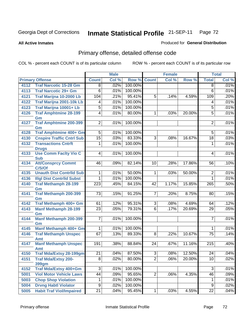**All Active Inmates**

#### Produced for **General Distribution**

# Primary offense, detailed offense code

|      |                                            |                 | <b>Male</b> |         |                 | <b>Female</b> |        |                  | <b>Total</b> |
|------|--------------------------------------------|-----------------|-------------|---------|-----------------|---------------|--------|------------------|--------------|
|      | <b>Primary Offense</b>                     | <b>Count</b>    | Col %       | Row %   | <b>Count</b>    | Col %         | Row %  | <b>Total</b>     | Col %        |
| 4112 | <b>Traf Narcotic 15-28 Gm</b>              | $\overline{8}$  | .02%        | 100.00% |                 |               |        | $\overline{8}$   | .01%         |
| 4113 | <b>Traf Narcotic 29+ Gm</b>                | $\overline{6}$  | .01%        | 100.00% |                 |               |        | $\overline{6}$   | .01%         |
| 4121 | Traf Marijna 10-2000 Lb                    | 104             | .21%        | 95.41%  | 5               | .14%          | 4.59%  | 109              | .20%         |
| 4122 | <b>Traf Marijna 2001-10k Lb</b>            | 4               | .01%        | 100.00% |                 |               |        | 4                | .01%         |
| 4123 | Traf Marijna 10001+ Lb                     | $\overline{5}$  | .01%        | 100.00% |                 |               |        | $\overline{5}$   | .01%         |
| 4126 | <b>Traf Amphtmine 28-199</b>               | $\overline{4}$  | .01%        | 80.00%  | 1               | .03%          | 20.00% | $\overline{5}$   | .01%         |
|      | Gm                                         |                 |             |         |                 |               |        |                  |              |
| 4127 | <b>Traf Amphtmine 200-399</b><br>Gm        | $\overline{2}$  | .01%        | 100.00% |                 |               |        | $\overline{2}$   | .01%         |
| 4128 | <b>Traf Amphtmine 400+ Gm</b>              | $\overline{5}$  | .01%        | 100.00% |                 |               |        | $\overline{5}$   | .01%         |
| 4130 | <b>Cnspire Traffic Cntrl Sub</b>           | $\overline{15}$ | .03%        | 83.33%  | $\overline{3}$  | .08%          | 16.67% | $\overline{18}$  | .03%         |
| 4132 | <b>Transactions Cntrft</b><br><b>Drugs</b> | 1               | .01%        | 100.00% |                 |               |        | 1                | .01%         |
| 4133 | <b>Use Comm Facity Vio C</b><br><b>Sub</b> | 4               | .01%        | 100.00% |                 |               |        | 4                | .01%         |
| 4134 | <b>Att/Consprcy Commt</b><br>C/S/Of        | 46              | .09%        | 82.14%  | 10              | .28%          | 17.86% | 56               | .10%         |
| 4135 | <b>Unauth Dist Contrild Sub</b>            | 1.              | .01%        | 50.00%  | 1               | .03%          | 50.00% | $\overline{2}$   | .01%         |
| 4136 | <b>Illgl Dist Contrild Subst</b>           | 1               | .01%        | 100.00% |                 |               |        | $\mathbf{1}$     | .01%         |
| 4140 | <b>Traf Methamph 28-199</b><br>Gm          | 223             | .45%        | 84.15%  | 42              | 1.17%         | 15.85% | 265              | .50%         |
| 4141 | Traf Methamph 200-399<br>Gm                | $\overline{73}$ | .15%        | 91.25%  | 7               | .20%          | 8.75%  | 80               | .15%         |
| 4142 | Traf Methamph 400+ Gm                      | 61              | .12%        | 95.31%  | $\overline{3}$  | .08%          | 4.69%  | 64               | .12%         |
| 4143 | <b>Manf Methamph 28-199</b><br>Gm          | $\overline{23}$ | .05%        | 79.31%  | $\overline{6}$  | .17%          | 20.69% | 29               | .05%         |
| 4144 | <b>Manf Methamph 200-399</b><br>Gm         | 7               | .01%        | 100.00% |                 |               |        | 7                | .01%         |
| 4145 | Manf Methamph 400+ Gm                      | $\overline{1}$  | .01%        | 100.00% |                 |               |        | 1                | .01%         |
| 4146 | <b>Traf Methamph Unspec</b>                | 67              | .13%        | 89.33%  | $\overline{8}$  | .22%          | 10.67% | $\overline{75}$  | .14%         |
|      | <b>Amt</b>                                 |                 |             |         |                 |               |        |                  |              |
| 4147 | <b>Manf Methamph Unspec</b><br><b>Amt</b>  | 191             | .38%        | 88.84%  | $\overline{24}$ | .67%          | 11.16% | $\overline{215}$ | .40%         |
| 4150 | <b>Traf Mda/Extsy 28-199gm</b>             | $\overline{21}$ | .04%        | 87.50%  | $\overline{3}$  | .08%          | 12.50% | 24               | .04%         |
| 4151 | <b>Traf Mda/Extsy 200-</b>                 | $\overline{8}$  | .02%        | 80.00%  | $\overline{2}$  | .06%          | 20.00% | 10               | .02%         |
|      | <b>399gm</b>                               |                 |             |         |                 |               |        |                  |              |
| 4152 | Traf Mda/Extsy 400+Gm                      | 3               | .01%        | 100.00% |                 |               |        | $\overline{3}$   | .01%         |
| 5001 | <b>Viol Motor Vehicle Laws</b>             | 44              | .09%        | 95.65%  | $\overline{2}$  | .06%          | 4.35%  | 46               | .09%         |
| 5003 | <b>Chop Shop Violation</b>                 | 1               | .01%        | 100.00% |                 |               |        | 1                | .01%         |
| 5004 | <b>Drvng Habtl Violator</b>                | $\overline{9}$  | .02%        | 100.00% |                 |               |        | $\overline{9}$   | .02%         |
| 5005 | <b>Habit Traf Viol/Impaired</b>            | $\overline{21}$ | .04%        | 95.45%  | 1               | .03%          | 4.55%  | $\overline{22}$  | .04%         |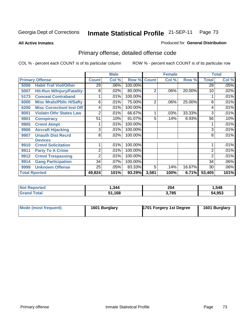**All Active Inmates**

#### Produced for **General Distribution**

# Primary offense, detailed offense code

|                      |                                  |              | <b>Male</b> |         |                | <b>Female</b> |        |                 | <b>Total</b> |
|----------------------|----------------------------------|--------------|-------------|---------|----------------|---------------|--------|-----------------|--------------|
|                      | <b>Primary Offense</b>           | <b>Count</b> | Col %       | Row %   | <b>Count</b>   | Col %         | Row %  | <b>Total</b>    | Col %        |
| 5006                 | <b>Habit Traf Viol/Other</b>     | 29           | .06%        | 100.00% |                |               |        | $\overline{29}$ | .05%         |
| 5007                 | <b>Hit-Run W/Injury/Fatality</b> | 8            | .02%        | 80.00%  | $\overline{2}$ | .06%          | 20.00% | 10              | .02%         |
| 5173                 | <b>Conceal Contraband</b>        |              | .01%        | 100.00% |                |               |        |                 | .01%         |
| 6000                 | <b>Misc Mrals/Pblic H/Safty</b>  | 6            | .01%        | 75.00%  | $\overline{2}$ | .06%          | 25.00% | 8               | .01%         |
| 6200                 | <b>Misc Correctionl Inst Off</b> | 4            | .01%        | 100.00% |                |               |        | 4               | .01%         |
| 8001                 | <b>Violatn Othr States Law</b>   | 2            | .01%        | 66.67%  |                | .03%          | 33.33% | 3               | .01%         |
| 9901                 | <b>Conspiracy</b>                | 51           | .10%        | 91.07%  | 5              | .14%          | 8.93%  | 56              | .10%         |
| 9905                 | <b>Crmnl Atmpt</b>               |              | .01%        | 100.00% |                |               |        |                 | .01%         |
| 9906                 | <b>Aircraft Hijacking</b>        | 3            | .01%        | 100.00% |                |               |        | 3               | .01%         |
| 9907                 | <b>Unauth Dist Recrd</b>         | 8            | .02%        | 100.00% |                |               |        | 8               | .01%         |
|                      | <b>Devices</b>                   |              |             |         |                |               |        |                 |              |
| 9910                 | <b>Crmnl Solicitation</b>        |              | .01%        | 100.00% |                |               |        |                 | .01%         |
| 9911                 | <b>Party To A Crime</b>          | 2            | .01%        | 100.00% |                |               |        | 2               | .01%         |
| 9912                 | <b>Crmnl Trespassing</b>         | 2            | .01%        | 100.00% |                |               |        | 2               | .01%         |
| 9914                 | <b>Gang Participation</b>        | 34           | .07%        | 100.00% |                |               |        | 34              | .06%         |
| 9999                 | <b>Unknown Offense</b>           | 25           | .05%        | 83.33%  | 5              | .14%          | 16.67% | 30              | .06%         |
| <b>Total Rported</b> |                                  | 49,824       | 101%        | 93.29%  | 3,581          | 100%          | 6.71%  | 53,405          | 101%         |

| <b>No</b><br>rted | .344 | 204<br>$\sim$ $\sim$ | .548   |
|-------------------|------|----------------------|--------|
| <b>cotal</b>      | ,168 | 3,785                | 54,953 |

| Mode (most frequent) | 1601 Burglary | 1701 Forgery 1st Degree | 1601 Burglary |
|----------------------|---------------|-------------------------|---------------|
|                      |               |                         |               |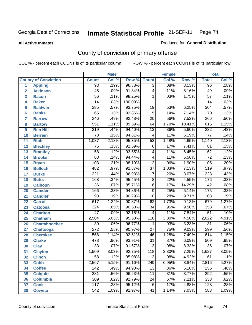#### **All Active Inmates**

#### Produced for **General Distribution**

# County of conviction of primary offense

|                         |                             |                  | <b>Male</b> |         |                 | <b>Female</b> |                  |                  | <b>Total</b> |
|-------------------------|-----------------------------|------------------|-------------|---------|-----------------|---------------|------------------|------------------|--------------|
|                         | <b>County of Conviction</b> | <b>Count</b>     | Col %       | Row %   | <b>Count</b>    | Col %         | Row <sup>%</sup> | <b>Total</b>     | Col %        |
| 1                       | <b>Appling</b>              | $\overline{93}$  | .19%        | 96.88%  | $\overline{3}$  | .08%          | 3.13%            | 96               | .18%         |
| $\overline{2}$          | <b>Atkinson</b>             | $\overline{45}$  | .09%        | 91.84%  | $\overline{4}$  | .11%          | 8.16%            | 49               | .09%         |
| $\overline{\mathbf{3}}$ | <b>Bacon</b>                | $\overline{56}$  | .11%        | 98.25%  | 1               | .03%          | 1.75%            | $\overline{57}$  | .11%         |
| 4                       | <b>Baker</b>                | $\overline{14}$  | .03%        | 100.00% |                 |               |                  | $\overline{14}$  | .03%         |
| 5                       | <b>Baldwin</b>              | $\overline{285}$ | .57%        | 93.75%  | 19              | .53%          | 6.25%            | $\overline{304}$ | .57%         |
| 6                       | <b>Banks</b>                | $\overline{65}$  | .13%        | 92.86%  | $\overline{5}$  | .14%          | 7.14%            | $\overline{70}$  | .13%         |
| $\overline{\mathbf{7}}$ | <b>Barrow</b>               | $\overline{246}$ | .49%        | 92.48%  | $\overline{20}$ | .56%          | 7.52%            | 266              | .50%         |
| 8                       | <b>Bartow</b>               | 551              | 1.11%       | 89.59%  | 64              | 1.79%         | 10.41%           | 615              | 1.15%        |
| 9                       | <b>Ben Hill</b>             | $\overline{219}$ | .44%        | 94.40%  | $\overline{13}$ | .36%          | 5.60%            | 232              | .43%         |
| 10                      | <b>Berrien</b>              | $\overline{73}$  | .15%        | 94.81%  | $\overline{4}$  | .11%          | 5.19%            | $\overline{77}$  | .14%         |
| 11                      | <b>Bibb</b>                 | 1,087            | 2.18%       | 95.35%  | $\overline{53}$ | 1.48%         | 4.65%            | 1,140            | 2.13%        |
| 12                      | <b>Bleckley</b>             | $\overline{75}$  | .15%        | 92.59%  | $\overline{6}$  | .17%          | 7.41%            | $\overline{81}$  | .15%         |
| $\overline{13}$         | <b>Brantley</b>             | $\overline{58}$  | .12%        | 93.55%  | $\overline{4}$  | .11%          | 6.45%            | 62               | .12%         |
| $\overline{14}$         | <b>Brooks</b>               | $\overline{68}$  | .14%        | 94.44%  | $\overline{4}$  | .11%          | 5.56%            | $\overline{72}$  | .13%         |
| 15                      | <b>Bryan</b>                | 103              | .21%        | 98.10%  | $\overline{2}$  | .06%          | 1.90%            | 105              | .20%         |
| 16                      | <b>Bulloch</b>              | 482              | .97%        | 92.87%  | $\overline{37}$ | 1.03%         | 7.13%            | 519              | .97%         |
| $\overline{17}$         | <b>Burke</b>                | $\overline{221}$ | .44%        | 96.93%  | $\overline{7}$  | .20%          | 3.07%            | $\overline{228}$ | .43%         |
| 18                      | <b>Butts</b>                | 168              | .34%        | 95.45%  | $\overline{8}$  | .22%          | 4.55%            | $\overline{176}$ | .33%         |
| 19                      | <b>Calhoun</b>              | $\overline{36}$  | .07%        | 85.71%  | $\overline{6}$  | .17%          | 14.29%           | 42               | .08%         |
| 20                      | <b>Camden</b>               | 166              | .33%        | 94.86%  | $\overline{9}$  | .25%          | 5.14%            | 175              | .33%         |
| 21                      | <b>Candler</b>              | $\overline{93}$  | .19%        | 90.29%  | $\overline{10}$ | .28%          | 9.71%            | 103              | .19%         |
| $\overline{22}$         | <b>Carroll</b>              | $\overline{617}$ | 1.24%       | 90.87%  | $\overline{62}$ | 1.73%         | 9.13%            | 679              | 1.27%        |
| 23                      | <b>Catoosa</b>              | 324              | .65%        | 90.50%  | $\overline{34}$ | .95%          | 9.50%            | 358              | .67%         |
| 24                      | <b>Charlton</b>             | $\overline{47}$  | .09%        | 92.16%  | $\overline{4}$  | .11%          | 7.84%            | $\overline{51}$  | .10%         |
| 25                      | <b>Chatham</b>              | 2,504            | 5.03%       | 95.50%  | 118             | 3.30%         | 4.50%            | 2,622            | 4.91%        |
| 26                      | <b>Chattahoochee</b>        | $\overline{30}$  | .06%        | 96.77%  | 1               | .03%          | 3.23%            | $\overline{31}$  | .06%         |
| 27                      | <b>Chattooga</b>            | $\overline{272}$ | .55%        | 90.97%  | $\overline{27}$ | .75%          | 9.03%            | 299              | .56%         |
| 28                      | <b>Cherokee</b>             | 568              | 1.14%       | 92.51%  | $\overline{46}$ | 1.28%         | 7.49%            | 614              | 1.15%        |
| 29                      | <b>Clarke</b>               | 478              | .96%        | 93.91%  | $\overline{31}$ | .87%          | 6.09%            | 509              | .95%         |
| 30                      | <b>Clay</b>                 | $\overline{33}$  | .07%        | 91.67%  | $\overline{3}$  | .08%          | 8.33%            | $\overline{36}$  | .07%         |
| $\overline{31}$         | <b>Clayton</b>              | 1,509            | 3.03%       | 92.75%  | 118             | 3.30%         | 7.25%            | 1,627            | 3.05%        |
| 32                      | <b>Clinch</b>               | 58               | .12%        | 95.08%  | 3               | .08%          | 4.92%            | 61               | .11%         |
| 33                      | <b>Cobb</b>                 | 2,567            | 5.15%       | 91.16%  | 249             | 6.95%         | 8.84%            | 2,816            | 5.27%        |
| 34                      | <b>Coffee</b>               | $\overline{242}$ | .49%        | 94.90%  | $\overline{13}$ | .36%          | 5.10%            | 255              | .48%         |
| 35                      | <b>Colquitt</b>             | $\overline{281}$ | .56%        | 96.23%  | $\overline{11}$ | .31%          | 3.77%            | 292              | .55%         |
| 36                      | <b>Columbia</b>             | 309              | .62%        | 92.79%  | 24              | .67%          | 7.21%            | 333              | .62%         |
| 37                      | <b>Cook</b>                 | 117              | .23%        | 95.12%  | 6               | .17%          | 4.88%            | 123              | .23%         |
| 38                      | <b>Coweta</b>               | $\overline{542}$ | 1.09%       | 92.97%  | $\overline{41}$ | 1.14%         | 7.03%            | 583              | 1.09%        |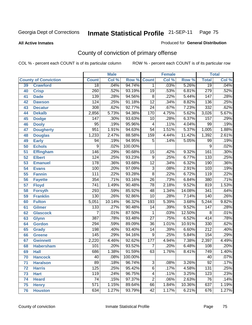**All Active Inmates**

#### Produced for **General Distribution**

# County of conviction of primary offense

|    |                             |                  | <b>Male</b> |         |                 | <b>Female</b> |        |                  | <b>Total</b> |
|----|-----------------------------|------------------|-------------|---------|-----------------|---------------|--------|------------------|--------------|
|    | <b>County of Conviction</b> | <b>Count</b>     | Col %       | Row %   | <b>Count</b>    | Col %         | Row %  | <b>Total</b>     | Col %        |
| 39 | <b>Crawford</b>             | $\overline{18}$  | .04%        | 94.74%  | $\mathbf 1$     | .03%          | 5.26%  | $\overline{19}$  | .04%         |
| 40 | <b>Crisp</b>                | 260              | .52%        | 93.19%  | $\overline{19}$ | .53%          | 6.81%  | 279              | .52%         |
| 41 | <b>Dade</b>                 | 139              | .28%        | 94.56%  | 8               | .22%          | 5.44%  | 147              | .28%         |
| 42 | <b>Dawson</b>               | 124              | .25%        | 91.18%  | $\overline{12}$ | .34%          | 8.82%  | 136              | .25%         |
| 43 | <b>Decatur</b>              | 308              | .62%        | 92.77%  | $\overline{24}$ | .67%          | 7.23%  | 332              | .62%         |
| 44 | <b>Dekalb</b>               | 2,856            | 5.73%       | 94.38%  | 170             | 4.75%         | 5.62%  | 3,026            | 5.67%        |
| 45 | <b>Dodge</b>                | 147              | .30%        | 93.63%  | 10              | .28%          | 6.37%  | 157              | .29%         |
| 46 | <b>Dooly</b>                | $\overline{95}$  | .19%        | 95.96%  | 4               | .11%          | 4.04%  | 99               | .19%         |
| 47 | <b>Dougherty</b>            | 951              | 1.91%       | 94.63%  | $\overline{54}$ | 1.51%         | 5.37%  | 1,005            | 1.88%        |
| 48 | <b>Douglas</b>              | 1,233            | 2.47%       | 88.58%  | 159             | 4.44%         | 11.42% | 1,392            | 2.61%        |
| 49 | <b>Early</b>                | 94               | .19%        | 94.95%  | 5               | .14%          | 5.05%  | 99               | .19%         |
| 50 | <b>Echols</b>               | $\overline{9}$   | .02%        | 100.00% |                 |               |        | 9                | .02%         |
| 51 | <b>Effingham</b>            | 146              | .29%        | 90.68%  | 15              | .42%          | 9.32%  | 161              | .30%         |
| 52 | <b>Elbert</b>               | 124              | .25%        | 93.23%  | $\overline{9}$  | .25%          | 6.77%  | 133              | .25%         |
| 53 | <b>Emanuel</b>              | 178              | .36%        | 93.68%  | $\overline{12}$ | .34%          | 6.32%  | 190              | .36%         |
| 54 | <b>Evans</b>                | 100              | .20%        | 97.09%  | $\overline{3}$  | .08%          | 2.91%  | 103              | .19%         |
| 55 | <b>Fannin</b>               | 111              | .22%        | 93.28%  | $\overline{8}$  | .22%          | 6.72%  | 119              | .22%         |
| 56 | <b>Fayette</b>              | 354              | .71%        | 93.16%  | $\overline{26}$ | .73%          | 6.84%  | 380              | .71%         |
| 57 | <b>Floyd</b>                | $\overline{741}$ | 1.49%       | 90.48%  | 78              | 2.18%         | 9.52%  | 819              | 1.53%        |
| 58 | <b>Forsyth</b>              | 293              | .59%        | 85.92%  | 48              | 1.34%         | 14.08% | 341              | .64%         |
| 59 | <b>Franklin</b>             | 130              | .26%        | 92.86%  | $\overline{10}$ | .28%          | 7.14%  | $\overline{140}$ | .26%         |
| 60 | <b>Fulton</b>               | 5,051            | 10.14%      | 96.32%  | 193             | 5.39%         | 3.68%  | 5,244            | 9.82%        |
| 61 | Gilmer                      | $\overline{133}$ | .27%        | 90.48%  | 14              | .39%          | 9.52%  | 147              | .28%         |
| 62 | <b>Glascock</b>             | $\overline{7}$   | .01%        | 87.50%  | 1               | .03%          | 12.50% | 8                | .01%         |
| 63 | <b>Glynn</b>                | $\overline{387}$ | .78%        | 93.48%  | $\overline{27}$ | .75%          | 6.52%  | 414              | .78%         |
| 64 | <b>Gordon</b>               | 294              | .59%        | 89.09%  | 36              | 1.01%         | 10.91% | 330              | .62%         |
| 65 | <b>Grady</b>                | 198              | .40%        | 93.40%  | 14              | .39%          | 6.60%  | $\overline{212}$ | .40%         |
| 66 | <b>Greene</b>               | 145              | .29%        | 94.16%  | 9               | .25%          | 5.84%  | 154              | .29%         |
| 67 | <b>Gwinnett</b>             | 2,220            | 4.46%       | 92.62%  | 177             | 4.94%         | 7.38%  | 2,397            | 4.49%        |
| 68 | <b>Habersham</b>            | 101              | .20%        | 93.52%  | $\overline{7}$  | .20%          | 6.48%  | 108              | .20%         |
| 69 | <b>Hall</b>                 | 686              | 1.38%       | 91.59%  | 63              | 1.76%         | 8.41%  | 749              | 1.40%        |
| 70 | <b>Hancock</b>              | 40               | .08%        | 100.00% |                 |               |        | 40               | $.07\%$      |
| 71 | <b>Haralson</b>             | 89               | .18%        | 96.74%  | $\overline{3}$  | .08%          | 3.26%  | $\overline{92}$  | .17%         |
| 72 | <b>Harris</b>               | 125              | .25%        | 95.42%  | $\overline{6}$  | .17%          | 4.58%  | 131              | .25%         |
| 73 | <b>Hart</b>                 | 119              | .24%        | 96.75%  | 4               | .11%          | 3.25%  | 123              | .23%         |
| 74 | <b>Heard</b>                | 74               | .15%        | 97.37%  | $\overline{2}$  | .06%          | 2.63%  | 76               | .14%         |
| 75 | <b>Henry</b>                | $\overline{571}$ | 1.15%       | 89.64%  | 66              | 1.84%         | 10.36% | 637              | 1.19%        |
| 76 | <b>Houston</b>              | 634              | 1.27%       | 93.79%  | 42              | 1.17%         | 6.21%  | 676              | 1.27%        |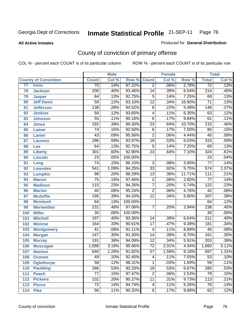#### **All Active Inmates**

#### Produced for **General Distribution**

# County of conviction of primary offense

|                 |                             |                  | <b>Male</b> |         |                 | <b>Female</b> |        |                  | <b>Total</b> |
|-----------------|-----------------------------|------------------|-------------|---------|-----------------|---------------|--------|------------------|--------------|
|                 | <b>County of Conviction</b> | <b>Count</b>     | Col %       | Row %   | <b>Count</b>    | Col %         | Row %  | <b>Total</b>     | Col %        |
| $\overline{77}$ | <b>Irwin</b>                | $\overline{70}$  | .14%        | 97.22%  | $\overline{2}$  | .06%          | 2.78%  | $\overline{72}$  | .13%         |
| 78              | <b>Jackson</b>              | $\overline{200}$ | .40%        | 93.46%  | $\overline{14}$ | .39%          | 6.54%  | $\overline{214}$ | .40%         |
| 79              | <b>Jasper</b>               | 64               | .13%        | 92.75%  | $\overline{5}$  | .14%          | 7.25%  | 69               | .13%         |
| 80              | <b>Jeff Davis</b>           | $\overline{59}$  | .12%        | 83.10%  | $\overline{12}$ | .34%          | 16.90% | $\overline{71}$  | .13%         |
| 81              | <b>Jefferson</b>            | 138              | .28%        | 94.52%  | $\overline{8}$  | .22%          | 5.48%  | 146              | .27%         |
| 82              | <b>Jenkins</b>              | $\overline{59}$  | .12%        | 93.65%  | $\overline{4}$  | .11%          | 6.35%  | 63               | .12%         |
| 83              | <b>Johnson</b>              | $\overline{55}$  | .11%        | 90.16%  | $\overline{6}$  | .17%          | 9.84%  | 61               | .11%         |
| 84              | <b>Jones</b>                | 192              | .39%        | 89.30%  | $\overline{23}$ | .64%          | 10.70% | $\overline{215}$ | .40%         |
| 85              | <b>Lamar</b>                | $\overline{74}$  | .15%        | 92.50%  | $\overline{6}$  | .17%          | 7.50%  | $\overline{80}$  | .15%         |
| 86              | <b>Lanier</b>               | $\overline{43}$  | .09%        | 95.56%  | $\overline{2}$  | .06%          | 4.44%  | $\overline{45}$  | .08%         |
| 87              | <b>Laurens</b>              | 296              | .59%        | 93.97%  | $\overline{19}$ | .53%          | 6.03%  | $\overline{315}$ | .59%         |
| 88              | Lee                         | 64               | .13%        | 92.75%  | $\overline{5}$  | .14%          | 7.25%  | 69               | .13%         |
| 89              | <b>Liberty</b>              | $\overline{301}$ | .60%        | 92.90%  | $\overline{23}$ | .64%          | 7.10%  | 324              | .61%         |
| 90              | <b>Lincoln</b>              | $\overline{23}$  | .05%        | 100.00% |                 |               |        | $\overline{23}$  | .04%         |
| 91              | Long                        | $\overline{74}$  | .15%        | 96.10%  | $\overline{3}$  | .08%          | 3.90%  | $\overline{77}$  | .14%         |
| 92              | <b>Lowndes</b>              | $\overline{541}$ | 1.09%       | 94.25%  | $\overline{33}$ | .92%          | 5.75%  | $\overline{574}$ | 1.07%        |
| 93              | <b>Lumpkin</b>              | $\overline{98}$  | .20%        | 88.29%  | $\overline{13}$ | .36%          | 11.71% | $\overline{111}$ | .21%         |
| 94              | <b>Macon</b>                | $\overline{75}$  | .15%        | 97.40%  | $\overline{2}$  | .06%          | 2.60%  | $\overline{77}$  | .14%         |
| 95              | <b>Madison</b>              | 115              | .23%        | 94.26%  | $\overline{7}$  | .20%          | 5.74%  | 122              | .23%         |
| 96              | <b>Marion</b>               | $\overline{40}$  | .08%        | 95.24%  | $\overline{2}$  | .06%          | 4.76%  | $\overline{42}$  | .08%         |
| 97              | <b>Mcduffie</b>             | 195              | .39%        | 94.20%  | $\overline{12}$ | .34%          | 5.80%  | $\overline{207}$ | .39%         |
| 98              | <b>Mcintosh</b>             | 64               | .13%        | 100.00% |                 |               |        | 64               | .12%         |
| 99              | <b>Meriwether</b>           | 231              | .46%        | 97.06%  | $\overline{7}$  | .20%          | 2.94%  | 238              | .45%         |
| 100             | <b>Miller</b>               | $\overline{30}$  | .06%        | 100.00% |                 |               |        | $\overline{30}$  | .06%         |
| 101             | <b>Mitchell</b>             | 197              | .40%        | 93.36%  | 14              | .39%          | 6.64%  | $\overline{211}$ | .40%         |
| 102             | <b>Monroe</b>               | 164              | .33%        | 90.61%  | $\overline{17}$ | .47%          | 9.39%  | 181              | .34%         |
| 103             | <b>Montgomery</b>           | $\overline{41}$  | .08%        | 91.11%  | 4               | .11%          | 8.89%  | 45               | .08%         |
| 104             | <b>Morgan</b>               | $\overline{147}$ | .30%        | 91.30%  | $\overline{14}$ | .39%          | 8.70%  | 161              | .30%         |
| 105             | <b>Murray</b>               | 191              | .38%        | 94.09%  | $\overline{12}$ | .34%          | 5.91%  | $\overline{203}$ | .38%         |
| 106             | <b>Muscogee</b>             | 1,588            | 3.19%       | 95.66%  | $\overline{72}$ | 2.01%         | 4.34%  | 1,660            | 3.11%        |
| 107             | <b>Newton</b>               | 640              | 1.28%       | 91.82%  | $\overline{57}$ | 1.59%         | 8.18%  | 697              | 1.31%        |
| 108             | <b>Oconee</b>               | 49               | .10%        | 92.45%  | 4               | .11%          | 7.55%  | 53               | .10%         |
| 109             | <b>Oglethorpe</b>           | $\overline{58}$  | .12%        | 98.31%  | $\mathbf{1}$    | .03%          | 1.69%  | $\overline{59}$  | .11%         |
| 110             | <b>Paulding</b>             | 266              | .53%        | 93.33%  | 19              | .53%          | 6.67%  | 285              | .53%         |
| 111             | <b>Peach</b>                | 77               | .15%        | 97.47%  | $\overline{2}$  | .06%          | 2.53%  | 79               | .15%         |
| 112             | <b>Pickens</b>              | 102              | .20%        | 90.27%  | $\overline{11}$ | .31%          | 9.73%  | $\overline{113}$ | .21%         |
| 113             | <b>Pierce</b>               | $\overline{72}$  | .14%        | 94.74%  | 4               | .11%          | 5.26%  | 76               | .14%         |
| 114             | <b>Pike</b>                 | $\overline{56}$  | .11%        | 90.32%  | $\overline{6}$  | .17%          | 9.68%  | 62               | .12%         |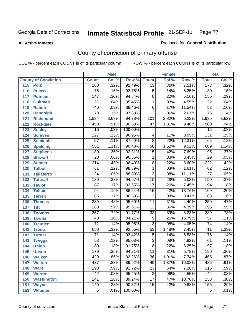#### **All Active Inmates**

#### Produced for **General Distribution**

# County of conviction of primary offense

|                                    |                  | <b>Male</b> |         |                 | <b>Female</b> |        |                  | <b>Total</b>               |
|------------------------------------|------------------|-------------|---------|-----------------|---------------|--------|------------------|----------------------------|
| <b>County of Conviction</b>        | <b>Count</b>     | Col %       | Row %   | <b>Count</b>    | Col %         | Row %  | <b>Total</b>     | $\overline{\text{Col }\%}$ |
| 115<br><b>Polk</b>                 | 160              | .32%        | 92.49%  | $\overline{13}$ | .36%          | 7.51%  | 173              | .32%                       |
| $\overline{116}$<br><b>Pulaski</b> | $\overline{75}$  | .15%        | 93.75%  | $\overline{5}$  | .14%          | 6.25%  | $\overline{80}$  | .15%                       |
| 117<br><b>Putnam</b>               | $\overline{147}$ | .30%        | 94.84%  | $\overline{8}$  | .22%          | 5.16%  | 155              | .29%                       |
| 118<br>Quitman                     | $\overline{21}$  | .04%        | 95.45%  | $\mathbf{1}$    | .03%          | 4.55%  | $\overline{22}$  | .04%                       |
| 119<br><b>Rabun</b>                | 46               | .09%        | 88.46%  | $\overline{6}$  | .17%          | 11.54% | $\overline{52}$  | .10%                       |
| 120<br><b>Randolph</b>             | $\overline{73}$  | .15%        | 97.33%  | $\overline{2}$  | .06%          | 2.67%  | $\overline{75}$  | .14%                       |
| 121<br><b>Richmond</b>             | 1,834            | 3.68%       | 94.78%  | 101             | 2.82%         | 5.22%  | 1,935            | 3.62%                      |
| 122<br><b>Rockdale</b>             | 453              | .91%        | 90.60%  | $\overline{47}$ | 1.31%         | 9.40%  | 500              | .94%                       |
| 123<br><b>Schley</b>               | $\overline{16}$  | .03%        | 100.00% |                 |               |        | $\overline{16}$  | .03%                       |
| 124<br><b>Screven</b>              | $\overline{127}$ | .25%        | 96.95%  | 4               | .11%          | 3.05%  | 131              | .25%                       |
| 125<br><b>Seminole</b>             | $\overline{57}$  | .11%        | 87.69%  | $\overline{8}$  | .22%          | 12.31% | 65               | .12%                       |
| <b>Spalding</b><br>126             | 551              | 1.11%       | 90.48%  | $\overline{58}$ | 1.62%         | 9.52%  | 609              | 1.14%                      |
| 127<br><b>Stephens</b>             | 180              | .36%        | 92.31%  | $\overline{15}$ | .42%          | 7.69%  | 195              | .37%                       |
| 128<br><b>Stewart</b>              | $\overline{28}$  | .06%        | 96.55%  | $\mathbf{1}$    | .03%          | 3.45%  | $\overline{29}$  | .05%                       |
| 129<br><b>Sumter</b>               | $\overline{214}$ | .43%        | 96.40%  | $\overline{8}$  | .22%          | 3.60%  | $\overline{222}$ | .42%                       |
| <b>Talbot</b><br>130               | 61               | .12%        | 98.39%  | $\mathbf{1}$    | .03%          | 1.61%  | 62               | .12%                       |
| 131<br><b>Taliaferro</b>           | $\overline{24}$  | .05%        | 88.89%  | $\overline{3}$  | .08%          | 11.11% | $\overline{27}$  | .05%                       |
| 132<br><b>Tattnall</b>             | 189              | .38%        | 94.97%  | $\overline{10}$ | .28%          | 5.03%  | 199              | .37%                       |
| 133<br><b>Taylor</b>               | $\overline{87}$  | .17%        | 92.55%  | $\overline{7}$  | .20%          | 7.45%  | 94               | .18%                       |
| <b>Telfair</b><br>134              | 94               | .19%        | 86.24%  | $\overline{15}$ | .42%          | 13.76% | 109              | .20%                       |
| 135<br><b>Terrell</b>              | 85               | .17%        | 96.59%  | $\overline{3}$  | .08%          | 3.41%  | $\overline{88}$  | .16%                       |
| 136<br><b>Thomas</b>               | 239              | .48%        | 95.60%  | $\overline{11}$ | .31%          | 4.40%  | $\overline{250}$ | .47%                       |
| 137<br><b>Tift</b>                 | 283              | .57%        | 95.61%  | $\overline{13}$ | .36%          | 4.39%  | 296              | .55%                       |
| <b>Toombs</b><br>138               | $\overline{357}$ | .72%        | 91.77%  | $\overline{32}$ | .89%          | 8.23%  | 389              | .73%                       |
| 139<br><b>Towns</b>                | 48               | .10%        | 84.21%  | $\overline{9}$  | .25%          | 15.79% | $\overline{57}$  | .11%                       |
| 140<br><b>Treutlen</b>             | $\overline{71}$  | .14%        | 95.95%  | $\overline{3}$  | .08%          | 4.05%  | $\overline{74}$  | .14%                       |
| 141<br><b>Troup</b>                | 658              | 1.32%       | 92.55%  | $\overline{53}$ | 1.48%         | 7.45%  | $\overline{711}$ | 1.33%                      |
| 142<br><b>Turner</b>               | $\overline{71}$  | .14%        | 93.42%  | $\overline{5}$  | .14%          | 6.58%  | $\overline{76}$  | .14%                       |
| 143<br><b>Twiggs</b>               | $\overline{58}$  | .12%        | 95.08%  | $\overline{3}$  | .08%          | 4.92%  | 61               | .11%                       |
| 144<br><b>Union</b>                | $\overline{89}$  | .18%        | 91.75%  | $\overline{8}$  | .22%          | 8.25%  | $\overline{97}$  | .18%                       |
| 145<br><b>Upson</b>                | 179              | .36%        | 94.21%  | $\overline{11}$ | .31%          | 5.79%  | 190              | .36%                       |
| 146<br><b>Walker</b>               | 429              | .86%        | 92.26%  | 36              | 1.01%         | 7.74%  | 465              | .87%                       |
| <b>Walton</b><br>147               | 437              | .88%        | 89.92%  | 49              | 1.37%         | 10.08% | 486              | .91%                       |
| <b>Ware</b><br>148                 | 293              | .59%        | 92.72%  | $\overline{23}$ | .64%          | 7.28%  | 316              | .59%                       |
| <b>Warren</b><br>149               | $\overline{42}$  | .08%        | 95.45%  | $\overline{2}$  | .06%          | 4.55%  | 44               | .08%                       |
| <b>Washington</b><br>150           | $\overline{141}$ | .28%        | 89.24%  | $\overline{17}$ | .47%          | 10.76% | 158              | $.30\%$                    |
| 151<br><b>Wayne</b>                | 140              | .28%        | 90.32%  | $\overline{15}$ | .42%          | 9.68%  | 155              | .29%                       |
| 152<br><b>Webster</b>              | $\overline{6}$   | .01%        | 100.00% |                 |               |        | $\overline{6}$   | .01%                       |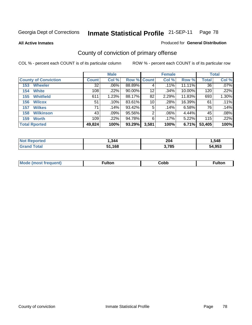**All Active Inmates**

#### Produced for **General Distribution**

# County of conviction of primary offense

|                             |              | <b>Male</b> |                    |       | <b>Female</b> |        |              | <b>Total</b> |
|-----------------------------|--------------|-------------|--------------------|-------|---------------|--------|--------------|--------------|
| <b>County of Conviction</b> | <b>Count</b> | Col %       | <b>Row % Count</b> |       | Col %         | Row %  | <b>Total</b> | Col %        |
| <b>Wheeler</b><br>153       | 32           | $.06\%$     | 88.89%             | 4     | .11%          | 11.11% | 36           | $.07\%$      |
| <b>White</b><br>154         | 108          | .22%        | 90.00%             | 12    | .34%          | 10.00% | 120          | $.22\%$      |
| <b>Whitfield</b><br>155     | 611          | 1.23%       | 88.17%             | 82    | 2.29%         | 11.83% | 693          | 1.30%        |
| <b>Wilcox</b><br>156        | 51           | .10%        | 83.61%             | 10    | .28%          | 16.39% | 61           | .11%         |
| <b>Wilkes</b><br>157        | 71           | .14%        | 93.42%             | 5     | .14%          | 6.58%  | 76           | .14%         |
| <b>Wilkinson</b><br>158     | 43           | .09%        | 95.56%             | 2     | $.06\%$       | 4.44%  | 45           | .08%         |
| <b>Worth</b><br>159         | 109          | .22%        | 94.78%             | 6     | .17%          | 5.22%  | 115          | $.22\%$      |
| <b>Total Rported</b>        | 49,824       | 100%        | 93.29%             | 3,581 | 100%          | 6.71%  | 53,405       | 100%         |

| тео<br>NI. | 344. | 204   | .548  |
|------------|------|-------|-------|
|            | .168 | 3,785 | 4.953 |

| <b>Mo</b><br>uent) | ™ulton<br>____ | obb∶ | <b>AIWIF</b> |
|--------------------|----------------|------|--------------|
|                    |                |      |              |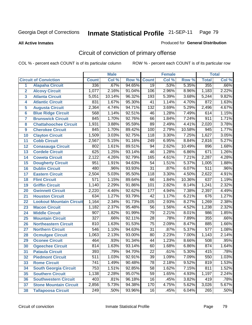#### **All Active Inmates**

#### Produced for **General Distribution**

# Circuit of conviction of primary offense

|                |                                 |                  | <b>Male</b> |        |                  | <b>Female</b> |        |              | <b>Total</b> |
|----------------|---------------------------------|------------------|-------------|--------|------------------|---------------|--------|--------------|--------------|
|                | <b>Circuit of Conviction</b>    | <b>Count</b>     | Col %       | Row %  | <b>Count</b>     | Col %         | Row %  | <b>Total</b> | Col %        |
| 1              | <b>Alapaha Circuit</b>          | 336              | .67%        | 94.65% | $\overline{19}$  | .53%          | 5.35%  | 355          | .66%         |
| $\overline{2}$ | <b>Alcovy Circuit</b>           | 1,077            | 2.16%       | 91.04% | 106              | 2.96%         | 8.96%  | 1,183        | 2.22%        |
| 3              | <b>Atlanta Circuit</b>          | 5,051            | 10.14%      | 96.32% | 193              | 5.39%         | 3.68%  | 5,244        | 9.82%        |
| 4              | <b>Atlantic Circuit</b>         | 831              | 1.67%       | 95.30% | $\overline{41}$  | 1.14%         | 4.70%  | 872          | 1.63%        |
| 5              | <b>Augusta Circuit</b>          | 2,364            | 4.74%       | 94.71% | $\overline{132}$ | 3.69%         | 5.29%  | 2,496        | 4.67%        |
| $6\phantom{a}$ | <b>Blue Ridge Circuit</b>       | 568              | 1.14%       | 92.51% | $\overline{46}$  | 1.28%         | 7.49%  | 614          | 1.15%        |
| $\overline{7}$ | <b>Brunswick Circuit</b>        | 845              | 1.70%       | 92.76% | 66               | 1.84%         | 7.24%  | 911          | 1.71%        |
| 8              | <b>Chattahoochee Circuit</b>    | 1,931            | 3.88%       | 95.59% | 89               | 2.49%         | 4.41%  | 2,020        | 3.78%        |
| 9              | <b>Cherokee Circuit</b>         | 845              | 1.70%       | 89.42% | 100              | 2.79%         | 10.58% | 945          | 1.77%        |
| 10             | <b>Clayton Circuit</b>          | 1,509            | 3.03%       | 92.75% | 118              | 3.30%         | 7.25%  | 1,627        | 3.05%        |
| 11             | <b>Cobb Circuit</b>             | 2,567            | 5.15%       | 91.16% | $\frac{1}{249}$  | 6.95%         | 8.84%  | 2,816        | 5.27%        |
| 12             | <b>Conasauga Circuit</b>        | 802              | 1.61%       | 89.51% | $\overline{94}$  | 2.62%         | 10.49% | 896          | 1.68%        |
| 13             | <b>Cordele Circuit</b>          | 625              | 1.25%       | 93.14% | $\overline{46}$  | 1.28%         | 6.86%  | 671          | 1.26%        |
| 14             | <b>Coweta Circuit</b>           | 2,122            | 4.26%       | 92.79% | 165              | 4.61%         | 7.21%  | 2,287        | 4.28%        |
| 15             | <b>Dougherty Circuit</b>        | 951              | 1.91%       | 94.63% | 54               | 1.51%         | 5.37%  | 1,005        | 1.88%        |
| 16             | <b>Dublin Circuit</b>           | 480              | .96%        | 93.93% | $\overline{31}$  | .87%          | 6.07%  | 511          | .96%         |
| 17             | <b>Eastern Circuit</b>          | 2,504            | 5.03%       | 95.50% | 118              | 3.30%         | 4.50%  | 2,622        | 4.91%        |
| 18             | <b>Flint Circuit</b>            | $\overline{571}$ | 1.15%       | 89.64% | 66               | 1.84%         | 10.36% | 637          | 1.19%        |
| 19             | <b>Griffin Circuit</b>          | 1,140            | 2.29%       | 91.86% | 101              | 2.82%         | 8.14%  | 1,241        | 2.32%        |
| 20             | <b>Gwinnett Circuit</b>         | 2,220            | 4.46%       | 92.62% | 177              | 4.94%         | 7.38%  | 2,397        | 4.49%        |
| 21             | <b>Houston Circuit</b>          | 634              | 1.27%       | 93.79% | $\overline{42}$  | 1.17%         | 6.21%  | 676          | 1.27%        |
| 22             | <b>Lookout Mountain Circuit</b> | 1,164            | 2.34%       | 91.73% | 105              | 2.93%         | 8.27%  | 1,269        | 2.38%        |
| 23             | <b>Macon Circuit</b>            | 1,182            | 2.37%       | 95.48% | 56               | 1.56%         | 4.52%  | 1,238        | 2.32%        |
| 24             | <b>Middle Circuit</b>           | 907              | 1.82%       | 91.99% | 79               | 2.21%         | 8.01%  | 986          | 1.85%        |
| 25             | <b>Mountain Circuit</b>         | $\overline{327}$ | .66%        | 92.11% | $\overline{28}$  | .78%          | 7.89%  | 355          | .66%         |
| 26             | <b>Northeastern Circuit</b>     | 810              | 1.63%       | 91.53% | $\overline{75}$  | 2.09%         | 8.47%  | 885          | 1.66%        |
| 27             | <b>Northern Circuit</b>         | 546              | 1.10%       | 94.63% | $\overline{31}$  | .87%          | 5.37%  | 577          | 1.08%        |
| 28             | <b>Ocmulgee Circuit</b>         | 1,063            | 2.13%       | 93.00% | 80               | 2.23%         | 7.00%  | 1,143        | 2.14%        |
| 29             | <b>Oconee Circuit</b>           | 464              | .93%        | 91.34% | 44               | 1.23%         | 8.66%  | 508          | .95%         |
| 30             | <b>Ogeechee Circuit</b>         | 814              | 1.63%       | 93.14% | 60               | 1.68%         | 6.86%  | 874          | 1.64%        |
| 31             | <b>Pataula Circuit</b>          | 393              | .79%        | 94.70% | 22               | .61%          | 5.30%  | 415          | .78%         |
| 32             | <b>Piedmont Circuit</b>         | $\overline{511}$ | 1.03%       | 92.91% | $\overline{39}$  | 1.09%         | 7.09%  | 550          | 1.03%        |
| 33             | <b>Rome Circuit</b>             | 741              | 1.49%       | 90.48% | 78               | 2.18%         | 9.52%  | 819          | 1.53%        |
| 34             | <b>South Georgia Circuit</b>    | 753              | 1.51%       | 92.85% | 58               | 1.62%         | 7.15%  | 811          | 1.52%        |
| 35             | <b>Southern Circuit</b>         | 1,138            | 2.28%       | 95.07% | 59               | 1.65%         | 4.93%  | 1,197        | 2.24%        |
| 36             | <b>Southwestern Circuit</b>     | 403              | .81%        | 96.18% | 16               | .45%          | 3.82%  | 419          | .78%         |
| 37             | <b>Stone Mountain Circuit</b>   | 2,856            | 5.73%       | 94.38% | 170              | 4.75%         | 5.62%  | 3,026        | 5.67%        |
| 38             | <b>Tallapoosa Circuit</b>       | 249              | .50%        | 93.96% | 16               | .45%          | 6.04%  | 265          | .50%         |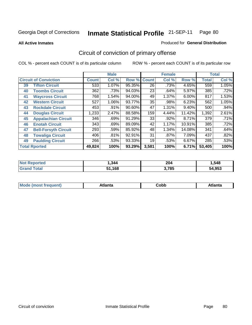**All Active Inmates**

#### Produced for **General Distribution**

# Circuit of conviction of primary offense

|    |                              |              | <b>Male</b> |        |                 | <b>Female</b> |          |              | <b>Total</b> |
|----|------------------------------|--------------|-------------|--------|-----------------|---------------|----------|--------------|--------------|
|    | <b>Circuit of Conviction</b> | <b>Count</b> | Col %       | Row %  | <b>Count</b>    | Col %         | Row %    | <b>Total</b> | Col %        |
| 39 | <b>Tifton Circuit</b>        | 533          | $1.07\%$    | 95.35% | $\overline{26}$ | .73%          | 4.65%    | 559          | 1.05%        |
| 40 | <b>Toombs Circuit</b>        | 362          | .73%        | 94.03% | 23              | .64%          | 5.97%    | 385          | .72%         |
| 41 | <b>Waycross Circuit</b>      | 768          | 1.54%       | 94.00% | 49              | 1.37%         | $6.00\%$ | 817          | 1.53%        |
| 42 | <b>Western Circuit</b>       | 527          | 1.06%       | 93.77% | 35              | .98%          | 6.23%    | 562          | 1.05%        |
| 43 | <b>Rockdale Circuit</b>      | 453          | .91%        | 90.60% | 47              | 1.31%         | $9.40\%$ | 500          | $.94\%$      |
| 44 | <b>Douglas Circuit</b>       | 1,233        | 2.47%       | 88.58% | 159             | 4.44%         | 11.42%   | 1,392        | 2.61%        |
| 45 | <b>Appalachian Circuit</b>   | 346          | .69%        | 91.29% | 33              | .92%          | 8.71%    | 379          | .71%         |
| 46 | <b>Enotah Circuit</b>        | 343          | .69%        | 89.09% | 42              | 1.17%         | 10.91%   | 385          | .72%         |
| 47 | <b>Bell-Forsyth Circuit</b>  | 293          | .59%        | 85.92% | 48              | 1.34%         | 14.08%   | 341          | .64%         |
| 48 | <b>Towaliga Circuit</b>      | 406          | .81%        | 92.91% | 31              | $.87\%$       | 7.09%    | 437          | .82%         |
| 49 | <b>Paulding Circuit</b>      | 266          | .53%        | 93.33% | 19              | .53%          | 6.67%    | 285          | .53%         |
|    | <b>Total Rported</b>         | 49,824       | 100%        | 93.29% | 3,581           | 100%          | 6.71%    | 53,405       | 100%         |

| тет | ,344 | 204<br>$\sim$ $\sim$ | ,548  |
|-----|------|----------------------|-------|
|     | 168  | 270E<br>ັດວ          | 4,953 |

| M<br>.<br>.<br>---<br>ור<br>нс<br><b>OUNN</b> |  |  |  |  |  |
|-----------------------------------------------|--|--|--|--|--|
|-----------------------------------------------|--|--|--|--|--|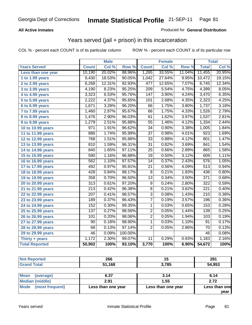### **All Active Inmates**

### Produced for **General Distribution**

## Years served (jail + prison) in this incarceration

|                              |                  | <b>Male</b> |         |                  | <b>Female</b> |        |                  | <b>Total</b> |
|------------------------------|------------------|-------------|---------|------------------|---------------|--------|------------------|--------------|
| <b>Years Served</b>          | <b>Count</b>     | Col %       | Row %   | <b>Count</b>     | Col %         | Row %  | <b>Total</b>     | Col %        |
| Less than one year           | 10,190           | 20.02%      | 88.96%  | 1,265            | 33.55%        | 11.04% | 11,455           | 20.95%       |
| 1 to 1.99 years              | 9,430            | 18.53%      | 90.05%  | 1,042            | 27.64%        | 9.95%  | 10,472           | 19.15%       |
| 2 to 2.99 years              | 6,268            | 12.31%      | 92.93%  | 477              | 12.65%        | 7.07%  | 6,745            | 12.34%       |
| $3$ to 3.99 years            | 4,190            | 8.23%       | 95.25%  | $\overline{209}$ | 5.54%         | 4.75%  | 4,399            | 8.05%        |
| $\overline{4}$ to 4.99 years | 3,323            | 6.53%       | 95.76%  | 147              | 3.90%         | 4.24%  | 3,470            | 6.35%        |
| $\overline{5}$ to 5.99 years | 2,222            | 4.37%       | 95.65%  | 101              | 2.68%         | 4.35%  | 2,323            | 4.25%        |
| 6 to 6.99 years              | 1,671            | 3.28%       | 96.20%  | 66               | 1.75%         | 3.80%  | 1,737            | 3.18%        |
| 7 to 7.99 years              | 1,460            | 2.87%       | 95.67%  | 66               | 1.75%         | 4.33%  | 1,526            | 2.79%        |
| 8 to 8.99 years              | 1,476            | 2.90%       | 96.03%  | 61               | 1.62%         | 3.97%  | 1,537            | 2.81%        |
| 9 to 9.99 years              | 1,279            | 2.51%       | 95.88%  | $\overline{55}$  | 1.46%         | 4.12%  | 1,334            | 2.44%        |
| 10 to 10.99 years            | 971              | 1.91%       | 96.62%  | 34               | 0.90%         | 3.38%  | 1,005            | 1.84%        |
| 11 to 11.99 years            | 886              | 1.74%       | 95.99%  | $\overline{37}$  | 0.98%         | 4.01%  | 923              | 1.69%        |
| 12 to 12.99 years            | 768              | 1.51%       | 95.88%  | $\overline{33}$  | 0.88%         | 4.12%  | 801              | 1.47%        |
| 13 to 13.99 years            | 810              | 1.59%       | 96.31%  | $\overline{31}$  | 0.82%         | 3.69%  | 841              | 1.54%        |
| 14 to 14.99 years            | 840              | 1.65%       | 97.11%  | $\overline{25}$  | 0.66%         | 2.89%  | 865              | 1.58%        |
| 15 to 15.99 years            | 590              | 1.16%       | 96.88%  | $\overline{19}$  | 0.50%         | 3.12%  | 609              | 1.11%        |
| 16 to 16.99 years            | 562              | 1.10%       | 97.57%  | 14               | 0.37%         | 2.43%  | 576              | 1.05%        |
| 17 to 17.99 years            | 492              | 0.97%       | 95.91%  | $\overline{21}$  | 0.56%         | 4.09%  | $\overline{513}$ | 0.94%        |
| 18 to 18.99 years            | 428              | 0.84%       | 98.17%  | $\overline{8}$   | 0.21%         | 1.83%  | 436              | 0.80%        |
| 19 to 19.99 years            | 358              | 0.70%       | 96.50%  | $\overline{13}$  | 0.34%         | 3.50%  | $\overline{371}$ | 0.68%        |
| 20 to 20.99 years            | $\overline{313}$ | 0.61%       | 97.20%  | $\overline{9}$   | 0.24%         | 2.80%  | 322              | 0.59%        |
| 21 to 21.99 years            | 213              | 0.42%       | 96.38%  | 8                | 0.21%         | 3.62%  | 221              | 0.40%        |
| 22 to 22.99 years            | $\overline{207}$ | 0.41%       | 98.57%  | $\overline{3}$   | 0.08%         | 1.43%  | 210              | 0.38%        |
| 23 to 23.99 years            | 189              | 0.37%       | 96.43%  | $\overline{7}$   | 0.19%         | 3.57%  | 196              | 0.36%        |
| 24 to 24.99 years            | 152              | 0.30%       | 99.35%  | 1                | 0.03%         | 0.65%  | 153              | 0.28%        |
| 25 to 25.99 years            | 137              | 0.27%       | 98.56%  | $\overline{2}$   | 0.05%         | 1.44%  | 139              | 0.25%        |
| 26 to 26.99 years            | 101              | 0.20%       | 98.06%  | $\overline{2}$   | 0.05%         | 1.94%  | 103              | 0.19%        |
| 27 to 27.99 years            | 90               | 0.18%       | 98.90%  | 1                | 0.03%         | 1.10%  | 91               | 0.17%        |
| 28 to 28.99 years            | 68               | 0.13%       | 97.14%  | $\overline{2}$   | 0.05%         | 2.86%  | $\overline{70}$  | 0.13%        |
| 29 to 29.99 years            | 46               | 0.09%       | 100.00% |                  |               |        | 46               | 0.08%        |
| Thirty + years               | 1,172            | 2.30%       | 99.07%  | $\overline{11}$  | 0.29%         | 0.93%  | 1,183            | 2.16%        |
| <b>Total Reported</b>        | 50,902           | 100%        | 93.10%  | 3,770            | 100%          | 6.90%  | 54,672           | 100%         |

| <b>Not Reported</b> | 266    | ıэ    | 281    |
|---------------------|--------|-------|--------|
| <b>Grand Total</b>  | 51,168 | 3,785 | 54,953 |
|                     |        |       |        |

| <b>Mean</b><br>(average) | 6.37               | 3.14               | 6.14          |
|--------------------------|--------------------|--------------------|---------------|
| Median (middle)          | 2.91               | 1.55               | 2.72          |
| Mode (most frequent)     | Less than one year | Less than one year | Less than one |
|                          |                    |                    | vear          |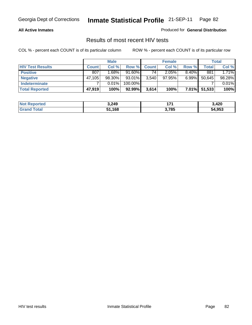#### **All Active Inmates**

Produced for **General Distribution**

### Results of most recent HIV tests

|                         |              | <b>Male</b> |           |              | <b>Female</b> |          |        | Total  |
|-------------------------|--------------|-------------|-----------|--------------|---------------|----------|--------|--------|
| <b>HIV Test Results</b> | <b>Count</b> | Col %       | Row %     | <b>Count</b> | Col %         | Row %    | Total  | Col %  |
| <b>Positive</b>         | 807          | 1.68%       | $91.60\%$ | 74           | 2.05%         | $8.40\%$ | 881    | 1.71%  |
| <b>Negative</b>         | 47,105       | 98.30%      | $93.01\%$ | 3,540        | 97.95%        | $6.99\%$ | 50,645 | 98.28% |
| <b>Indeterminate</b>    |              | 0.01%       | 100.00%   |              |               |          |        | 0.01%  |
| <b>Total Reported</b>   | 47,919       | 100%        | 92.99%    | 3,614        | 100%          | $7.01\%$ | 51,533 | 100%   |

| <b>Not</b><br><b>Reported</b> | 3,249  | 174   | 3,420  |
|-------------------------------|--------|-------|--------|
| <b>Total</b>                  | 51,168 | 3,785 | 54,953 |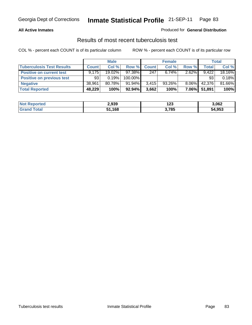#### **All Active Inmates**

#### Produced for **General Distribution**

### Results of most recent tuberculosis test

|                                  |              | <b>Male</b> |           |              | <b>Female</b> |          |              | <b>Total</b> |
|----------------------------------|--------------|-------------|-----------|--------------|---------------|----------|--------------|--------------|
| <b>Tuberculosis Test Results</b> | <b>Count</b> | Col %       | Row %     | <b>Count</b> | Col %         | Row %    | <b>Total</b> | Col %        |
| <b>Positive on current test</b>  | 9.175        | 19.02%      | 97.38%    | 247          | $6.74\%$      | 2.62%    | 9.422        | 18.16%       |
| <b>Positive on previous test</b> | 93           | 0.19%       | 100.00%   |              |               |          | 93           | 0.18%        |
| <b>Negative</b>                  | 38,961       | 80.78%      | $91.94\%$ | 3.415        | $93.26\%$     | $8.06\%$ | 42,376       | 81.66%       |
| <b>Total Reported</b>            | 48,229       | 100%        | 92.94%    | 3,662        | 100%          | $7.06\%$ | 51,891       | 100%         |

| <b>Not</b><br>Reported | 2,939  | י הו<br>123 | 3.062  |
|------------------------|--------|-------------|--------|
| <i>i</i> otal          | 51,168 | 3,785       | 54,953 |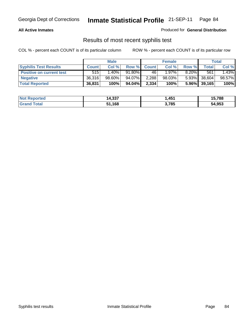#### **All Active Inmates**

Produced for **General Distribution**

### Results of most recent syphilis test

|                                 |              | <b>Male</b> |           |              | <b>Female</b> |          |                 | Total  |
|---------------------------------|--------------|-------------|-----------|--------------|---------------|----------|-----------------|--------|
| <b>Syphilis Test Results</b>    | <b>Count</b> | Col %       | Row %     | <b>Count</b> | Col %         | Row %    | Total           | Col %  |
| <b>Positive on current test</b> | 515          | $1.40\%$    | $91.80\%$ | 46           | $1.97\%$      | $8.20\%$ | 561             | 1.43%  |
| <b>Negative</b>                 | 36,316       | 98.60%      | 94.07%    | 2,288        | 98.03%        | $5.93\%$ | 38,604          | 98.57% |
| <b>Total Reported</b>           | 36,831       | 100%        | 94.04%    | 2,334        | 100%          |          | $5.96\%$ 39,165 | 100%   |

| <b>Not Reported</b> | 14,337 | .451, | 15,788 |
|---------------------|--------|-------|--------|
| <b>Grand Total</b>  | ,168   | 3,785 | 54,953 |